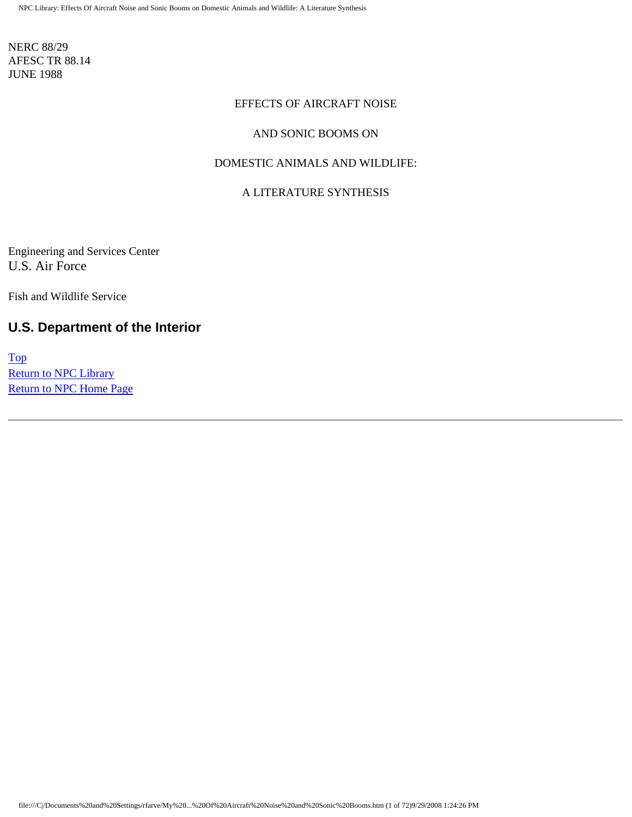NERC 88/29 AFESC TR 88.14 JUNE 1988

#### EFFECTS OF AIRCRAFT NOISE

#### AND SONIC BOOMS ON

#### DOMESTIC ANIMALS AND WILDLIFE:

#### A LITERATURE SYNTHESIS

Engineering and Services Center U.S. Air Force

Fish and Wildlife Service

### **U.S. Department of the Interior**

[Top](http://www.nonoise.org/library/animals/litsyn.htm#top)  Return to NPC Library [Return to NPC Home Page](http://www.nonoise.org/index.htm)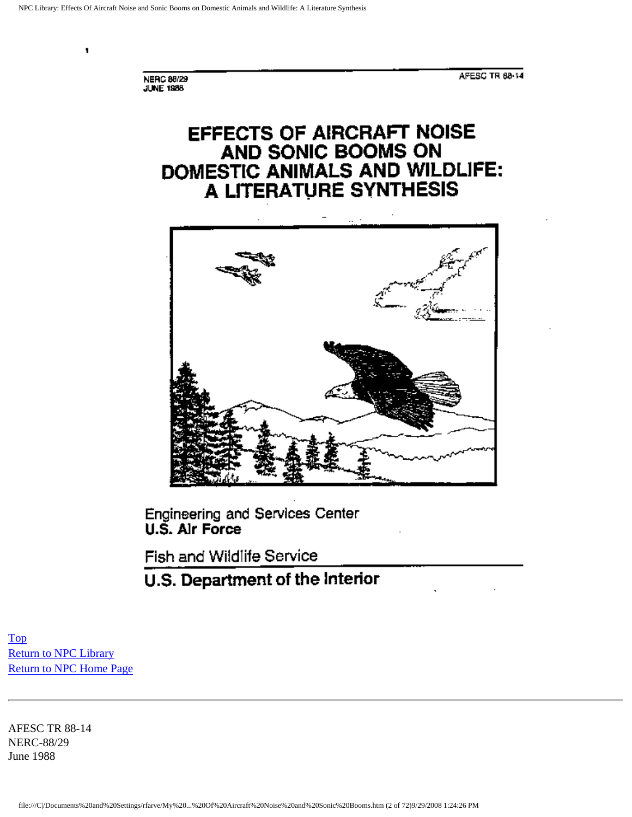NERC 88/29

٠

AFESC TR 88-14

EFFECTS OF AIRCRAFT NOISE AND SONIC BOOMS ON DOMESTIC ANIMALS AND WILDLIFE: A LITERATURE SYNTHESIS



Engineering and Services Center U.S. Alr Force

Fish and Wildlife Service

## U.S. Department of the Interior

[Top](http://www.nonoise.org/library/animals/litsyn.htm#top)  [Return to NPC Library](http://www.nonoise.org/library.htm)  [Return to NPC Home Page](http://www.nonoise.org/index.htm) 

AFESC TR 88-14 NERC-88/29 June 1988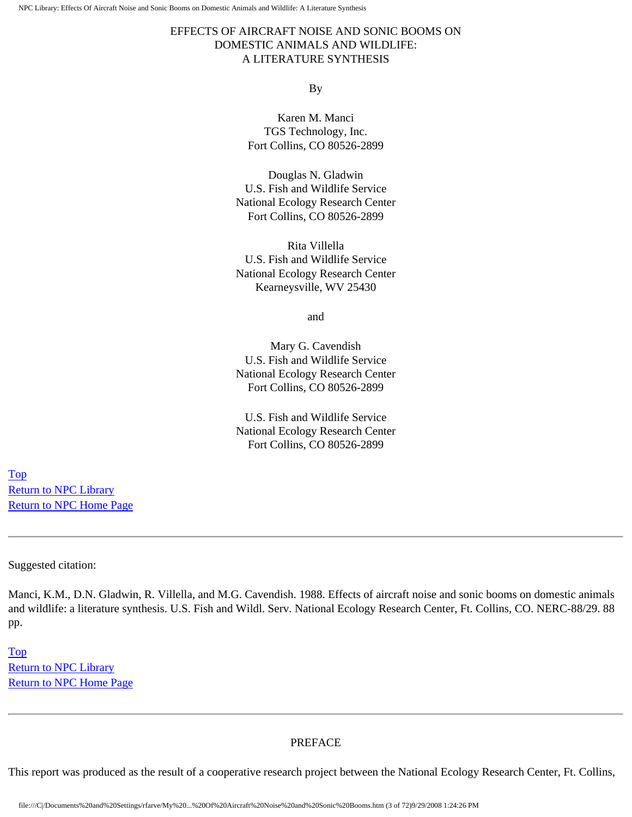#### EFFECTS OF AIRCRAFT NOISE AND SONIC BOOMS ON DOMESTIC ANIMALS AND WILDLIFE: A LITERATURE SYNTHESIS

#### By

Karen M. Manci TGS Technology, Inc. Fort Collins, CO 80526-2899

Douglas N. Gladwin U.S. Fish and Wildlife Service National Ecology Research Center Fort Collins, CO 80526-2899

Rita Villella U.S. Fish and Wildlife Service National Ecology Research Center Kearneysville, WV 25430

and

Mary G. Cavendish U.S. Fish and Wildlife Service National Ecology Research Center Fort Collins, CO 80526-2899

U.S. Fish and Wildlife Service National Ecology Research Center Fort Collins, CO 80526-2899

[Top](http://www.nonoise.org/library/animals/litsyn.htm#top)  [Return to NPC Library](http://www.nonoise.org/library.htm)  [Return to NPC Home Page](http://www.nonoise.org/index.htm) 

Suggested citation:

Manci, K.M., D.N. Gladwin, R. Villella, and M.G. Cavendish. 1988. Effects of aircraft noise and sonic booms on domestic animals and wildlife: a literature synthesis. U.S. Fish and Wildl. Serv. National Ecology Research Center, Ft. Collins, CO. NERC-88/29. 88 pp.

[Top](http://www.nonoise.org/library/animals/litsyn.htm#top)  [Return to NPC Library](http://www.nonoise.org/library.htm)  [Return to NPC Home Page](http://www.nonoise.org/index.htm) 

#### PREFACE

This report was produced as the result of a cooperative research project between the National Ecology Research Center, Ft. Collins,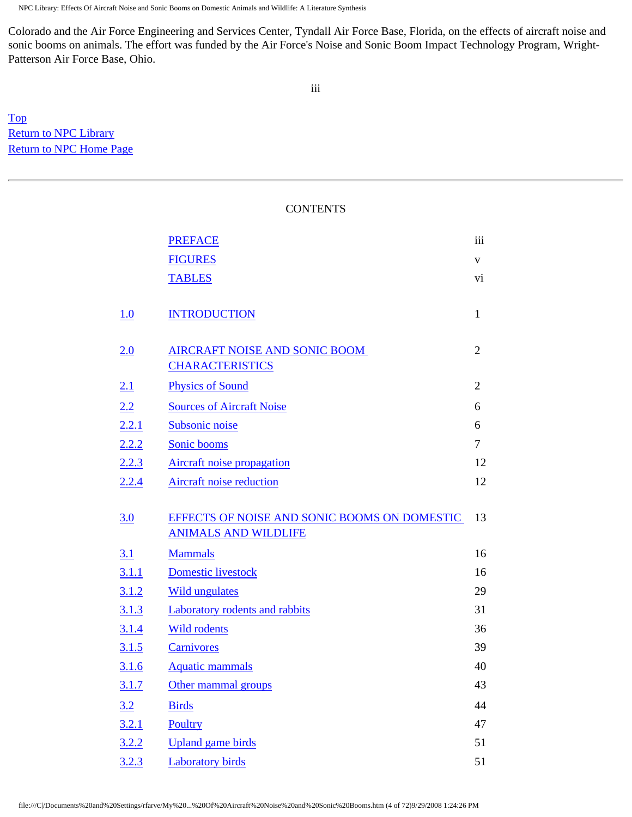Colorado and the Air Force Engineering and Services Center, Tyndall Air Force Base, Florida, on the effects of aircraft noise and sonic booms on animals. The effort was funded by the Air Force's Noise and Sonic Boom Impact Technology Program, Wright-Patterson Air Force Base, Ohio.

[Top](http://www.nonoise.org/library/animals/litsyn.htm#top)  **Return to NPC Library** [Return to NPC Home Page](http://www.nonoise.org/index.htm) 

#### CONTENTS

|            | <b>PREFACE</b>                               | iii            |
|------------|----------------------------------------------|----------------|
|            | <b>FIGURES</b>                               | V              |
|            | <b>TABLES</b>                                | vi             |
|            |                                              |                |
| 1.0        | <b>INTRODUCTION</b>                          | $\mathbf{1}$   |
|            |                                              |                |
| 2.0        | <b>AIRCRAFT NOISE AND SONIC BOOM</b>         | $\overline{2}$ |
|            | <b>CHARACTERISTICS</b>                       |                |
| <u>2.1</u> | <b>Physics of Sound</b>                      | $\overline{2}$ |
| 2.2        | <b>Sources of Aircraft Noise</b>             | 6              |
| 2.2.1      | Subsonic noise                               | 6              |
| 2.2.2      | Sonic booms                                  | 7              |
| 2.2.3      | Aircraft noise propagation                   | 12             |
| 2.2.4      | Aircraft noise reduction                     | 12             |
|            |                                              |                |
| 3.0        | EFFECTS OF NOISE AND SONIC BOOMS ON DOMESTIC | 13             |
|            | <b>ANIMALS AND WILDLIFE</b>                  |                |
| <u>3.1</u> | <b>Mammals</b>                               | 16             |
| 3.1.1      | <b>Domestic</b> livestock                    | 16             |
| 3.1.2      | <b>Wild ungulates</b>                        | 29             |
| 3.1.3      | Laboratory rodents and rabbits               | 31             |
| 3.1.4      | <b>Wild rodents</b>                          | 36             |
| 3.1.5      | <b>Carnivores</b>                            | 39             |
| 3.1.6      | <b>Aquatic mammals</b>                       | 40             |
| 3.1.7      | Other mammal groups                          | 43             |
| 3.2        | <b>Birds</b>                                 | 44             |
| 3.2.1      | Poultry                                      | 47             |
| 3.2.2      | <b>Upland</b> game birds                     | 51             |
| 3.2.3      | <b>Laboratory birds</b>                      | 51             |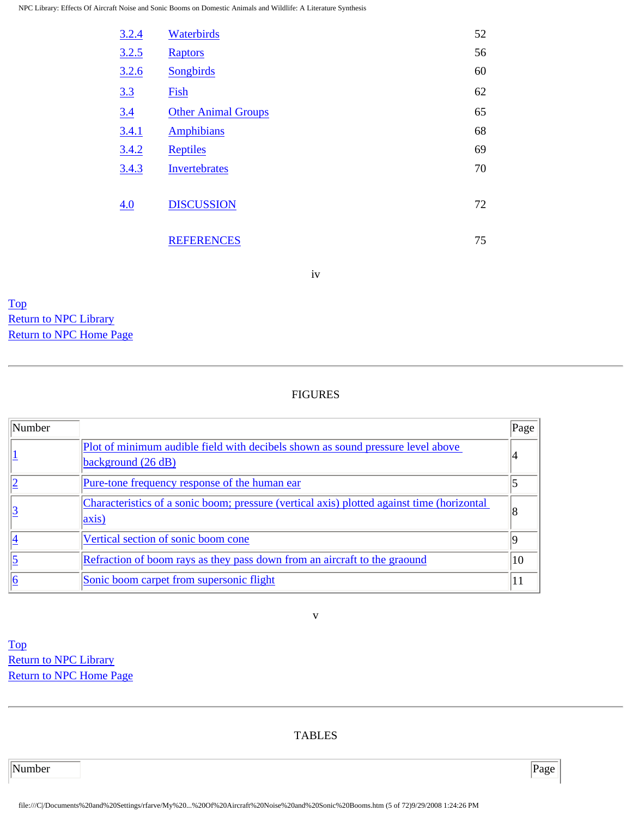| 3.2.4 | Waterbirds                 | 52 |
|-------|----------------------------|----|
| 3.2.5 | <b>Raptors</b>             | 56 |
| 3.2.6 | Songbirds                  | 60 |
| 3.3   | Fish                       | 62 |
| 3.4   | <b>Other Animal Groups</b> | 65 |
| 3.4.1 | <b>Amphibians</b>          | 68 |
| 3.4.2 | <b>Reptiles</b>            | 69 |
| 3.4.3 | Invertebrates              | 70 |
| 4.0   | <b>DISCUSSION</b>          | 72 |
|       | <b>REFERENCES</b>          | 75 |

iv

[Top](http://www.nonoise.org/library/animals/litsyn.htm#top)  [Return to NPC Library](http://www.nonoise.org/library.htm)  [Return to NPC Home Page](http://www.nonoise.org/index.htm) 

#### FIGURES

| Number |                                                                                                             | Page |
|--------|-------------------------------------------------------------------------------------------------------------|------|
|        | Plot of minimum audible field with decibels shown as sound pressure level above<br>background $(26 dB)$     |      |
|        | Pure-tone frequency response of the human ear                                                               |      |
|        | Characteristics of a sonic boom; pressure (vertical axis) plotted against time (horizontal<br>$\vert$ axis) |      |
|        | Vertical section of sonic boom cone                                                                         |      |
|        | Refraction of boom rays as they pass down from an aircraft to the grapund                                   | 10   |
|        | Sonic boom carpet from supersonic flight                                                                    |      |

[Top](http://www.nonoise.org/library/animals/litsyn.htm#top)  **Return to NPC Library** [Return to NPC Home Page](http://www.nonoise.org/index.htm) 

TABLES

v

Number Page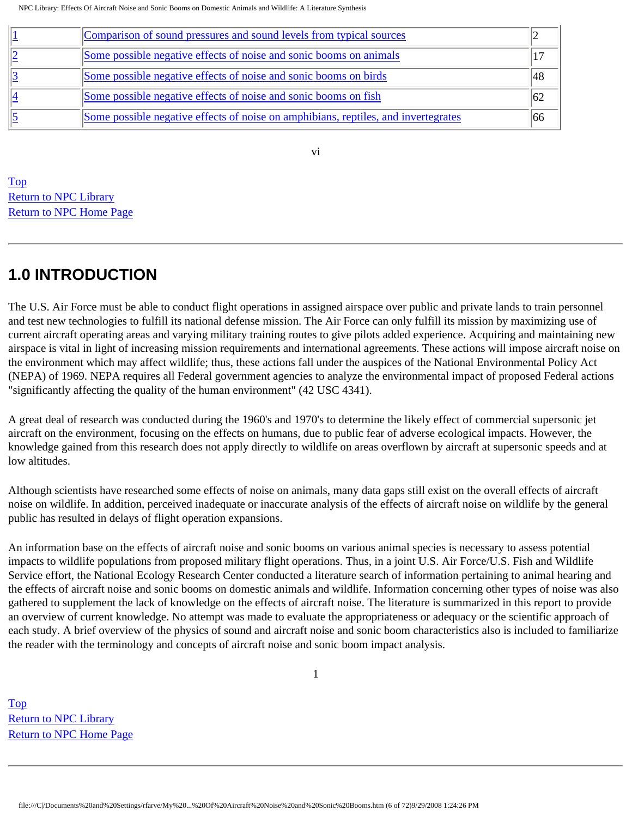| Comparison of sound pressures and sound levels from typical sources                |  |
|------------------------------------------------------------------------------------|--|
| Some possible negative effects of noise and sonic booms on animals                 |  |
| Some possible negative effects of noise and sonic booms on birds                   |  |
| Some possible negative effects of noise and sonic booms on fish                    |  |
| Some possible negative effects of noise on amphibians, reptiles, and invertegrates |  |

[Top](http://www.nonoise.org/library/animals/litsyn.htm#top)  [Return to NPC Library](http://www.nonoise.org/library.htm)  [Return to NPC Home Page](http://www.nonoise.org/index.htm) 

## **1.0 INTRODUCTION**

The U.S. Air Force must be able to conduct flight operations in assigned airspace over public and private lands to train personnel and test new technologies to fulfill its national defense mission. The Air Force can only fulfill its mission by maximizing use of current aircraft operating areas and varying military training routes to give pilots added experience. Acquiring and maintaining new airspace is vital in light of increasing mission requirements and international agreements. These actions will impose aircraft noise on the environment which may affect wildlife; thus, these actions fall under the auspices of the National Environmental Policy Act (NEPA) of 1969. NEPA requires all Federal government agencies to analyze the environmental impact of proposed Federal actions "significantly affecting the quality of the human environment" (42 USC 4341).

vi

A great deal of research was conducted during the 1960's and 1970's to determine the likely effect of commercial supersonic jet aircraft on the environment, focusing on the effects on humans, due to public fear of adverse ecological impacts. However, the knowledge gained from this research does not apply directly to wildlife on areas overflown by aircraft at supersonic speeds and at low altitudes.

Although scientists have researched some effects of noise on animals, many data gaps still exist on the overall effects of aircraft noise on wildlife. In addition, perceived inadequate or inaccurate analysis of the effects of aircraft noise on wildlife by the general public has resulted in delays of flight operation expansions.

An information base on the effects of aircraft noise and sonic booms on various animal species is necessary to assess potential impacts to wildlife populations from proposed military flight operations. Thus, in a joint U.S. Air Force/U.S. Fish and Wildlife Service effort, the National Ecology Research Center conducted a literature search of information pertaining to animal hearing and the effects of aircraft noise and sonic booms on domestic animals and wildlife. Information concerning other types of noise was also gathered to supplement the lack of knowledge on the effects of aircraft noise. The literature is summarized in this report to provide an overview of current knowledge. No attempt was made to evaluate the appropriateness or adequacy or the scientific approach of each study. A brief overview of the physics of sound and aircraft noise and sonic boom characteristics also is included to familiarize the reader with the terminology and concepts of aircraft noise and sonic boom impact analysis.

1

[Top](http://www.nonoise.org/library/animals/litsyn.htm#top)  **Return to NPC Library** [Return to NPC Home Page](http://www.nonoise.org/index.htm)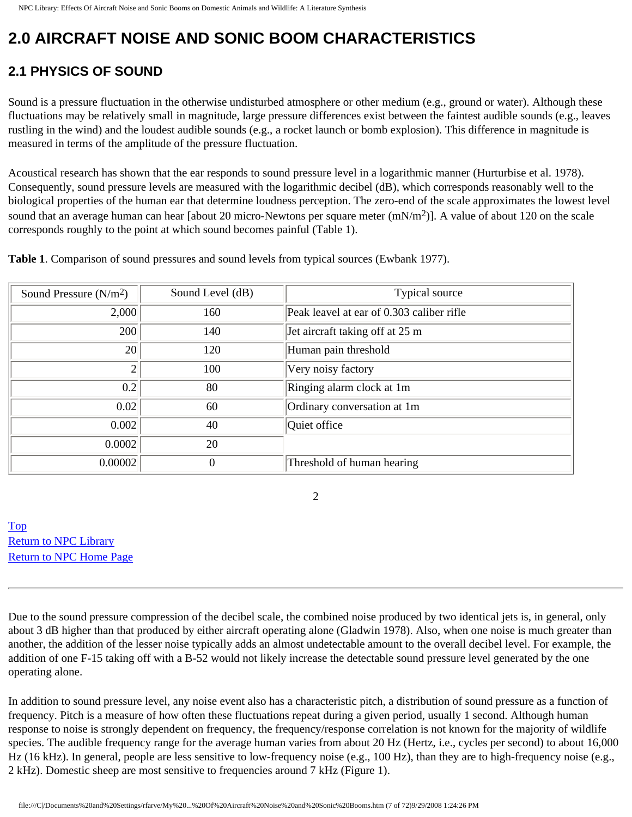# **2.0 AIRCRAFT NOISE AND SONIC BOOM CHARACTERISTICS**

## **2.1 PHYSICS OF SOUND**

Sound is a pressure fluctuation in the otherwise undisturbed atmosphere or other medium (e.g., ground or water). Although these fluctuations may be relatively small in magnitude, large pressure differences exist between the faintest audible sounds (e.g., leaves rustling in the wind) and the loudest audible sounds (e.g., a rocket launch or bomb explosion). This difference in magnitude is measured in terms of the amplitude of the pressure fluctuation.

Acoustical research has shown that the ear responds to sound pressure level in a logarithmic manner (Hurturbise et al. 1978). Consequently, sound pressure levels are measured with the logarithmic decibel (dB), which corresponds reasonably well to the biological properties of the human ear that determine loudness perception. The zero-end of the scale approximates the lowest level sound that an average human can hear [about 20 micro-Newtons per square meter  $(mN/m<sup>2</sup>)$ ]. A value of about 120 on the scale corresponds roughly to the point at which sound becomes painful (Table 1).

**Table 1**. Comparison of sound pressures and sound levels from typical sources (Ewbank 1977).

| Sound Pressure $(N/m2)$ | Sound Level (dB) | Typical source                            |
|-------------------------|------------------|-------------------------------------------|
| 2,000                   | 160              | Peak leavel at ear of 0.303 caliber rifle |
| 200                     | 140              | Jet aircraft taking off at 25 m           |
| 20                      | 120              | Human pain threshold                      |
| $\overline{2}$          | 100              | Very noisy factory                        |
| 0.2                     | 80               | Ringing alarm clock at 1m                 |
| 0.02                    | 60               | Ordinary conversation at 1m               |
| 0.002                   | 40               | Quiet office                              |
| 0.0002                  | 20               |                                           |
| 0.00002                 | $\Omega$         | Threshold of human hearing                |

2

[Top](http://www.nonoise.org/library/animals/litsyn.htm#top)  [Return to NPC Library](http://www.nonoise.org/library.htm)  [Return to NPC Home Page](http://www.nonoise.org/index.htm) 

Due to the sound pressure compression of the decibel scale, the combined noise produced by two identical jets is, in general, only about 3 dB higher than that produced by either aircraft operating alone (Gladwin 1978). Also, when one noise is much greater than another, the addition of the lesser noise typically adds an almost undetectable amount to the overall decibel level. For example, the addition of one F-15 taking off with a B-52 would not likely increase the detectable sound pressure level generated by the one operating alone.

In addition to sound pressure level, any noise event also has a characteristic pitch, a distribution of sound pressure as a function of frequency. Pitch is a measure of how often these fluctuations repeat during a given period, usually 1 second. Although human response to noise is strongly dependent on frequency, the frequency/response correlation is not known for the majority of wildlife species. The audible frequency range for the average human varies from about 20 Hz (Hertz, i.e., cycles per second) to about 16,000 Hz (16 kHz). In general, people are less sensitive to low-frequency noise (e.g., 100 Hz), than they are to high-frequency noise (e.g., 2 kHz). Domestic sheep are most sensitive to frequencies around 7 kHz (Figure 1).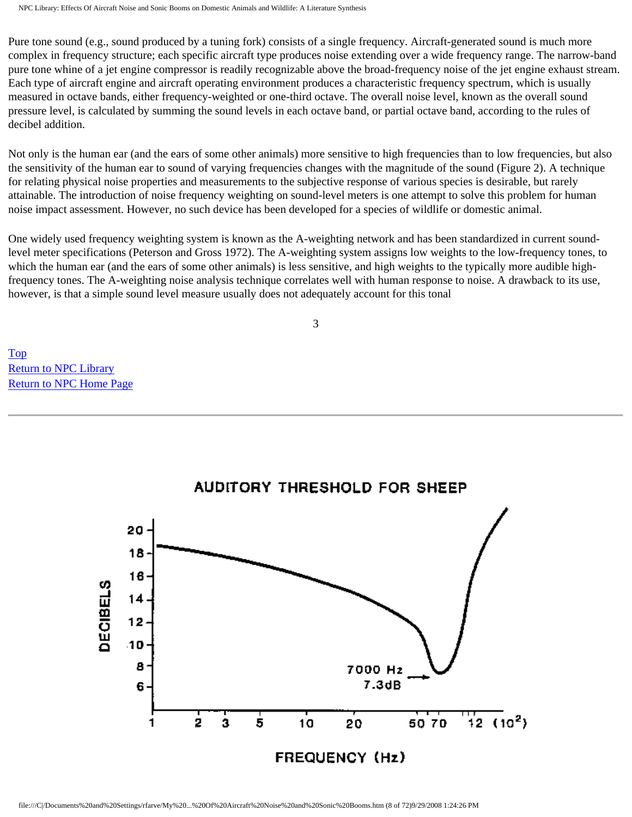Pure tone sound (e.g., sound produced by a tuning fork) consists of a single frequency. Aircraft-generated sound is much more complex in frequency structure; each specific aircraft type produces noise extending over a wide frequency range. The narrow-band pure tone whine of a jet engine compressor is readily recognizable above the broad-frequency noise of the jet engine exhaust stream. Each type of aircraft engine and aircraft operating environment produces a characteristic frequency spectrum, which is usually measured in octave bands, either frequency-weighted or one-third octave. The overall noise level, known as the overall sound pressure level, is calculated by summing the sound levels in each octave band, or partial octave band, according to the rules of decibel addition.

Not only is the human ear (and the ears of some other animals) more sensitive to high frequencies than to low frequencies, but also the sensitivity of the human ear to sound of varying frequencies changes with the magnitude of the sound (Figure 2). A technique for relating physical noise properties and measurements to the subjective response of various species is desirable, but rarely attainable. The introduction of noise frequency weighting on sound-level meters is one attempt to solve this problem for human noise impact assessment. However, no such device has been developed for a species of wildlife or domestic animal.

One widely used frequency weighting system is known as the A-weighting network and has been standardized in current soundlevel meter specifications (Peterson and Gross 1972). The A-weighting system assigns low weights to the low-frequency tones, to which the human ear (and the ears of some other animals) is less sensitive, and high weights to the typically more audible highfrequency tones. The A-weighting noise analysis technique correlates well with human response to noise. A drawback to its use, however, is that a simple sound level measure usually does not adequately account for this tonal

3

[Top](http://www.nonoise.org/library/animals/litsyn.htm#top)  [Return to NPC Library](http://www.nonoise.org/library.htm)  [Return to NPC Home Page](http://www.nonoise.org/index.htm) 



## **AUDITORY THRESHOLD FOR SHEEP**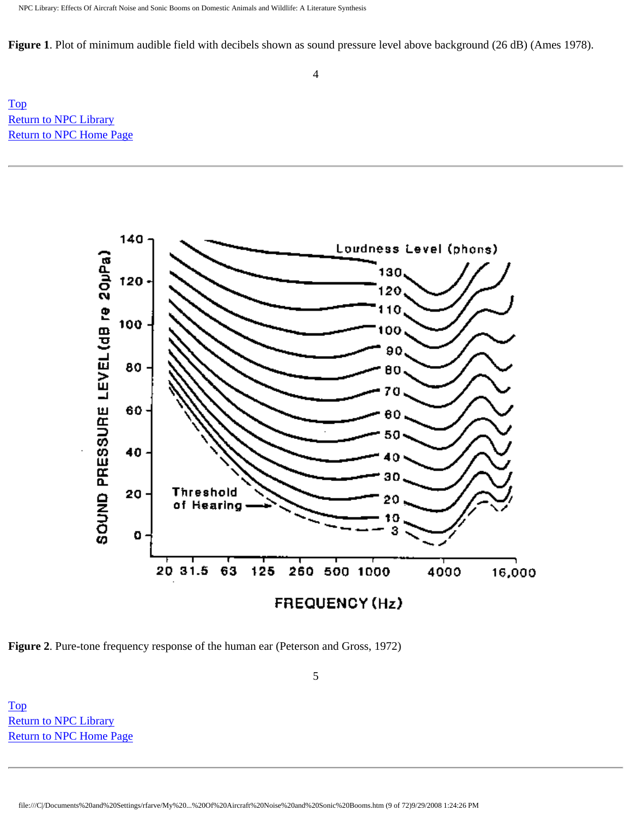**Figure 1**. Plot of minimum audible field with decibels shown as sound pressure level above background (26 dB) (Ames 1978).

[Top](http://www.nonoise.org/library/animals/litsyn.htm#top)  [Return to NPC Library](http://www.nonoise.org/library.htm)  [Return to NPC Home Page](http://www.nonoise.org/index.htm) 



5

**Figure 2**. Pure-tone frequency response of the human ear (Peterson and Gross, 1972)

[Top](http://www.nonoise.org/library/animals/litsyn.htm#top)  [Return to NPC Library](http://www.nonoise.org/library.htm)  [Return to NPC Home Page](http://www.nonoise.org/index.htm)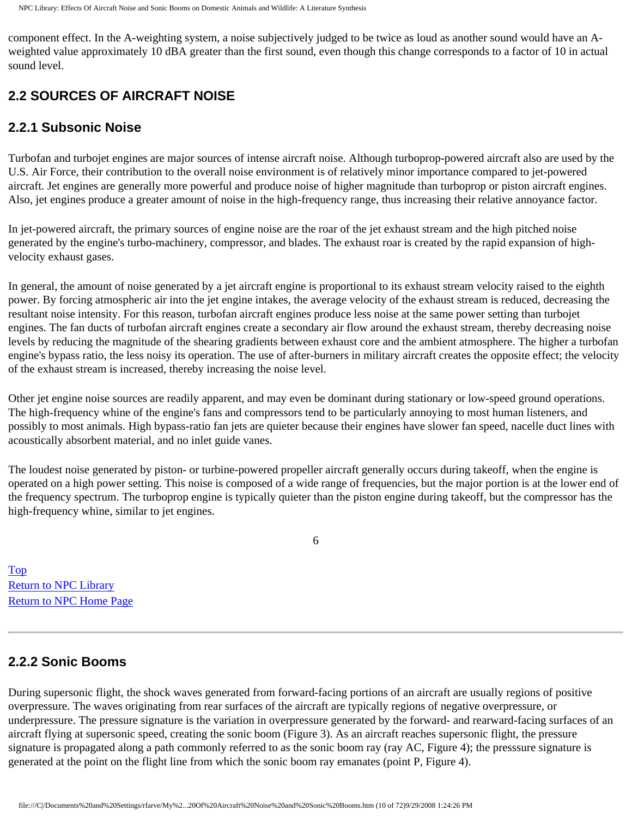component effect. In the A-weighting system, a noise subjectively judged to be twice as loud as another sound would have an Aweighted value approximately 10 dBA greater than the first sound, even though this change corresponds to a factor of 10 in actual sound level.

## **2.2 SOURCES OF AIRCRAFT NOISE**

#### **2.2.1 Subsonic Noise**

Turbofan and turbojet engines are major sources of intense aircraft noise. Although turboprop-powered aircraft also are used by the U.S. Air Force, their contribution to the overall noise environment is of relatively minor importance compared to jet-powered aircraft. Jet engines are generally more powerful and produce noise of higher magnitude than turboprop or piston aircraft engines. Also, jet engines produce a greater amount of noise in the high-frequency range, thus increasing their relative annoyance factor.

In jet-powered aircraft, the primary sources of engine noise are the roar of the jet exhaust stream and the high pitched noise generated by the engine's turbo-machinery, compressor, and blades. The exhaust roar is created by the rapid expansion of highvelocity exhaust gases.

In general, the amount of noise generated by a jet aircraft engine is proportional to its exhaust stream velocity raised to the eighth power. By forcing atmospheric air into the jet engine intakes, the average velocity of the exhaust stream is reduced, decreasing the resultant noise intensity. For this reason, turbofan aircraft engines produce less noise at the same power setting than turbojet engines. The fan ducts of turbofan aircraft engines create a secondary air flow around the exhaust stream, thereby decreasing noise levels by reducing the magnitude of the shearing gradients between exhaust core and the ambient atmosphere. The higher a turbofan engine's bypass ratio, the less noisy its operation. The use of after-burners in military aircraft creates the opposite effect; the velocity of the exhaust stream is increased, thereby increasing the noise level.

Other jet engine noise sources are readily apparent, and may even be dominant during stationary or low-speed ground operations. The high-frequency whine of the engine's fans and compressors tend to be particularly annoying to most human listeners, and possibly to most animals. High bypass-ratio fan jets are quieter because their engines have slower fan speed, nacelle duct lines with acoustically absorbent material, and no inlet guide vanes.

The loudest noise generated by piston- or turbine-powered propeller aircraft generally occurs during takeoff, when the engine is operated on a high power setting. This noise is composed of a wide range of frequencies, but the major portion is at the lower end of the frequency spectrum. The turboprop engine is typically quieter than the piston engine during takeoff, but the compressor has the high-frequency whine, similar to jet engines.

6

[Top](http://www.nonoise.org/library/animals/litsyn.htm#top)  [Return to NPC Library](http://www.nonoise.org/library.htm)  [Return to NPC Home Page](http://www.nonoise.org/index.htm) 

## **2.2.2 Sonic Booms**

During supersonic flight, the shock waves generated from forward-facing portions of an aircraft are usually regions of positive overpressure. The waves originating from rear surfaces of the aircraft are typically regions of negative overpressure, or underpressure. The pressure signature is the variation in overpressure generated by the forward- and rearward-facing surfaces of an aircraft flying at supersonic speed, creating the sonic boom (Figure 3). As an aircraft reaches supersonic flight, the pressure signature is propagated along a path commonly referred to as the sonic boom ray (ray AC, Figure 4); the presssure signature is generated at the point on the flight line from which the sonic boom ray emanates (point P, Figure 4).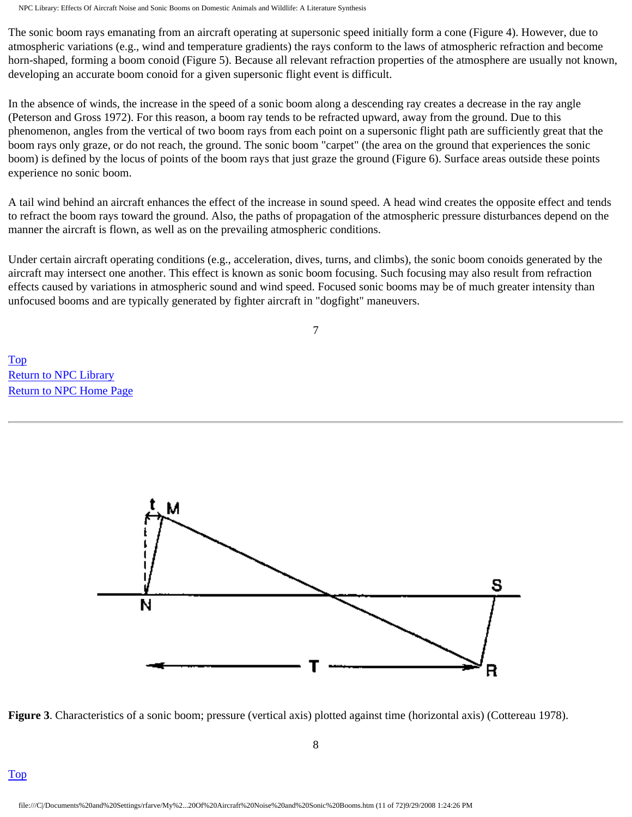The sonic boom rays emanating from an aircraft operating at supersonic speed initially form a cone (Figure 4). However, due to atmospheric variations (e.g., wind and temperature gradients) the rays conform to the laws of atmospheric refraction and become horn-shaped, forming a boom conoid (Figure 5). Because all relevant refraction properties of the atmosphere are usually not known, developing an accurate boom conoid for a given supersonic flight event is difficult.

In the absence of winds, the increase in the speed of a sonic boom along a descending ray creates a decrease in the ray angle (Peterson and Gross 1972). For this reason, a boom ray tends to be refracted upward, away from the ground. Due to this phenomenon, angles from the vertical of two boom rays from each point on a supersonic flight path are sufficiently great that the boom rays only graze, or do not reach, the ground. The sonic boom "carpet" (the area on the ground that experiences the sonic boom) is defined by the locus of points of the boom rays that just graze the ground (Figure 6). Surface areas outside these points experience no sonic boom.

A tail wind behind an aircraft enhances the effect of the increase in sound speed. A head wind creates the opposite effect and tends to refract the boom rays toward the ground. Also, the paths of propagation of the atmospheric pressure disturbances depend on the manner the aircraft is flown, as well as on the prevailing atmospheric conditions.

Under certain aircraft operating conditions (e.g., acceleration, dives, turns, and climbs), the sonic boom conoids generated by the aircraft may intersect one another. This effect is known as sonic boom focusing. Such focusing may also result from refraction effects caused by variations in atmospheric sound and wind speed. Focused sonic booms may be of much greater intensity than unfocused booms and are typically generated by fighter aircraft in "dogfight" maneuvers.

7

[Top](http://www.nonoise.org/library/animals/litsyn.htm#top)  [Return to NPC Library](http://www.nonoise.org/library.htm)  [Return to NPC Home Page](http://www.nonoise.org/index.htm) 



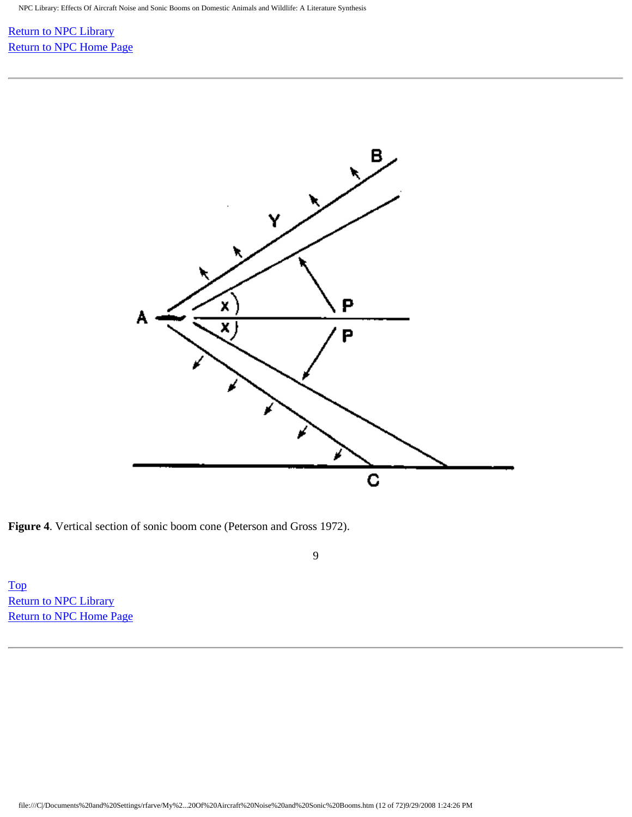#### [Return to NPC Library](http://www.nonoise.org/library.htm)  [Return to NPC Home Page](http://www.nonoise.org/index.htm)



**Figure 4**. Vertical section of sonic boom cone (Peterson and Gross 1972).

9

[Top](http://www.nonoise.org/library/animals/litsyn.htm#top)  **Return to NPC Library** [Return to NPC Home Page](http://www.nonoise.org/index.htm)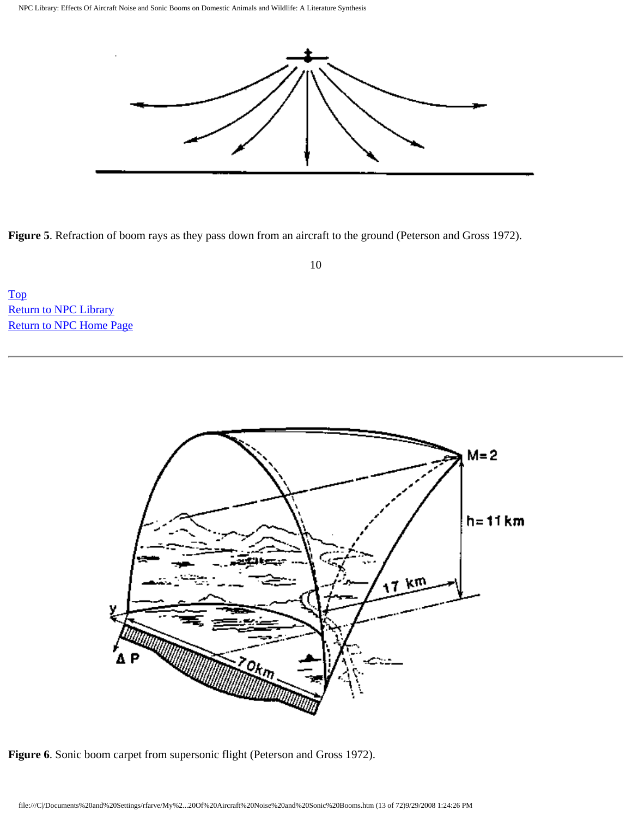

**Figure 5**. Refraction of boom rays as they pass down from an aircraft to the ground (Peterson and Gross 1972).

10

[Top](http://www.nonoise.org/library/animals/litsyn.htm#top)  [Return to NPC Library](http://www.nonoise.org/library.htm)  [Return to NPC Home Page](http://www.nonoise.org/index.htm) 



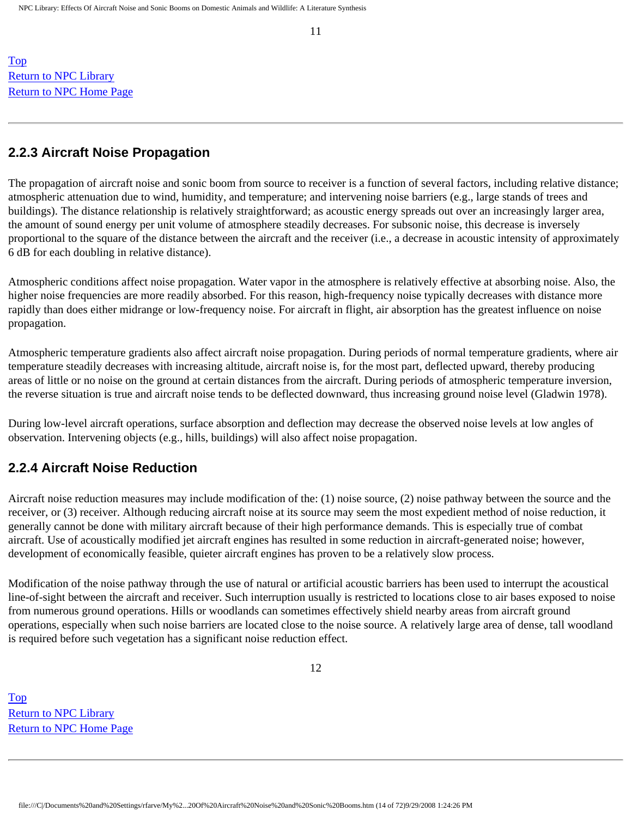11

[Top](http://www.nonoise.org/library/animals/litsyn.htm#top)  [Return to NPC Library](http://www.nonoise.org/library.htm)  [Return to NPC Home Page](http://www.nonoise.org/index.htm) 

#### **2.2.3 Aircraft Noise Propagation**

The propagation of aircraft noise and sonic boom from source to receiver is a function of several factors, including relative distance; atmospheric attenuation due to wind, humidity, and temperature; and intervening noise barriers (e.g., large stands of trees and buildings). The distance relationship is relatively straightforward; as acoustic energy spreads out over an increasingly larger area, the amount of sound energy per unit volume of atmosphere steadily decreases. For subsonic noise, this decrease is inversely proportional to the square of the distance between the aircraft and the receiver (i.e., a decrease in acoustic intensity of approximately 6 dB for each doubling in relative distance).

Atmospheric conditions affect noise propagation. Water vapor in the atmosphere is relatively effective at absorbing noise. Also, the higher noise frequencies are more readily absorbed. For this reason, high-frequency noise typically decreases with distance more rapidly than does either midrange or low-frequency noise. For aircraft in flight, air absorption has the greatest influence on noise propagation.

Atmospheric temperature gradients also affect aircraft noise propagation. During periods of normal temperature gradients, where air temperature steadily decreases with increasing altitude, aircraft noise is, for the most part, deflected upward, thereby producing areas of little or no noise on the ground at certain distances from the aircraft. During periods of atmospheric temperature inversion, the reverse situation is true and aircraft noise tends to be deflected downward, thus increasing ground noise level (Gladwin 1978).

During low-level aircraft operations, surface absorption and deflection may decrease the observed noise levels at low angles of observation. Intervening objects (e.g., hills, buildings) will also affect noise propagation.

### **2.2.4 Aircraft Noise Reduction**

Aircraft noise reduction measures may include modification of the: (1) noise source, (2) noise pathway between the source and the receiver, or (3) receiver. Although reducing aircraft noise at its source may seem the most expedient method of noise reduction, it generally cannot be done with military aircraft because of their high performance demands. This is especially true of combat aircraft. Use of acoustically modified jet aircraft engines has resulted in some reduction in aircraft-generated noise; however, development of economically feasible, quieter aircraft engines has proven to be a relatively slow process.

Modification of the noise pathway through the use of natural or artificial acoustic barriers has been used to interrupt the acoustical line-of-sight between the aircraft and receiver. Such interruption usually is restricted to locations close to air bases exposed to noise from numerous ground operations. Hills or woodlands can sometimes effectively shield nearby areas from aircraft ground operations, especially when such noise barriers are located close to the noise source. A relatively large area of dense, tall woodland is required before such vegetation has a significant noise reduction effect.

[Top](http://www.nonoise.org/library/animals/litsyn.htm#top)  [Return to NPC Library](http://www.nonoise.org/library.htm)  [Return to NPC Home Page](http://www.nonoise.org/index.htm)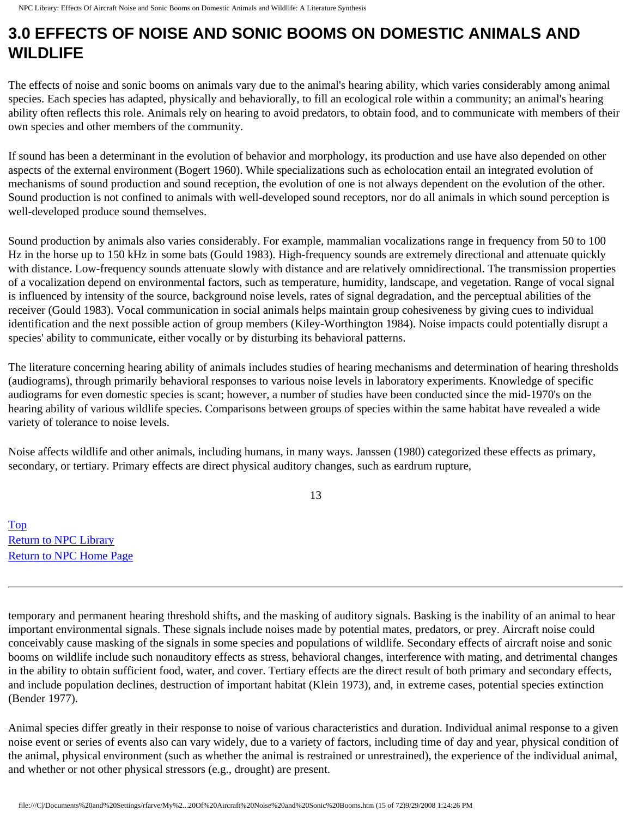## **3.0 EFFECTS OF NOISE AND SONIC BOOMS ON DOMESTIC ANIMALS AND WILDLIFE**

The effects of noise and sonic booms on animals vary due to the animal's hearing ability, which varies considerably among animal species. Each species has adapted, physically and behaviorally, to fill an ecological role within a community; an animal's hearing ability often reflects this role. Animals rely on hearing to avoid predators, to obtain food, and to communicate with members of their own species and other members of the community.

If sound has been a determinant in the evolution of behavior and morphology, its production and use have also depended on other aspects of the external environment (Bogert 1960). While specializations such as echolocation entail an integrated evolution of mechanisms of sound production and sound reception, the evolution of one is not always dependent on the evolution of the other. Sound production is not confined to animals with well-developed sound receptors, nor do all animals in which sound perception is well-developed produce sound themselves.

Sound production by animals also varies considerably. For example, mammalian vocalizations range in frequency from 50 to 100 Hz in the horse up to 150 kHz in some bats (Gould 1983). High-frequency sounds are extremely directional and attenuate quickly with distance. Low-frequency sounds attenuate slowly with distance and are relatively omnidirectional. The transmission properties of a vocalization depend on environmental factors, such as temperature, humidity, landscape, and vegetation. Range of vocal signal is influenced by intensity of the source, background noise levels, rates of signal degradation, and the perceptual abilities of the receiver (Gould 1983). Vocal communication in social animals helps maintain group cohesiveness by giving cues to individual identification and the next possible action of group members (Kiley-Worthington 1984). Noise impacts could potentially disrupt a species' ability to communicate, either vocally or by disturbing its behavioral patterns.

The literature concerning hearing ability of animals includes studies of hearing mechanisms and determination of hearing thresholds (audiograms), through primarily behavioral responses to various noise levels in laboratory experiments. Knowledge of specific audiograms for even domestic species is scant; however, a number of studies have been conducted since the mid-1970's on the hearing ability of various wildlife species. Comparisons between groups of species within the same habitat have revealed a wide variety of tolerance to noise levels.

Noise affects wildlife and other animals, including humans, in many ways. Janssen (1980) categorized these effects as primary, secondary, or tertiary. Primary effects are direct physical auditory changes, such as eardrum rupture,

13

[Top](http://www.nonoise.org/library/animals/litsyn.htm#top)  [Return to NPC Library](http://www.nonoise.org/library.htm)  [Return to NPC Home Page](http://www.nonoise.org/index.htm) 

temporary and permanent hearing threshold shifts, and the masking of auditory signals. Basking is the inability of an animal to hear important environmental signals. These signals include noises made by potential mates, predators, or prey. Aircraft noise could conceivably cause masking of the signals in some species and populations of wildlife. Secondary effects of aircraft noise and sonic booms on wildlife include such nonauditory effects as stress, behavioral changes, interference with mating, and detrimental changes in the ability to obtain sufficient food, water, and cover. Tertiary effects are the direct result of both primary and secondary effects, and include population declines, destruction of important habitat (Klein 1973), and, in extreme cases, potential species extinction (Bender 1977).

Animal species differ greatly in their response to noise of various characteristics and duration. Individual animal response to a given noise event or series of events also can vary widely, due to a variety of factors, including time of day and year, physical condition of the animal, physical environment (such as whether the animal is restrained or unrestrained), the experience of the individual animal, and whether or not other physical stressors (e.g., drought) are present.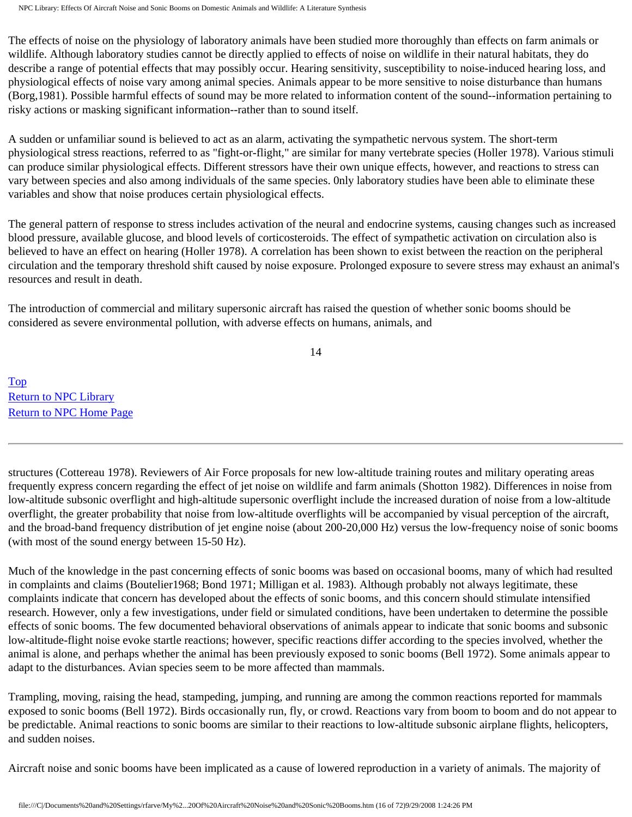The effects of noise on the physiology of laboratory animals have been studied more thoroughly than effects on farm animals or wildlife. Although laboratory studies cannot be directly applied to effects of noise on wildlife in their natural habitats, they do describe a range of potential effects that may possibly occur. Hearing sensitivity, susceptibility to noise-induced hearing loss, and physiological effects of noise vary among animal species. Animals appear to be more sensitive to noise disturbance than humans (Borg,1981). Possible harmful effects of sound may be more related to information content of the sound--information pertaining to risky actions or masking significant information--rather than to sound itself.

A sudden or unfamiliar sound is believed to act as an alarm, activating the sympathetic nervous system. The short-term physiological stress reactions, referred to as "fight-or-flight," are similar for many vertebrate species (Holler 1978). Various stimuli can produce similar physiological effects. Different stressors have their own unique effects, however, and reactions to stress can vary between species and also among individuals of the same species. 0nly laboratory studies have been able to eliminate these variables and show that noise produces certain physiological effects.

The general pattern of response to stress includes activation of the neural and endocrine systems, causing changes such as increased blood pressure, available glucose, and blood levels of corticosteroids. The effect of sympathetic activation on circulation also is believed to have an effect on hearing (Holler 1978). A correlation has been shown to exist between the reaction on the peripheral circulation and the temporary threshold shift caused by noise exposure. Prolonged exposure to severe stress may exhaust an animal's resources and result in death.

The introduction of commercial and military supersonic aircraft has raised the question of whether sonic booms should be considered as severe environmental pollution, with adverse effects on humans, animals, and

14

[Top](http://www.nonoise.org/library/animals/litsyn.htm#top)  [Return to NPC Library](http://www.nonoise.org/library.htm)  [Return to NPC Home Page](http://www.nonoise.org/index.htm) 

structures (Cottereau 1978). Reviewers of Air Force proposals for new low-altitude training routes and military operating areas frequently express concern regarding the effect of jet noise on wildlife and farm animals (Shotton 1982). Differences in noise from low-altitude subsonic overflight and high-altitude supersonic overflight include the increased duration of noise from a low-altitude overflight, the greater probability that noise from low-altitude overflights will be accompanied by visual perception of the aircraft, and the broad-band frequency distribution of jet engine noise (about 200-20,000 Hz) versus the low-frequency noise of sonic booms (with most of the sound energy between 15-50 Hz).

Much of the knowledge in the past concerning effects of sonic booms was based on occasional booms, many of which had resulted in complaints and claims (Boutelier1968; Bond 1971; Milligan et al. 1983). Although probably not always legitimate, these complaints indicate that concern has developed about the effects of sonic booms, and this concern should stimulate intensified research. However, only a few investigations, under field or simulated conditions, have been undertaken to determine the possible effects of sonic booms. The few documented behavioral observations of animals appear to indicate that sonic booms and subsonic low-altitude-flight noise evoke startle reactions; however, specific reactions differ according to the species involved, whether the animal is alone, and perhaps whether the animal has been previously exposed to sonic booms (Bell 1972). Some animals appear to adapt to the disturbances. Avian species seem to be more affected than mammals.

Trampling, moving, raising the head, stampeding, jumping, and running are among the common reactions reported for mammals exposed to sonic booms (Bell 1972). Birds occasionally run, fly, or crowd. Reactions vary from boom to boom and do not appear to be predictable. Animal reactions to sonic booms are similar to their reactions to low-altitude subsonic airplane flights, helicopters, and sudden noises.

Aircraft noise and sonic booms have been implicated as a cause of lowered reproduction in a variety of animals. The majority of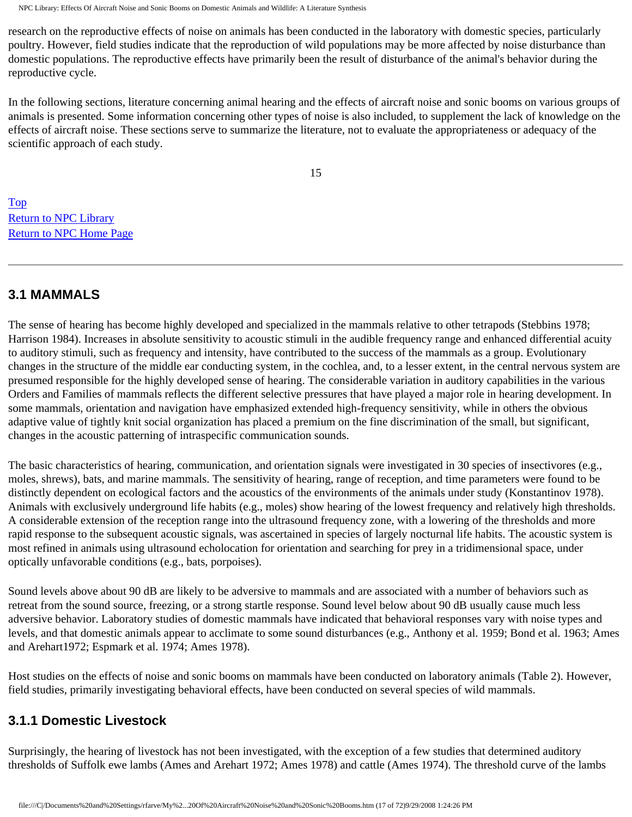research on the reproductive effects of noise on animals has been conducted in the laboratory with domestic species, particularly poultry. However, field studies indicate that the reproduction of wild populations may be more affected by noise disturbance than domestic populations. The reproductive effects have primarily been the result of disturbance of the animal's behavior during the reproductive cycle.

In the following sections, literature concerning animal hearing and the effects of aircraft noise and sonic booms on various groups of animals is presented. Some information concerning other types of noise is also included, to supplement the lack of knowledge on the effects of aircraft noise. These sections serve to summarize the literature, not to evaluate the appropriateness or adequacy of the scientific approach of each study.

15

[Top](http://www.nonoise.org/library/animals/litsyn.htm#top)  [Return to NPC Library](http://www.nonoise.org/library.htm)  [Return to NPC Home Page](http://www.nonoise.org/index.htm) 

## **3.1 MAMMALS**

The sense of hearing has become highly developed and specialized in the mammals relative to other tetrapods (Stebbins 1978; Harrison 1984). Increases in absolute sensitivity to acoustic stimuli in the audible frequency range and enhanced differential acuity to auditory stimuli, such as frequency and intensity, have contributed to the success of the mammals as a group. Evolutionary changes in the structure of the middle ear conducting system, in the cochlea, and, to a lesser extent, in the central nervous system are presumed responsible for the highly developed sense of hearing. The considerable variation in auditory capabilities in the various Orders and Families of mammals reflects the different selective pressures that have played a major role in hearing development. In some mammals, orientation and navigation have emphasized extended high-frequency sensitivity, while in others the obvious adaptive value of tightly knit social organization has placed a premium on the fine discrimination of the small, but significant, changes in the acoustic patterning of intraspecific communication sounds.

The basic characteristics of hearing, communication, and orientation signals were investigated in 30 species of insectivores (e.g., moles, shrews), bats, and marine mammals. The sensitivity of hearing, range of reception, and time parameters were found to be distinctly dependent on ecological factors and the acoustics of the environments of the animals under study (Konstantinov 1978). Animals with exclusively underground life habits (e.g., moles) show hearing of the lowest frequency and relatively high thresholds. A considerable extension of the reception range into the ultrasound frequency zone, with a lowering of the thresholds and more rapid response to the subsequent acoustic signals, was ascertained in species of largely nocturnal life habits. The acoustic system is most refined in animals using ultrasound echolocation for orientation and searching for prey in a tridimensional space, under optically unfavorable conditions (e.g., bats, porpoises).

Sound levels above about 90 dB are likely to be adversive to mammals and are associated with a number of behaviors such as retreat from the sound source, freezing, or a strong startle response. Sound level below about 90 dB usually cause much less adversive behavior. Laboratory studies of domestic mammals have indicated that behavioral responses vary with noise types and levels, and that domestic animals appear to acclimate to some sound disturbances (e.g., Anthony et al. 1959; Bond et al. 1963; Ames and Arehart1972; Espmark et al. 1974; Ames 1978).

Host studies on the effects of noise and sonic booms on mammals have been conducted on laboratory animals (Table 2). However, field studies, primarily investigating behavioral effects, have been conducted on several species of wild mammals.

## **3.1.1 Domestic Livestock**

Surprisingly, the hearing of livestock has not been investigated, with the exception of a few studies that determined auditory thresholds of Suffolk ewe lambs (Ames and Arehart 1972; Ames 1978) and cattle (Ames 1974). The threshold curve of the lambs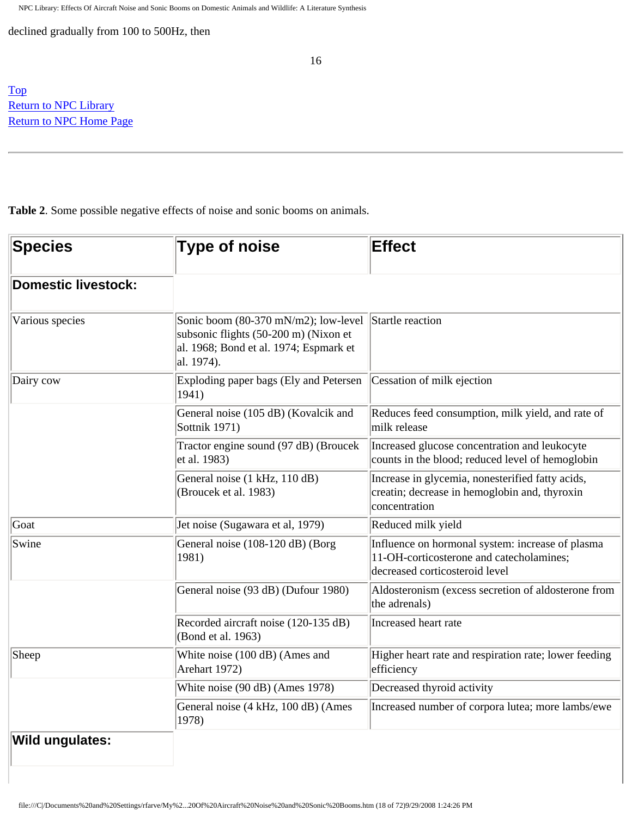declined gradually from 100 to 500Hz, then

[Top](http://www.nonoise.org/library/animals/litsyn.htm#top)  **Return to NPC Library** [Return to NPC Home Page](http://www.nonoise.org/index.htm) 

**Table 2**. Some possible negative effects of noise and sonic booms on animals.

| Species             | <b>Type of noise</b>                                                                                                                                   | <b>Effect</b>                                                                                                                  |
|---------------------|--------------------------------------------------------------------------------------------------------------------------------------------------------|--------------------------------------------------------------------------------------------------------------------------------|
| Domestic livestock: |                                                                                                                                                        |                                                                                                                                |
| Various species     | Sonic boom (80-370 mN/m2); low-level Startle reaction<br>subsonic flights (50-200 m) (Nixon et<br>al. 1968; Bond et al. 1974; Espmark et<br>al. 1974). |                                                                                                                                |
| Dairy cow           | Exploding paper bags (Ely and Petersen<br>1941)                                                                                                        | Cessation of milk ejection                                                                                                     |
|                     | General noise (105 dB) (Kovalcik and<br>Sottnik 1971)                                                                                                  | Reduces feed consumption, milk yield, and rate of<br>milk release                                                              |
|                     | Tractor engine sound (97 dB) (Broucek<br>et al. 1983)                                                                                                  | Increased glucose concentration and leukocyte<br>counts in the blood; reduced level of hemoglobin                              |
|                     | General noise (1 kHz, 110 dB)<br>(Broucek et al. 1983)                                                                                                 | Increase in glycemia, nonesterified fatty acids,<br>creatin; decrease in hemoglobin and, thyroxin<br>concentration             |
| Goat                | Jet noise (Sugawara et al, 1979)                                                                                                                       | Reduced milk yield                                                                                                             |
| Swine               | General noise (108-120 dB) (Borg<br>1981)                                                                                                              | Influence on hormonal system: increase of plasma<br>11-OH-corticosterone and catecholamines;<br>decreased corticosteroid level |
|                     | General noise (93 dB) (Dufour 1980)                                                                                                                    | Aldosteronism (excess secretion of aldosterone from<br>the adrenals)                                                           |
|                     | Recorded aircraft noise (120-135 dB)<br>(Bond et al. 1963)                                                                                             | Increased heart rate                                                                                                           |
| Sheep               | White noise (100 dB) (Ames and<br>Arehart 1972)                                                                                                        | Higher heart rate and respiration rate; lower feeding<br>efficiency                                                            |
|                     | White noise (90 dB) (Ames 1978)                                                                                                                        | Decreased thyroid activity                                                                                                     |
|                     | General noise (4 kHz, 100 dB) (Ames<br>1978)                                                                                                           | Increased number of corpora lutea; more lambs/ewe                                                                              |
| Wild ungulates:     |                                                                                                                                                        |                                                                                                                                |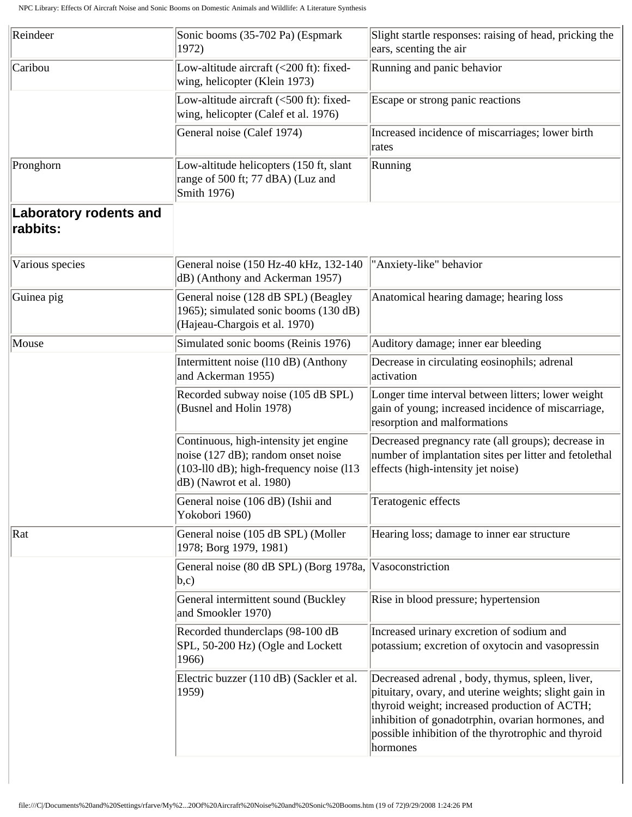| Reindeer                                  | Sonic booms (35-702 Pa) (Espmark<br>1972)                                                                                                                              | Slight startle responses: raising of head, pricking the<br>ears, scenting the air                                                                                                                                                                                                 |
|-------------------------------------------|------------------------------------------------------------------------------------------------------------------------------------------------------------------------|-----------------------------------------------------------------------------------------------------------------------------------------------------------------------------------------------------------------------------------------------------------------------------------|
| Caribou                                   | Low-altitude aircraft (<200 ft): fixed-<br>wing, helicopter (Klein 1973)                                                                                               | Running and panic behavior                                                                                                                                                                                                                                                        |
|                                           | Low-altitude aircraft (<500 ft): fixed-<br>wing, helicopter (Calef et al. 1976)                                                                                        | Escape or strong panic reactions                                                                                                                                                                                                                                                  |
|                                           | General noise (Calef 1974)                                                                                                                                             | Increased incidence of miscarriages; lower birth<br>rates                                                                                                                                                                                                                         |
| Pronghorn                                 | Low-altitude helicopters (150 ft, slant<br>range of 500 ft; 77 dBA) (Luz and<br>Smith 1976)                                                                            | Running                                                                                                                                                                                                                                                                           |
| <b>Laboratory rodents and</b><br>rabbits: |                                                                                                                                                                        |                                                                                                                                                                                                                                                                                   |
| Various species                           | General noise (150 Hz-40 kHz, 132-140)<br>dB) (Anthony and Ackerman 1957)                                                                                              | "Anxiety-like" behavior                                                                                                                                                                                                                                                           |
| Guinea pig                                | General noise (128 dB SPL) (Beagley<br>1965); simulated sonic booms (130 dB)<br>(Hajeau-Chargois et al. 1970)                                                          | Anatomical hearing damage; hearing loss                                                                                                                                                                                                                                           |
| Mouse                                     | Simulated sonic booms (Reinis 1976)                                                                                                                                    | Auditory damage; inner ear bleeding                                                                                                                                                                                                                                               |
|                                           | Intermittent noise (110 dB) (Anthony<br>and Ackerman 1955)                                                                                                             | Decrease in circulating eosinophils; adrenal<br>activation                                                                                                                                                                                                                        |
|                                           | Recorded subway noise (105 dB SPL)<br>(Busnel and Holin 1978)                                                                                                          | Longer time interval between litters; lower weight<br>gain of young; increased incidence of miscarriage,<br>resorption and malformations                                                                                                                                          |
|                                           | Continuous, high-intensity jet engine<br>noise $(127 \text{ dB})$ ; random onset noise<br>$(103-110)$ dB); high-frequency noise $(113)$<br>$dB$ ) (Nawrot et al. 1980) | Decreased pregnancy rate (all groups); decrease in<br>number of implantation sites per litter and fetolethal<br>effects (high-intensity jet noise)                                                                                                                                |
|                                           | General noise (106 dB) (Ishii and<br>Yokobori 1960)                                                                                                                    | Teratogenic effects                                                                                                                                                                                                                                                               |
| $\vert$ Rat                               | General noise (105 dB SPL) (Moller<br>1978; Borg 1979, 1981)                                                                                                           | Hearing loss; damage to inner ear structure                                                                                                                                                                                                                                       |
|                                           | General noise (80 dB SPL) (Borg 1978a,<br>$ b,c\rangle$                                                                                                                | Vasoconstriction                                                                                                                                                                                                                                                                  |
|                                           | General intermittent sound (Buckley<br>and Smookler 1970)                                                                                                              | Rise in blood pressure; hypertension                                                                                                                                                                                                                                              |
|                                           | Recorded thunderclaps (98-100 dB<br>SPL, 50-200 Hz) (Ogle and Lockett<br>1966)                                                                                         | Increased urinary excretion of sodium and<br>potassium; excretion of oxytocin and vasopressin                                                                                                                                                                                     |
|                                           | Electric buzzer (110 dB) (Sackler et al.<br>1959)                                                                                                                      | Decreased adrenal, body, thymus, spleen, liver,<br>pituitary, ovary, and uterine weights; slight gain in<br>thyroid weight; increased production of ACTH;<br>inhibition of gonadotrphin, ovarian hormones, and<br>possible inhibition of the thyrotrophic and thyroid<br>hormones |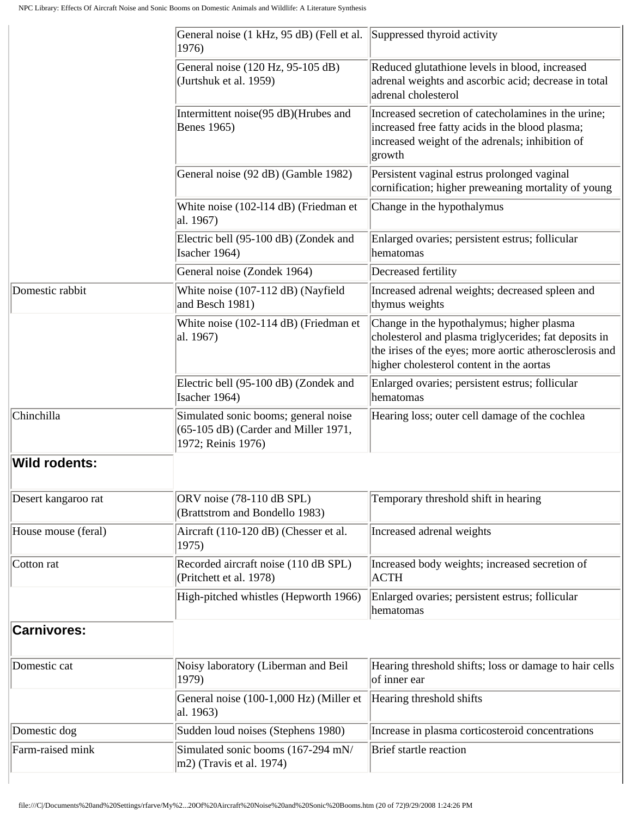|                      | General noise (1 kHz, 95 dB) (Fell et al. Suppressed thyroid activity<br>1976)                     |                                                                                                                                                                                                           |
|----------------------|----------------------------------------------------------------------------------------------------|-----------------------------------------------------------------------------------------------------------------------------------------------------------------------------------------------------------|
|                      | General noise (120 Hz, 95-105 dB)<br>(Jurtshuk et al. 1959)                                        | Reduced glutathione levels in blood, increased<br>adrenal weights and ascorbic acid; decrease in total<br>adrenal cholesterol                                                                             |
|                      | Intermittent noise(95 dB)(Hrubes and<br>Benes 1965)                                                | Increased secretion of catecholamines in the urine;<br>increased free fatty acids in the blood plasma;<br>increased weight of the adrenals; inhibition of<br>growth                                       |
|                      | General noise (92 dB) (Gamble 1982)                                                                | Persistent vaginal estrus prolonged vaginal<br>cornification; higher preweaning mortality of young                                                                                                        |
|                      | White noise (102-114 dB) (Friedman et<br>al. 1967)                                                 | Change in the hypothalymus                                                                                                                                                                                |
|                      | Electric bell (95-100 dB) (Zondek and<br>Isacher 1964)                                             | Enlarged ovaries; persistent estrus; follicular<br>hematomas                                                                                                                                              |
|                      | General noise (Zondek 1964)                                                                        | Decreased fertility                                                                                                                                                                                       |
| Domestic rabbit      | White noise (107-112 dB) (Nayfield<br>and Besch 1981)                                              | Increased adrenal weights; decreased spleen and<br>thymus weights                                                                                                                                         |
|                      | White noise (102-114 dB) (Friedman et<br>al. 1967)                                                 | Change in the hypothalymus; higher plasma<br>cholesterol and plasma triglycerides; fat deposits in<br>the irises of the eyes; more aortic atherosclerosis and<br>higher cholesterol content in the aortas |
|                      | Electric bell (95-100 dB) (Zondek and<br>Isacher 1964)                                             | Enlarged ovaries; persistent estrus; follicular<br>hematomas                                                                                                                                              |
| Chinchilla           | Simulated sonic booms; general noise<br>(65-105 dB) (Carder and Miller 1971,<br>1972; Reinis 1976) | Hearing loss; outer cell damage of the cochlea                                                                                                                                                            |
| <b>Wild rodents:</b> |                                                                                                    |                                                                                                                                                                                                           |
| Desert kangaroo rat  | ORV noise (78-110 dB SPL)<br>(Brattstrom and Bondello 1983)                                        | Temporary threshold shift in hearing                                                                                                                                                                      |
| House mouse (feral)  | Aircraft (110-120 dB) (Chesser et al.<br>1975)                                                     | Increased adrenal weights                                                                                                                                                                                 |
| Cotton rat           | Recorded aircraft noise (110 dB SPL)<br>(Pritchett et al. 1978)                                    | Increased body weights; increased secretion of<br><b>ACTH</b>                                                                                                                                             |
|                      | High-pitched whistles (Hepworth 1966)                                                              | Enlarged ovaries; persistent estrus; follicular<br>hematomas                                                                                                                                              |
| <b>Carnivores:</b>   |                                                                                                    |                                                                                                                                                                                                           |
| Domestic cat         | Noisy laboratory (Liberman and Beil<br>1979)                                                       | Hearing threshold shifts; loss or damage to hair cells<br>of inner ear                                                                                                                                    |
|                      | General noise (100-1,000 Hz) (Miller et<br>al. 1963)                                               | Hearing threshold shifts                                                                                                                                                                                  |
| Domestic dog         | Sudden loud noises (Stephens 1980)                                                                 | Increase in plasma corticosteroid concentrations                                                                                                                                                          |
| Farm-raised mink     | Simulated sonic booms (167-294 mN/<br>$ m2$ ) (Travis et al. 1974)                                 | Brief startle reaction                                                                                                                                                                                    |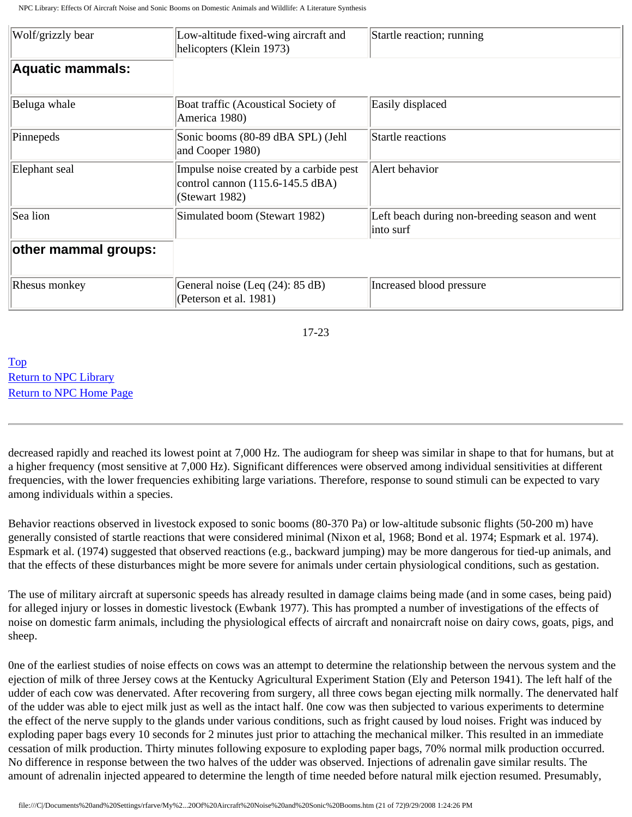| Wolf/grizzly bear       | Low-altitude fixed-wing aircraft and<br>helicopters (Klein 1973)                              | Startle reaction; running                                   |
|-------------------------|-----------------------------------------------------------------------------------------------|-------------------------------------------------------------|
| <b>Aquatic mammals:</b> |                                                                                               |                                                             |
| Beluga whale            | Boat traffic (Acoustical Society of<br>America 1980)                                          | Easily displaced                                            |
| Pinnepeds               | Sonic booms (80-89 dBA SPL) (Jehl<br>and Cooper 1980)                                         | Startle reactions                                           |
| Elephant seal           | Impulse noise created by a carbide pest<br>control cannon (115.6-145.5 dBA)<br>(Stewart 1982) | Alert behavior                                              |
| Sea lion                | Simulated boom (Stewart 1982)                                                                 | Left beach during non-breeding season and went<br>into surf |
| other mammal groups:    |                                                                                               |                                                             |
| Rhesus monkey           | General noise (Leq (24): 85 dB)<br>(Peterson et al. 1981)                                     | Increased blood pressure                                    |

17-23

[Top](http://www.nonoise.org/library/animals/litsyn.htm#top)  [Return to NPC Library](http://www.nonoise.org/library.htm)  [Return to NPC Home Page](http://www.nonoise.org/index.htm) 

decreased rapidly and reached its lowest point at 7,000 Hz. The audiogram for sheep was similar in shape to that for humans, but at a higher frequency (most sensitive at 7,000 Hz). Significant differences were observed among individual sensitivities at different frequencies, with the lower frequencies exhibiting large variations. Therefore, response to sound stimuli can be expected to vary among individuals within a species.

Behavior reactions observed in livestock exposed to sonic booms (80-370 Pa) or low-altitude subsonic flights (50-200 m) have generally consisted of startle reactions that were considered minimal (Nixon et al, 1968; Bond et al. 1974; Espmark et al. 1974). Espmark et al. (1974) suggested that observed reactions (e.g., backward jumping) may be more dangerous for tied-up animals, and that the effects of these disturbances might be more severe for animals under certain physiological conditions, such as gestation.

The use of military aircraft at supersonic speeds has already resulted in damage claims being made (and in some cases, being paid) for alleged injury or losses in domestic livestock (Ewbank 1977). This has prompted a number of investigations of the effects of noise on domestic farm animals, including the physiological effects of aircraft and nonaircraft noise on dairy cows, goats, pigs, and sheep.

0ne of the earliest studies of noise effects on cows was an attempt to determine the relationship between the nervous system and the ejection of milk of three Jersey cows at the Kentucky Agricultural Experiment Station (Ely and Peterson 1941). The left half of the udder of each cow was denervated. After recovering from surgery, all three cows began ejecting milk normally. The denervated half of the udder was able to eject milk just as well as the intact half. 0ne cow was then subjected to various experiments to determine the effect of the nerve supply to the glands under various conditions, such as fright caused by loud noises. Fright was induced by exploding paper bags every 10 seconds for 2 minutes just prior to attaching the mechanical milker. This resulted in an immediate cessation of milk production. Thirty minutes following exposure to exploding paper bags, 70% normal milk production occurred. No difference in response between the two halves of the udder was observed. Injections of adrenalin gave similar results. The amount of adrenalin injected appeared to determine the length of time needed before natural milk ejection resumed. Presumably,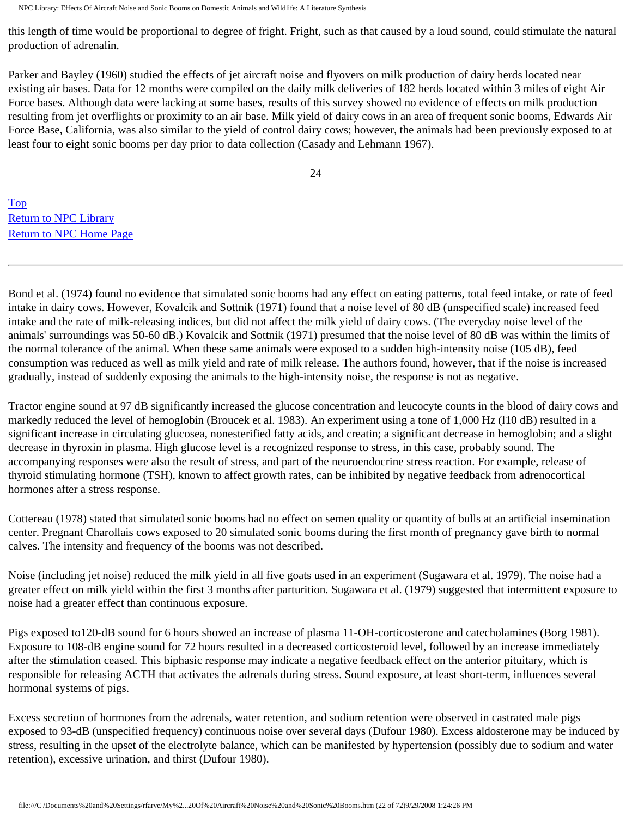this length of time would be proportional to degree of fright. Fright, such as that caused by a loud sound, could stimulate the natural production of adrenalin.

Parker and Bayley (1960) studied the effects of jet aircraft noise and flyovers on milk production of dairy herds located near existing air bases. Data for 12 months were compiled on the daily milk deliveries of 182 herds located within 3 miles of eight Air Force bases. Although data were lacking at some bases, results of this survey showed no evidence of effects on milk production resulting from jet overflights or proximity to an air base. Milk yield of dairy cows in an area of frequent sonic booms, Edwards Air Force Base, California, was also similar to the yield of control dairy cows; however, the animals had been previously exposed to at least four to eight sonic booms per day prior to data collection (Casady and Lehmann 1967).

24

[Top](http://www.nonoise.org/library/animals/litsyn.htm#top)  [Return to NPC Library](http://www.nonoise.org/library.htm)  [Return to NPC Home Page](http://www.nonoise.org/index.htm) 

Bond et al. (1974) found no evidence that simulated sonic booms had any effect on eating patterns, total feed intake, or rate of feed intake in dairy cows. However, Kovalcik and Sottnik (1971) found that a noise level of 80 dB (unspecified scale) increased feed intake and the rate of milk-releasing indices, but did not affect the milk yield of dairy cows. (The everyday noise level of the animals' surroundings was 50-60 dB.) Kovalcik and Sottnik (1971) presumed that the noise level of 80 dB was within the limits of the normal tolerance of the animal. When these same animals were exposed to a sudden high-intensity noise (105 dB), feed consumption was reduced as well as milk yield and rate of milk release. The authors found, however, that if the noise is increased gradually, instead of suddenly exposing the animals to the high-intensity noise, the response is not as negative.

Tractor engine sound at 97 dB significantly increased the glucose concentration and leucocyte counts in the blood of dairy cows and markedly reduced the level of hemoglobin (Broucek et al. 1983). An experiment using a tone of 1,000 Hz (l10 dB) resulted in a significant increase in circulating glucosea, nonesterified fatty acids, and creatin; a significant decrease in hemoglobin; and a slight decrease in thyroxin in plasma. High glucose level is a recognized response to stress, in this case, probably sound. The accompanying responses were also the result of stress, and part of the neuroendocrine stress reaction. For example, release of thyroid stimulating hormone (TSH), known to affect growth rates, can be inhibited by negative feedback from adrenocortical hormones after a stress response.

Cottereau (1978) stated that simulated sonic booms had no effect on semen quality or quantity of bulls at an artificial insemination center. Pregnant Charollais cows exposed to 20 simulated sonic booms during the first month of pregnancy gave birth to normal calves. The intensity and frequency of the booms was not described.

Noise (including jet noise) reduced the milk yield in all five goats used in an experiment (Sugawara et al. 1979). The noise had a greater effect on milk yield within the first 3 months after parturition. Sugawara et al. (1979) suggested that intermittent exposure to noise had a greater effect than continuous exposure.

Pigs exposed to120-dB sound for 6 hours showed an increase of plasma 11-OH-corticosterone and catecholamines (Borg 1981). Exposure to 108-dB engine sound for 72 hours resulted in a decreased corticosteroid level, followed by an increase immediately after the stimulation ceased. This biphasic response may indicate a negative feedback effect on the anterior pituitary, which is responsible for releasing ACTH that activates the adrenals during stress. Sound exposure, at least short-term, influences several hormonal systems of pigs.

Excess secretion of hormones from the adrenals, water retention, and sodium retention were observed in castrated male pigs exposed to 93-dB (unspecified frequency) continuous noise over several days (Dufour 1980). Excess aldosterone may be induced by stress, resulting in the upset of the electrolyte balance, which can be manifested by hypertension (possibly due to sodium and water retention), excessive urination, and thirst (Dufour 1980).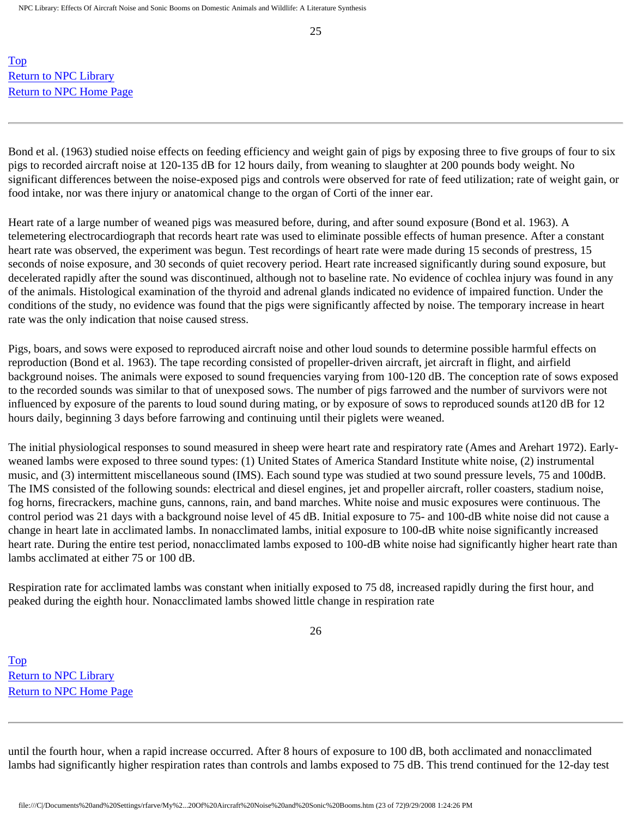25

[Top](http://www.nonoise.org/library/animals/litsyn.htm#top)  [Return to NPC Library](http://www.nonoise.org/library.htm)  [Return to NPC Home Page](http://www.nonoise.org/index.htm) 

Bond et al. (1963) studied noise effects on feeding efficiency and weight gain of pigs by exposing three to five groups of four to six pigs to recorded aircraft noise at 120-135 dB for 12 hours daily, from weaning to slaughter at 200 pounds body weight. No significant differences between the noise-exposed pigs and controls were observed for rate of feed utilization; rate of weight gain, or food intake, nor was there injury or anatomical change to the organ of Corti of the inner ear.

Heart rate of a large number of weaned pigs was measured before, during, and after sound exposure (Bond et al. 1963). A telemetering electrocardiograph that records heart rate was used to eliminate possible effects of human presence. After a constant heart rate was observed, the experiment was begun. Test recordings of heart rate were made during 15 seconds of prestress, 15 seconds of noise exposure, and 30 seconds of quiet recovery period. Heart rate increased significantly during sound exposure, but decelerated rapidly after the sound was discontinued, although not to baseline rate. No evidence of cochlea injury was found in any of the animals. Histological examination of the thyroid and adrenal glands indicated no evidence of impaired function. Under the conditions of the study, no evidence was found that the pigs were significantly affected by noise. The temporary increase in heart rate was the only indication that noise caused stress.

Pigs, boars, and sows were exposed to reproduced aircraft noise and other loud sounds to determine possible harmful effects on reproduction (Bond et al. 1963). The tape recording consisted of propeller-driven aircraft, jet aircraft in flight, and airfield background noises. The animals were exposed to sound frequencies varying from 100-120 dB. The conception rate of sows exposed to the recorded sounds was similar to that of unexposed sows. The number of pigs farrowed and the number of survivors were not influenced by exposure of the parents to loud sound during mating, or by exposure of sows to reproduced sounds at120 dB for 12 hours daily, beginning 3 days before farrowing and continuing until their piglets were weaned.

The initial physiological responses to sound measured in sheep were heart rate and respiratory rate (Ames and Arehart 1972). Earlyweaned lambs were exposed to three sound types: (1) United States of America Standard Institute white noise, (2) instrumental music, and (3) intermittent miscellaneous sound (IMS). Each sound type was studied at two sound pressure levels, 75 and 100dB. The IMS consisted of the following sounds: electrical and diesel engines, jet and propeller aircraft, roller coasters, stadium noise, fog horns, firecrackers, machine guns, cannons, rain, and band marches. White noise and music exposures were continuous. The control period was 21 days with a background noise level of 45 dB. Initial exposure to 75- and 100-dB white noise did not cause a change in heart late in acclimated lambs. In nonacclimated lambs, initial exposure to 100-dB white noise significantly increased heart rate. During the entire test period, nonacclimated lambs exposed to 100-dB white noise had significantly higher heart rate than lambs acclimated at either 75 or 100 dB.

Respiration rate for acclimated lambs was constant when initially exposed to 75 d8, increased rapidly during the first hour, and peaked during the eighth hour. Nonacclimated lambs showed little change in respiration rate

26

[Top](http://www.nonoise.org/library/animals/litsyn.htm#top)  [Return to NPC Library](http://www.nonoise.org/library.htm)  [Return to NPC Home Page](http://www.nonoise.org/index.htm) 

until the fourth hour, when a rapid increase occurred. After 8 hours of exposure to 100 dB, both acclimated and nonacclimated lambs had significantly higher respiration rates than controls and lambs exposed to 75 dB. This trend continued for the 12-day test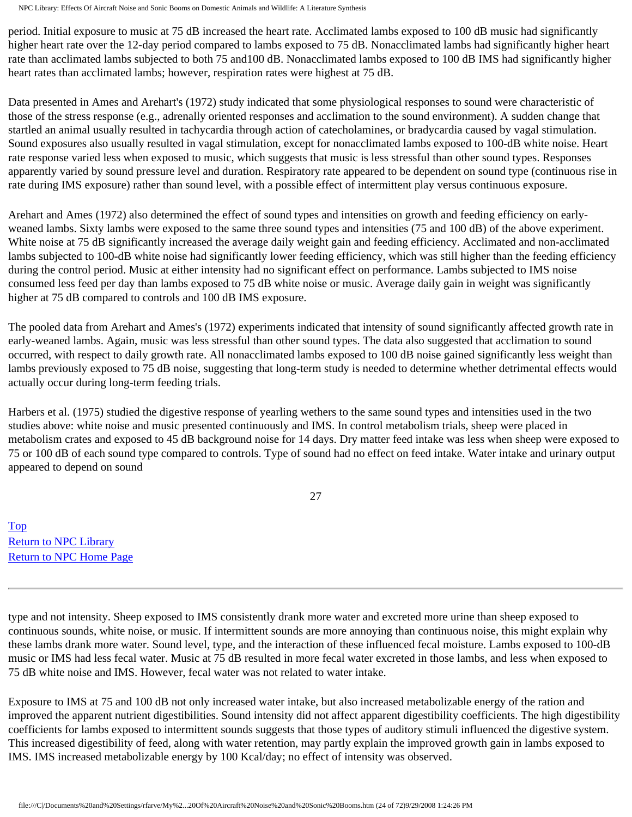period. Initial exposure to music at 75 dB increased the heart rate. Acclimated lambs exposed to 100 dB music had significantly higher heart rate over the 12-day period compared to lambs exposed to 75 dB. Nonacclimated lambs had significantly higher heart rate than acclimated lambs subjected to both 75 and100 dB. Nonacclimated lambs exposed to 100 dB IMS had significantly higher heart rates than acclimated lambs; however, respiration rates were highest at 75 dB.

Data presented in Ames and Arehart's (1972) study indicated that some physiological responses to sound were characteristic of those of the stress response (e.g., adrenally oriented responses and acclimation to the sound environment). A sudden change that startled an animal usually resulted in tachycardia through action of catecholamines, or bradycardia caused by vagal stimulation. Sound exposures also usually resulted in vagal stimulation, except for nonacclimated lambs exposed to 100-dB white noise. Heart rate response varied less when exposed to music, which suggests that music is less stressful than other sound types. Responses apparently varied by sound pressure level and duration. Respiratory rate appeared to be dependent on sound type (continuous rise in rate during IMS exposure) rather than sound level, with a possible effect of intermittent play versus continuous exposure.

Arehart and Ames (1972) also determined the effect of sound types and intensities on growth and feeding efficiency on earlyweaned lambs. Sixty lambs were exposed to the same three sound types and intensities (75 and 100 dB) of the above experiment. White noise at 75 dB significantly increased the average daily weight gain and feeding efficiency. Acclimated and non-acclimated lambs subjected to 100-dB white noise had significantly lower feeding efficiency, which was still higher than the feeding efficiency during the control period. Music at either intensity had no significant effect on performance. Lambs subjected to IMS noise consumed less feed per day than lambs exposed to 75 dB white noise or music. Average daily gain in weight was significantly higher at 75 dB compared to controls and 100 dB IMS exposure.

The pooled data from Arehart and Ames's (1972) experiments indicated that intensity of sound significantly affected growth rate in early-weaned lambs. Again, music was less stressful than other sound types. The data also suggested that acclimation to sound occurred, with respect to daily growth rate. All nonacclimated lambs exposed to 100 dB noise gained significantly less weight than lambs previously exposed to 75 dB noise, suggesting that long-term study is needed to determine whether detrimental effects would actually occur during long-term feeding trials.

Harbers et al. (1975) studied the digestive response of yearling wethers to the same sound types and intensities used in the two studies above: white noise and music presented continuously and IMS. In control metabolism trials, sheep were placed in metabolism crates and exposed to 45 dB background noise for 14 days. Dry matter feed intake was less when sheep were exposed to 75 or 100 dB of each sound type compared to controls. Type of sound had no effect on feed intake. Water intake and urinary output appeared to depend on sound

27

[Top](http://www.nonoise.org/library/animals/litsyn.htm#top)  [Return to NPC Library](http://www.nonoise.org/library.htm)  [Return to NPC Home Page](http://www.nonoise.org/index.htm) 

type and not intensity. Sheep exposed to IMS consistently drank more water and excreted more urine than sheep exposed to continuous sounds, white noise, or music. If intermittent sounds are more annoying than continuous noise, this might explain why these lambs drank more water. Sound level, type, and the interaction of these influenced fecal moisture. Lambs exposed to 100-dB music or IMS had less fecal water. Music at 75 dB resulted in more fecal water excreted in those lambs, and less when exposed to 75 dB white noise and IMS. However, fecal water was not related to water intake.

Exposure to IMS at 75 and 100 dB not only increased water intake, but also increased metabolizable energy of the ration and improved the apparent nutrient digestibilities. Sound intensity did not affect apparent digestibility coefficients. The high digestibility coefficients for lambs exposed to intermittent sounds suggests that those types of auditory stimuli influenced the digestive system. This increased digestibility of feed, along with water retention, may partly explain the improved growth gain in lambs exposed to IMS. IMS increased metabolizable energy by 100 Kcal/day; no effect of intensity was observed.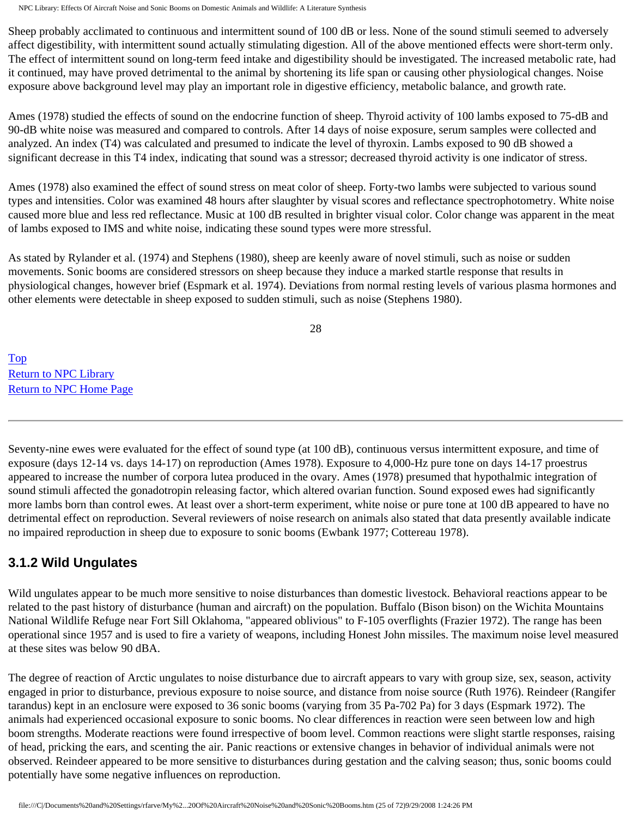Sheep probably acclimated to continuous and intermittent sound of 100 dB or less. None of the sound stimuli seemed to adversely affect digestibility, with intermittent sound actually stimulating digestion. All of the above mentioned effects were short-term only. The effect of intermittent sound on long-term feed intake and digestibility should be investigated. The increased metabolic rate, had it continued, may have proved detrimental to the animal by shortening its life span or causing other physiological changes. Noise exposure above background level may play an important role in digestive efficiency, metabolic balance, and growth rate.

Ames (1978) studied the effects of sound on the endocrine function of sheep. Thyroid activity of 100 lambs exposed to 75-dB and 90-dB white noise was measured and compared to controls. After 14 days of noise exposure, serum samples were collected and analyzed. An index (T4) was calculated and presumed to indicate the level of thyroxin. Lambs exposed to 90 dB showed a significant decrease in this T4 index, indicating that sound was a stressor; decreased thyroid activity is one indicator of stress.

Ames (1978) also examined the effect of sound stress on meat color of sheep. Forty-two lambs were subjected to various sound types and intensities. Color was examined 48 hours after slaughter by visual scores and reflectance spectrophotometry. White noise caused more blue and less red reflectance. Music at 100 dB resulted in brighter visual color. Color change was apparent in the meat of lambs exposed to IMS and white noise, indicating these sound types were more stressful.

As stated by Rylander et al. (1974) and Stephens (1980), sheep are keenly aware of novel stimuli, such as noise or sudden movements. Sonic booms are considered stressors on sheep because they induce a marked startle response that results in physiological changes, however brief (Espmark et al. 1974). Deviations from normal resting levels of various plasma hormones and other elements were detectable in sheep exposed to sudden stimuli, such as noise (Stephens 1980).

28

[Top](http://www.nonoise.org/library/animals/litsyn.htm#top)  [Return to NPC Library](http://www.nonoise.org/library.htm)  [Return to NPC Home Page](http://www.nonoise.org/index.htm) 

Seventy-nine ewes were evaluated for the effect of sound type (at 100 dB), continuous versus intermittent exposure, and time of exposure (days 12-14 vs. days 14-17) on reproduction (Ames 1978). Exposure to 4,000-Hz pure tone on days 14-17 proestrus appeared to increase the number of corpora lutea produced in the ovary. Ames (1978) presumed that hypothalmic integration of sound stimuli affected the gonadotropin releasing factor, which altered ovarian function. Sound exposed ewes had significantly more lambs born than control ewes. At least over a short-term experiment, white noise or pure tone at 100 dB appeared to have no detrimental effect on reproduction. Several reviewers of noise research on animals also stated that data presently available indicate no impaired reproduction in sheep due to exposure to sonic booms (Ewbank 1977; Cottereau 1978).

## **3.1.2 Wild Ungulates**

Wild ungulates appear to be much more sensitive to noise disturbances than domestic livestock. Behavioral reactions appear to be related to the past history of disturbance (human and aircraft) on the population. Buffalo (Bison bison) on the Wichita Mountains National Wildlife Refuge near Fort Sill Oklahoma, "appeared oblivious" to F-105 overflights (Frazier 1972). The range has been operational since 1957 and is used to fire a variety of weapons, including Honest John missiles. The maximum noise level measured at these sites was below 90 dBA.

The degree of reaction of Arctic ungulates to noise disturbance due to aircraft appears to vary with group size, sex, season, activity engaged in prior to disturbance, previous exposure to noise source, and distance from noise source (Ruth 1976). Reindeer (Rangifer tarandus) kept in an enclosure were exposed to 36 sonic booms (varying from 35 Pa-702 Pa) for 3 days (Espmark 1972). The animals had experienced occasional exposure to sonic booms. No clear differences in reaction were seen between low and high boom strengths. Moderate reactions were found irrespective of boom level. Common reactions were slight startle responses, raising of head, pricking the ears, and scenting the air. Panic reactions or extensive changes in behavior of individual animals were not observed. Reindeer appeared to be more sensitive to disturbances during gestation and the calving season; thus, sonic booms could potentially have some negative influences on reproduction.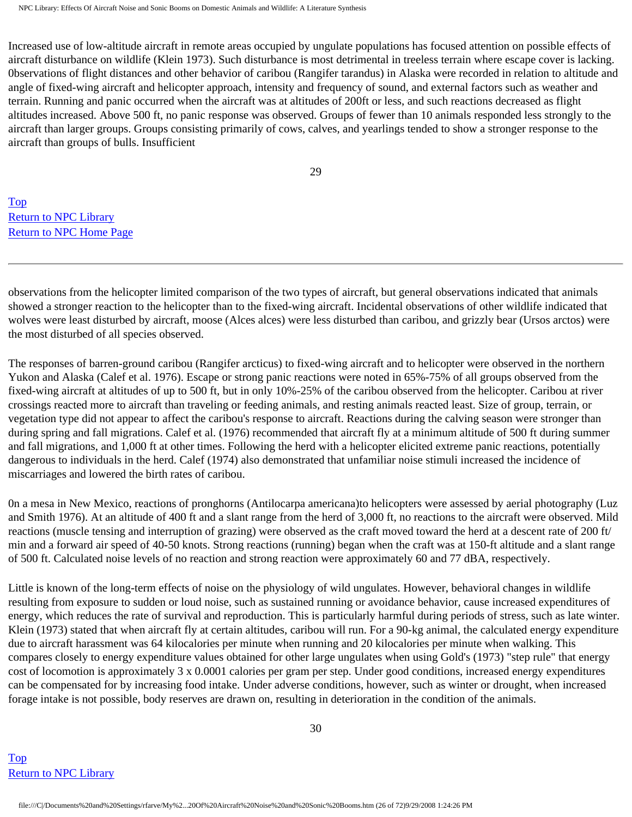Increased use of low-altitude aircraft in remote areas occupied by ungulate populations has focused attention on possible effects of aircraft disturbance on wildlife (Klein 1973). Such disturbance is most detrimental in treeless terrain where escape cover is lacking. 0bservations of flight distances and other behavior of caribou (Rangifer tarandus) in Alaska were recorded in relation to altitude and angle of fixed-wing aircraft and helicopter approach, intensity and frequency of sound, and external factors such as weather and terrain. Running and panic occurred when the aircraft was at altitudes of 200ft or less, and such reactions decreased as flight altitudes increased. Above 500 ft, no panic response was observed. Groups of fewer than 10 animals responded less strongly to the aircraft than larger groups. Groups consisting primarily of cows, calves, and yearlings tended to show a stronger response to the aircraft than groups of bulls. Insufficient

29

[Top](http://www.nonoise.org/library/animals/litsyn.htm#top)  [Return to NPC Library](http://www.nonoise.org/library.htm)  [Return to NPC Home Page](http://www.nonoise.org/index.htm) 

observations from the helicopter limited comparison of the two types of aircraft, but general observations indicated that animals showed a stronger reaction to the helicopter than to the fixed-wing aircraft. Incidental observations of other wildlife indicated that wolves were least disturbed by aircraft, moose (Alces alces) were less disturbed than caribou, and grizzly bear (Ursos arctos) were the most disturbed of all species observed.

The responses of barren-ground caribou (Rangifer arcticus) to fixed-wing aircraft and to helicopter were observed in the northern Yukon and Alaska (Calef et al. 1976). Escape or strong panic reactions were noted in 65%-75% of all groups observed from the fixed-wing aircraft at altitudes of up to 500 ft, but in only 10%-25% of the caribou observed from the helicopter. Caribou at river crossings reacted more to aircraft than traveling or feeding animals, and resting animals reacted least. Size of group, terrain, or vegetation type did not appear to affect the caribou's response to aircraft. Reactions during the calving season were stronger than during spring and fall migrations. Calef et al. (1976) recommended that aircraft fly at a minimum altitude of 500 ft during summer and fall migrations, and 1,000 ft at other times. Following the herd with a helicopter elicited extreme panic reactions, potentially dangerous to individuals in the herd. Calef (1974) also demonstrated that unfamiliar noise stimuli increased the incidence of miscarriages and lowered the birth rates of caribou.

0n a mesa in New Mexico, reactions of pronghorns (Antilocarpa americana)to helicopters were assessed by aerial photography (Luz and Smith 1976). At an altitude of 400 ft and a slant range from the herd of 3,000 ft, no reactions to the aircraft were observed. Mild reactions (muscle tensing and interruption of grazing) were observed as the craft moved toward the herd at a descent rate of 200 ft/ min and a forward air speed of 40-50 knots. Strong reactions (running) began when the craft was at 150-ft altitude and a slant range of 500 ft. Calculated noise levels of no reaction and strong reaction were approximately 60 and 77 dBA, respectively.

Little is known of the long-term effects of noise on the physiology of wild ungulates. However, behavioral changes in wildlife resulting from exposure to sudden or loud noise, such as sustained running or avoidance behavior, cause increased expenditures of energy, which reduces the rate of survival and reproduction. This is particularly harmful during periods of stress, such as late winter. Klein (1973) stated that when aircraft fly at certain altitudes, caribou will run. For a 90-kg animal, the calculated energy expenditure due to aircraft harassment was 64 kilocalories per minute when running and 20 kilocalories per minute when walking. This compares closely to energy expenditure values obtained for other large ungulates when using Gold's (1973) "step rule" that energy cost of locomotion is approximately 3 x 0.0001 calories per gram per step. Under good conditions, increased energy expenditures can be compensated for by increasing food intake. Under adverse conditions, however, such as winter or drought, when increased forage intake is not possible, body reserves are drawn on, resulting in deterioration in the condition of the animals.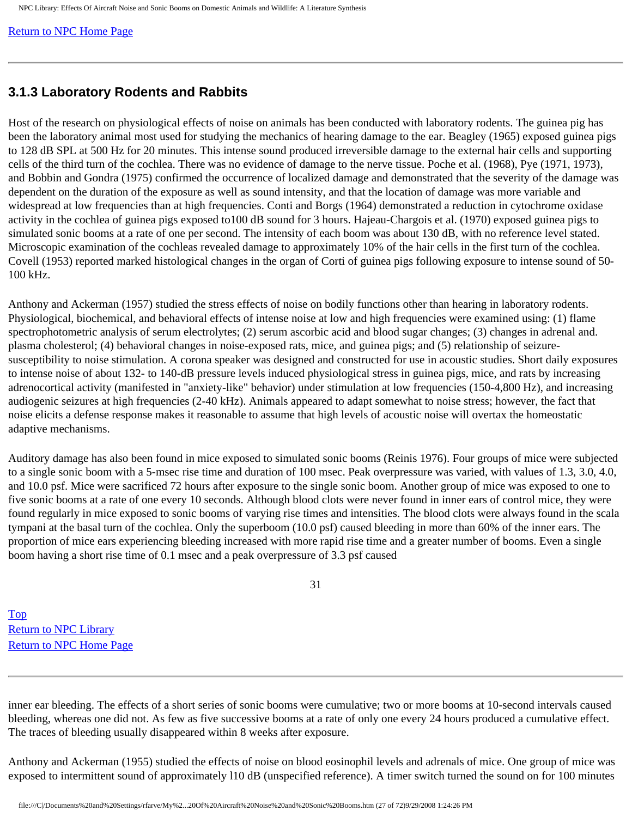[Return to NPC Home Page](http://www.nonoise.org/index.htm) 

#### **3.1.3 Laboratory Rodents and Rabbits**

Host of the research on physiological effects of noise on animals has been conducted with laboratory rodents. The guinea pig has been the laboratory animal most used for studying the mechanics of hearing damage to the ear. Beagley (1965) exposed guinea pigs to 128 dB SPL at 500 Hz for 20 minutes. This intense sound produced irreversible damage to the external hair cells and supporting cells of the third turn of the cochlea. There was no evidence of damage to the nerve tissue. Poche et al. (1968), Pye (1971, 1973), and Bobbin and Gondra (1975) confirmed the occurrence of localized damage and demonstrated that the severity of the damage was dependent on the duration of the exposure as well as sound intensity, and that the location of damage was more variable and widespread at low frequencies than at high frequencies. Conti and Borgs (1964) demonstrated a reduction in cytochrome oxidase activity in the cochlea of guinea pigs exposed to100 dB sound for 3 hours. Hajeau-Chargois et al. (1970) exposed guinea pigs to simulated sonic booms at a rate of one per second. The intensity of each boom was about 130 dB, with no reference level stated. Microscopic examination of the cochleas revealed damage to approximately 10% of the hair cells in the first turn of the cochlea. Covell (1953) reported marked histological changes in the organ of Corti of guinea pigs following exposure to intense sound of 50- 100 kHz.

Anthony and Ackerman (1957) studied the stress effects of noise on bodily functions other than hearing in laboratory rodents. Physiological, biochemical, and behavioral effects of intense noise at low and high frequencies were examined using: (1) flame spectrophotometric analysis of serum electrolytes; (2) serum ascorbic acid and blood sugar changes; (3) changes in adrenal and. plasma cholesterol; (4) behavioral changes in noise-exposed rats, mice, and guinea pigs; and (5) relationship of seizuresusceptibility to noise stimulation. A corona speaker was designed and constructed for use in acoustic studies. Short daily exposures to intense noise of about 132- to 140-dB pressure levels induced physiological stress in guinea pigs, mice, and rats by increasing adrenocortical activity (manifested in "anxiety-like" behavior) under stimulation at low frequencies (150-4,800 Hz), and increasing audiogenic seizures at high frequencies (2-40 kHz). Animals appeared to adapt somewhat to noise stress; however, the fact that noise elicits a defense response makes it reasonable to assume that high levels of acoustic noise will overtax the homeostatic adaptive mechanisms.

Auditory damage has also been found in mice exposed to simulated sonic booms (Reinis 1976). Four groups of mice were subjected to a single sonic boom with a 5-msec rise time and duration of 100 msec. Peak overpressure was varied, with values of 1.3, 3.0, 4.0, and 10.0 psf. Mice were sacrificed 72 hours after exposure to the single sonic boom. Another group of mice was exposed to one to five sonic booms at a rate of one every 10 seconds. Although blood clots were never found in inner ears of control mice, they were found regularly in mice exposed to sonic booms of varying rise times and intensities. The blood clots were always found in the scala tympani at the basal turn of the cochlea. Only the superboom (10.0 psf) caused bleeding in more than 60% of the inner ears. The proportion of mice ears experiencing bleeding increased with more rapid rise time and a greater number of booms. Even a single boom having a short rise time of 0.1 msec and a peak overpressure of 3.3 psf caused

31

[Top](http://www.nonoise.org/library/animals/litsyn.htm#top)  [Return to NPC Library](http://www.nonoise.org/library.htm)  [Return to NPC Home Page](http://www.nonoise.org/index.htm) 

inner ear bleeding. The effects of a short series of sonic booms were cumulative; two or more booms at 10-second intervals caused bleeding, whereas one did not. As few as five successive booms at a rate of only one every 24 hours produced a cumulative effect. The traces of bleeding usually disappeared within 8 weeks after exposure.

Anthony and Ackerman (1955) studied the effects of noise on blood eosinophil levels and adrenals of mice. One group of mice was exposed to intermittent sound of approximately l10 dB (unspecified reference). A timer switch turned the sound on for 100 minutes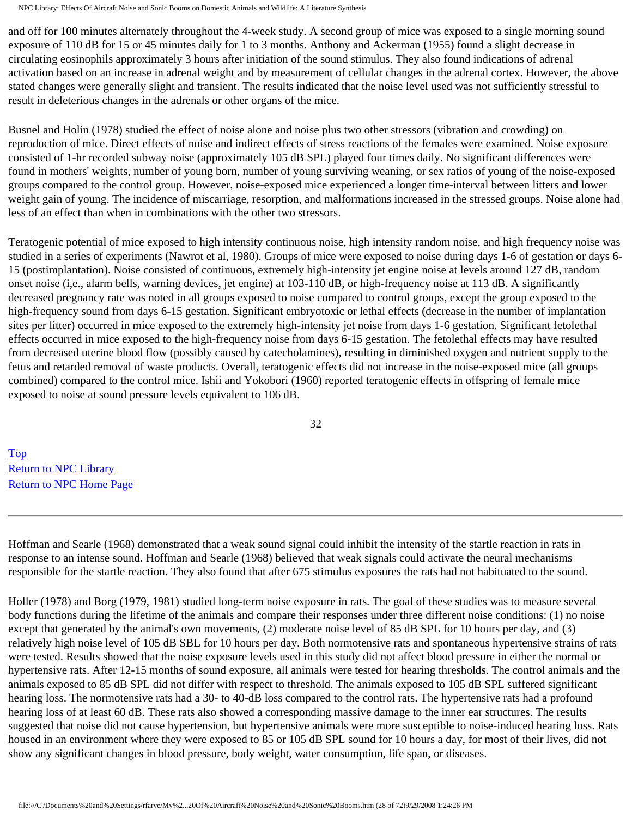and off for 100 minutes alternately throughout the 4-week study. A second group of mice was exposed to a single morning sound exposure of 110 dB for 15 or 45 minutes daily for 1 to 3 months. Anthony and Ackerman (1955) found a slight decrease in circulating eosinophils approximately 3 hours after initiation of the sound stimulus. They also found indications of adrenal activation based on an increase in adrenal weight and by measurement of cellular changes in the adrenal cortex. However, the above stated changes were generally slight and transient. The results indicated that the noise level used was not sufficiently stressful to result in deleterious changes in the adrenals or other organs of the mice.

Busnel and Holin (1978) studied the effect of noise alone and noise plus two other stressors (vibration and crowding) on reproduction of mice. Direct effects of noise and indirect effects of stress reactions of the females were examined. Noise exposure consisted of 1-hr recorded subway noise (approximately 105 dB SPL) played four times daily. No significant differences were found in mothers' weights, number of young born, number of young surviving weaning, or sex ratios of young of the noise-exposed groups compared to the control group. However, noise-exposed mice experienced a longer time-interval between litters and lower weight gain of young. The incidence of miscarriage, resorption, and malformations increased in the stressed groups. Noise alone had less of an effect than when in combinations with the other two stressors.

Teratogenic potential of mice exposed to high intensity continuous noise, high intensity random noise, and high frequency noise was studied in a series of experiments (Nawrot et al, 1980). Groups of mice were exposed to noise during days 1-6 of gestation or days 6- 15 (postimplantation). Noise consisted of continuous, extremely high-intensity jet engine noise at levels around 127 dB, random onset noise (i,e., alarm bells, warning devices, jet engine) at 103-110 dB, or high-frequency noise at 113 dB. A significantly decreased pregnancy rate was noted in all groups exposed to noise compared to control groups, except the group exposed to the high-frequency sound from days 6-15 gestation. Significant embryotoxic or lethal effects (decrease in the number of implantation sites per litter) occurred in mice exposed to the extremely high-intensity jet noise from days 1-6 gestation. Significant fetolethal effects occurred in mice exposed to the high-frequency noise from days 6-15 gestation. The fetolethal effects may have resulted from decreased uterine blood flow (possibly caused by catecholamines), resulting in diminished oxygen and nutrient supply to the fetus and retarded removal of waste products. Overall, teratogenic effects did not increase in the noise-exposed mice (all groups combined) compared to the control mice. Ishii and Yokobori (1960) reported teratogenic effects in offspring of female mice exposed to noise at sound pressure levels equivalent to 106 dB.

32

[Top](http://www.nonoise.org/library/animals/litsyn.htm#top)  [Return to NPC Library](http://www.nonoise.org/library.htm)  [Return to NPC Home Page](http://www.nonoise.org/index.htm) 

Hoffman and Searle (1968) demonstrated that a weak sound signal could inhibit the intensity of the startle reaction in rats in response to an intense sound. Hoffman and Searle (1968) believed that weak signals could activate the neural mechanisms responsible for the startle reaction. They also found that after 675 stimulus exposures the rats had not habituated to the sound.

Holler (1978) and Borg (1979, 1981) studied long-term noise exposure in rats. The goal of these studies was to measure several body functions during the lifetime of the animals and compare their responses under three different noise conditions: (1) no noise except that generated by the animal's own movements, (2) moderate noise level of 85 dB SPL for 10 hours per day, and (3) relatively high noise level of 105 dB SBL for 10 hours per day. Both normotensive rats and spontaneous hypertensive strains of rats were tested. Results showed that the noise exposure levels used in this study did not affect blood pressure in either the normal or hypertensive rats. After 12-15 months of sound exposure, all animals were tested for hearing thresholds. The control animals and the animals exposed to 85 dB SPL did not differ with respect to threshold. The animals exposed to 105 dB SPL suffered significant hearing loss. The normotensive rats had a 30- to 40-dB loss compared to the control rats. The hypertensive rats had a profound hearing loss of at least 60 dB. These rats also showed a corresponding massive damage to the inner ear structures. The results suggested that noise did not cause hypertension, but hypertensive animals were more susceptible to noise-induced hearing loss. Rats housed in an environment where they were exposed to 85 or 105 dB SPL sound for 10 hours a day, for most of their lives, did not show any significant changes in blood pressure, body weight, water consumption, life span, or diseases.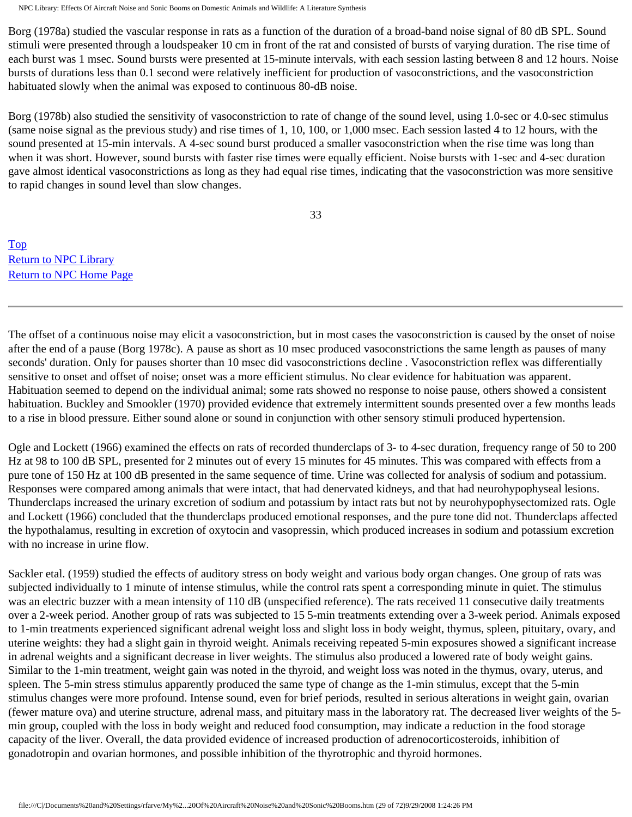Borg (1978a) studied the vascular response in rats as a function of the duration of a broad-band noise signal of 80 dB SPL. Sound stimuli were presented through a loudspeaker 10 cm in front of the rat and consisted of bursts of varying duration. The rise time of each burst was 1 msec. Sound bursts were presented at 15-minute intervals, with each session lasting between 8 and 12 hours. Noise bursts of durations less than 0.1 second were relatively inefficient for production of vasoconstrictions, and the vasoconstriction habituated slowly when the animal was exposed to continuous 80-dB noise.

Borg (1978b) also studied the sensitivity of vasoconstriction to rate of change of the sound level, using 1.0-sec or 4.0-sec stimulus (same noise signal as the previous study) and rise times of 1, 10, 100, or 1,000 msec. Each session lasted 4 to 12 hours, with the sound presented at 15-min intervals. A 4-sec sound burst produced a smaller vasoconstriction when the rise time was long than when it was short. However, sound bursts with faster rise times were equally efficient. Noise bursts with 1-sec and 4-sec duration gave almost identical vasoconstrictions as long as they had equal rise times, indicating that the vasoconstriction was more sensitive to rapid changes in sound level than slow changes.

33

[Top](http://www.nonoise.org/library/animals/litsyn.htm#top)  [Return to NPC Library](http://www.nonoise.org/library.htm)  [Return to NPC Home Page](http://www.nonoise.org/index.htm) 

The offset of a continuous noise may elicit a vasoconstriction, but in most cases the vasoconstriction is caused by the onset of noise after the end of a pause (Borg 1978c). A pause as short as 10 msec produced vasoconstrictions the same length as pauses of many seconds' duration. Only for pauses shorter than 10 msec did vasoconstrictions decline . Vasoconstriction reflex was differentially sensitive to onset and offset of noise; onset was a more efficient stimulus. No clear evidence for habituation was apparent. Habituation seemed to depend on the individual animal; some rats showed no response to noise pause, others showed a consistent habituation. Buckley and Smookler (1970) provided evidence that extremely intermittent sounds presented over a few months leads to a rise in blood pressure. Either sound alone or sound in conjunction with other sensory stimuli produced hypertension.

Ogle and Lockett (1966) examined the effects on rats of recorded thunderclaps of 3- to 4-sec duration, frequency range of 50 to 200 Hz at 98 to 100 dB SPL, presented for 2 minutes out of every 15 minutes for 45 minutes. This was compared with effects from a pure tone of 150 Hz at 100 dB presented in the same sequence of time. Urine was collected for analysis of sodium and potassium. Responses were compared among animals that were intact, that had denervated kidneys, and that had neurohypophyseal lesions. Thunderclaps increased the urinary excretion of sodium and potassium by intact rats but not by neurohypophysectomized rats. Ogle and Lockett (1966) concluded that the thunderclaps produced emotional responses, and the pure tone did not. Thunderclaps affected the hypothalamus, resulting in excretion of oxytocin and vasopressin, which produced increases in sodium and potassium excretion with no increase in urine flow.

Sackler etal. (1959) studied the effects of auditory stress on body weight and various body organ changes. One group of rats was subjected individually to 1 minute of intense stimulus, while the control rats spent a corresponding minute in quiet. The stimulus was an electric buzzer with a mean intensity of 110 dB (unspecified reference). The rats received 11 consecutive daily treatments over a 2-week period. Another group of rats was subjected to 15 5-min treatments extending over a 3-week period. Animals exposed to 1-min treatments experienced significant adrenal weight loss and slight loss in body weight, thymus, spleen, pituitary, ovary, and uterine weights: they had a slight gain in thyroid weight. Animals receiving repeated 5-min exposures showed a significant increase in adrenal weights and a significant decrease in liver weights. The stimulus also produced a lowered rate of body weight gains. Similar to the 1-min treatment, weight gain was noted in the thyroid, and weight loss was noted in the thymus, ovary, uterus, and spleen. The 5-min stress stimulus apparently produced the same type of change as the 1-min stimulus, except that the 5-min stimulus changes were more profound. Intense sound, even for brief periods, resulted in serious alterations in weight gain, ovarian (fewer mature ova) and uterine structure, adrenal mass, and pituitary mass in the laboratory rat. The decreased liver weights of the 5 min group, coupled with the loss in body weight and reduced food consumption, may indicate a reduction in the food storage capacity of the liver. Overall, the data provided evidence of increased production of adrenocorticosteroids, inhibition of gonadotropin and ovarian hormones, and possible inhibition of the thyrotrophic and thyroid hormones.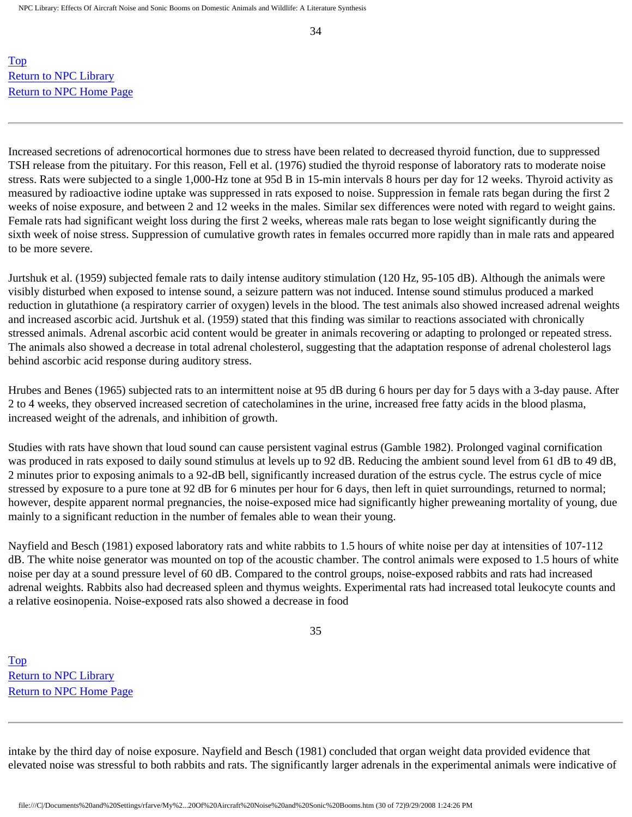[Top](http://www.nonoise.org/library/animals/litsyn.htm#top)  Return to NPC Library [Return to NPC Home Page](http://www.nonoise.org/index.htm) 

Increased secretions of adrenocortical hormones due to stress have been related to decreased thyroid function, due to suppressed TSH release from the pituitary. For this reason, Fell et al. (1976) studied the thyroid response of laboratory rats to moderate noise stress. Rats were subjected to a single 1,000-Hz tone at 95d B in 15-min intervals 8 hours per day for 12 weeks. Thyroid activity as measured by radioactive iodine uptake was suppressed in rats exposed to noise. Suppression in female rats began during the first 2 weeks of noise exposure, and between 2 and 12 weeks in the males. Similar sex differences were noted with regard to weight gains. Female rats had significant weight loss during the first 2 weeks, whereas male rats began to lose weight significantly during the sixth week of noise stress. Suppression of cumulative growth rates in females occurred more rapidly than in male rats and appeared to be more severe.

Jurtshuk et al. (1959) subjected female rats to daily intense auditory stimulation (120 Hz, 95-105 dB). Although the animals were visibly disturbed when exposed to intense sound, a seizure pattern was not induced. Intense sound stimulus produced a marked reduction in glutathione (a respiratory carrier of oxygen) levels in the blood. The test animals also showed increased adrenal weights and increased ascorbic acid. Jurtshuk et al. (1959) stated that this finding was similar to reactions associated with chronically stressed animals. Adrenal ascorbic acid content would be greater in animals recovering or adapting to prolonged or repeated stress. The animals also showed a decrease in total adrenal cholesterol, suggesting that the adaptation response of adrenal cholesterol lags behind ascorbic acid response during auditory stress.

Hrubes and Benes (1965) subjected rats to an intermittent noise at 95 dB during 6 hours per day for 5 days with a 3-day pause. After 2 to 4 weeks, they observed increased secretion of catecholamines in the urine, increased free fatty acids in the blood plasma, increased weight of the adrenals, and inhibition of growth.

Studies with rats have shown that loud sound can cause persistent vaginal estrus (Gamble 1982). Prolonged vaginal cornification was produced in rats exposed to daily sound stimulus at levels up to 92 dB. Reducing the ambient sound level from 61 dB to 49 dB, 2 minutes prior to exposing animals to a 92-dB bell, significantly increased duration of the estrus cycle. The estrus cycle of mice stressed by exposure to a pure tone at 92 dB for 6 minutes per hour for 6 days, then left in quiet surroundings, returned to normal; however, despite apparent normal pregnancies, the noise-exposed mice had significantly higher preweaning mortality of young, due mainly to a significant reduction in the number of females able to wean their young.

Nayfield and Besch (1981) exposed laboratory rats and white rabbits to 1.5 hours of white noise per day at intensities of 107-112 dB. The white noise generator was mounted on top of the acoustic chamber. The control animals were exposed to 1.5 hours of white noise per day at a sound pressure level of 60 dB. Compared to the control groups, noise-exposed rabbits and rats had increased adrenal weights. Rabbits also had decreased spleen and thymus weights. Experimental rats had increased total leukocyte counts and a relative eosinopenia. Noise-exposed rats also showed a decrease in food

35

[Top](http://www.nonoise.org/library/animals/litsyn.htm#top)  [Return to NPC Library](http://www.nonoise.org/library.htm)  [Return to NPC Home Page](http://www.nonoise.org/index.htm) 

intake by the third day of noise exposure. Nayfield and Besch (1981) concluded that organ weight data provided evidence that elevated noise was stressful to both rabbits and rats. The significantly larger adrenals in the experimental animals were indicative of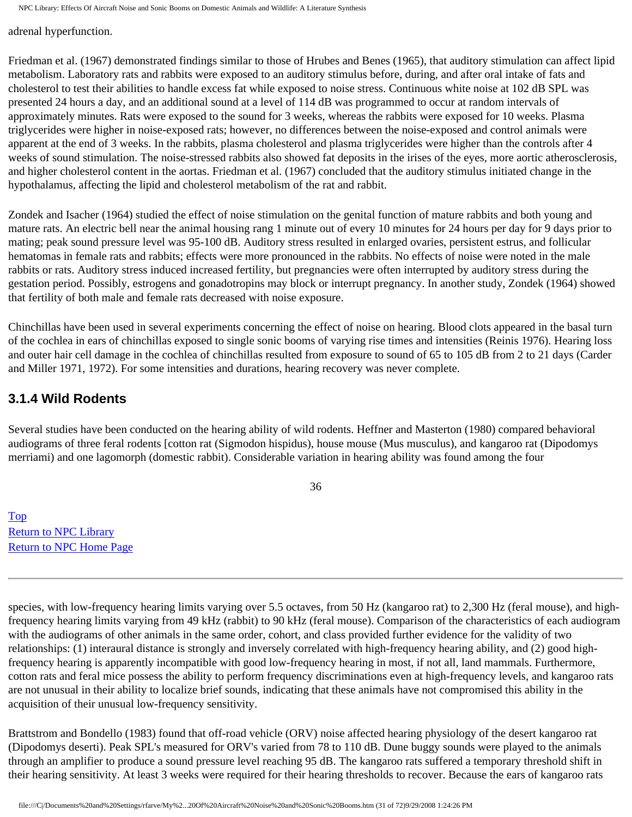adrenal hyperfunction.

Friedman et al. (1967) demonstrated findings similar to those of Hrubes and Benes (1965), that auditory stimulation can affect lipid metabolism. Laboratory rats and rabbits were exposed to an auditory stimulus before, during, and after oral intake of fats and cholesterol to test their abilities to handle excess fat while exposed to noise stress. Continuous white noise at 102 dB SPL was presented 24 hours a day, and an additional sound at a level of 114 dB was programmed to occur at random intervals of approximately minutes. Rats were exposed to the sound for 3 weeks, whereas the rabbits were exposed for 10 weeks. Plasma triglycerides were higher in noise-exposed rats; however, no differences between the noise-exposed and control animals were apparent at the end of 3 weeks. In the rabbits, plasma cholesterol and plasma triglycerides were higher than the controls after 4 weeks of sound stimulation. The noise-stressed rabbits also showed fat deposits in the irises of the eyes, more aortic atherosclerosis, and higher cholesterol content in the aortas. Friedman et al. (1967) concluded that the auditory stimulus initiated change in the hypothalamus, affecting the lipid and cholesterol metabolism of the rat and rabbit.

Zondek and Isacher (1964) studied the effect of noise stimulation on the genital function of mature rabbits and both young and mature rats. An electric bell near the animal housing rang 1 minute out of every 10 minutes for 24 hours per day for 9 days prior to mating; peak sound pressure level was 95-100 dB. Auditory stress resulted in enlarged ovaries, persistent estrus, and follicular hematomas in female rats and rabbits; effects were more pronounced in the rabbits. No effects of noise were noted in the male rabbits or rats. Auditory stress induced increased fertility, but pregnancies were often interrupted by auditory stress during the gestation period. Possibly, estrogens and gonadotropins may block or interrupt pregnancy. In another study, Zondek (1964) showed that fertility of both male and female rats decreased with noise exposure.

Chinchillas have been used in several experiments concerning the effect of noise on hearing. Blood clots appeared in the basal turn of the cochlea in ears of chinchillas exposed to single sonic booms of varying rise times and intensities (Reinis 1976). Hearing loss and outer hair cell damage in the cochlea of chinchillas resulted from exposure to sound of 65 to 105 dB from 2 to 21 days (Carder and Miller 1971, 1972). For some intensities and durations, hearing recovery was never complete.

### **3.1.4 Wild Rodents**

Several studies have been conducted on the hearing ability of wild rodents. Heffner and Masterton (1980) compared behavioral audiograms of three feral rodents [cotton rat (Sigmodon hispidus), house mouse (Mus musculus), and kangaroo rat (Dipodomys merriami) and one lagomorph (domestic rabbit). Considerable variation in hearing ability was found among the four

36

[Top](http://www.nonoise.org/library/animals/litsyn.htm#top)  [Return to NPC Library](http://www.nonoise.org/library.htm)  [Return to NPC Home Page](http://www.nonoise.org/index.htm) 

species, with low-frequency hearing limits varying over 5.5 octaves, from 50 Hz (kangaroo rat) to 2,300 Hz (feral mouse), and highfrequency hearing limits varying from 49 kHz (rabbit) to 90 kHz (feral mouse). Comparison of the characteristics of each audiogram with the audiograms of other animals in the same order, cohort, and class provided further evidence for the validity of two relationships: (1) interaural distance is strongly and inversely correlated with high-frequency hearing ability, and (2) good highfrequency hearing is apparently incompatible with good low-frequency hearing in most, if not all, land mammals. Furthermore, cotton rats and feral mice possess the ability to perform frequency discriminations even at high-frequency levels, and kangaroo rats are not unusual in their ability to localize brief sounds, indicating that these animals have not compromised this ability in the acquisition of their unusual low-frequency sensitivity.

Brattstrom and Bondello (1983) found that off-road vehicle (ORV) noise affected hearing physiology of the desert kangaroo rat (Dipodomys deserti). Peak SPL's measured for ORV's varied from 78 to 110 dB. Dune buggy sounds were played to the animals through an amplifier to produce a sound pressure level reaching 95 dB. The kangaroo rats suffered a temporary threshold shift in their hearing sensitivity. At least 3 weeks were required for their hearing thresholds to recover. Because the ears of kangaroo rats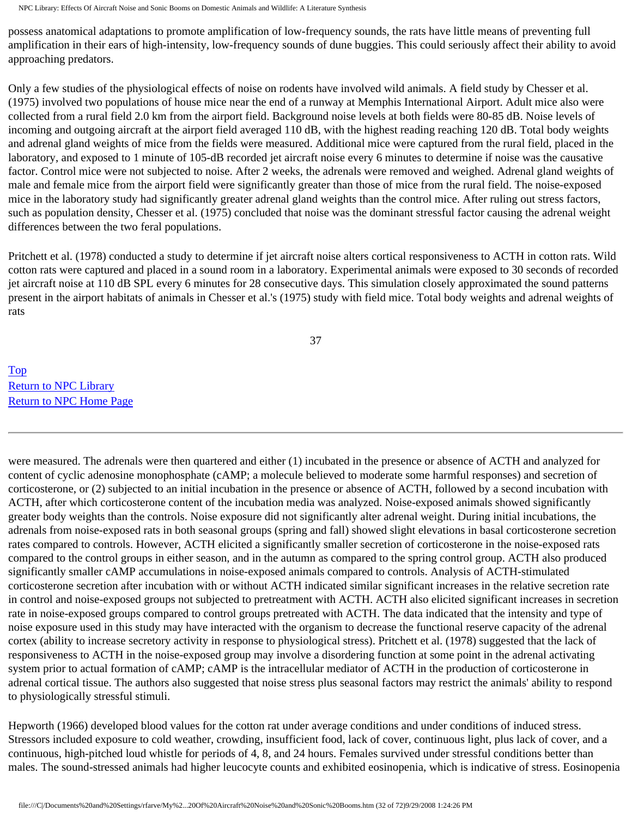possess anatomical adaptations to promote amplification of low-frequency sounds, the rats have little means of preventing full amplification in their ears of high-intensity, low-frequency sounds of dune buggies. This could seriously affect their ability to avoid approaching predators.

Only a few studies of the physiological effects of noise on rodents have involved wild animals. A field study by Chesser et al. (1975) involved two populations of house mice near the end of a runway at Memphis International Airport. Adult mice also were collected from a rural field 2.0 km from the airport field. Background noise levels at both fields were 80-85 dB. Noise levels of incoming and outgoing aircraft at the airport field averaged 110 dB, with the highest reading reaching 120 dB. Total body weights and adrenal gland weights of mice from the fields were measured. Additional mice were captured from the rural field, placed in the laboratory, and exposed to 1 minute of 105-dB recorded jet aircraft noise every 6 minutes to determine if noise was the causative factor. Control mice were not subjected to noise. After 2 weeks, the adrenals were removed and weighed. Adrenal gland weights of male and female mice from the airport field were significantly greater than those of mice from the rural field. The noise-exposed mice in the laboratory study had significantly greater adrenal gland weights than the control mice. After ruling out stress factors, such as population density, Chesser et al. (1975) concluded that noise was the dominant stressful factor causing the adrenal weight differences between the two feral populations.

Pritchett et al. (1978) conducted a study to determine if jet aircraft noise alters cortical responsiveness to ACTH in cotton rats. Wild cotton rats were captured and placed in a sound room in a laboratory. Experimental animals were exposed to 30 seconds of recorded jet aircraft noise at 110 dB SPL every 6 minutes for 28 consecutive days. This simulation closely approximated the sound patterns present in the airport habitats of animals in Chesser et al.'s (1975) study with field mice. Total body weights and adrenal weights of rats

37

[Top](http://www.nonoise.org/library/animals/litsyn.htm#top)  [Return to NPC Library](http://www.nonoise.org/library.htm)  [Return to NPC Home Page](http://www.nonoise.org/index.htm) 

were measured. The adrenals were then quartered and either (1) incubated in the presence or absence of ACTH and analyzed for content of cyclic adenosine monophosphate (cAMP; a molecule believed to moderate some harmful responses) and secretion of corticosterone, or (2) subjected to an initial incubation in the presence or absence of ACTH, followed by a second incubation with ACTH, after which corticosterone content of the incubation media was analyzed. Noise-exposed animals showed significantly greater body weights than the controls. Noise exposure did not significantly alter adrenal weight. During initial incubations, the adrenals from noise-exposed rats in both seasonal groups (spring and fall) showed slight elevations in basal corticosterone secretion rates compared to controls. However, ACTH elicited a significantly smaller secretion of corticosterone in the noise-exposed rats compared to the control groups in either season, and in the autumn as compared to the spring control group. ACTH also produced significantly smaller cAMP accumulations in noise-exposed animals compared to controls. Analysis of ACTH-stimulated corticosterone secretion after incubation with or without ACTH indicated similar significant increases in the relative secretion rate in control and noise-exposed groups not subjected to pretreatment with ACTH. ACTH also elicited significant increases in secretion rate in noise-exposed groups compared to control groups pretreated with ACTH. The data indicated that the intensity and type of noise exposure used in this study may have interacted with the organism to decrease the functional reserve capacity of the adrenal cortex (ability to increase secretory activity in response to physiological stress). Pritchett et al. (1978) suggested that the lack of responsiveness to ACTH in the noise-exposed group may involve a disordering function at some point in the adrenal activating system prior to actual formation of cAMP; cAMP is the intracellular mediator of ACTH in the production of corticosterone in adrenal cortical tissue. The authors also suggested that noise stress plus seasonal factors may restrict the animals' ability to respond to physiologically stressful stimuli.

Hepworth (1966) developed blood values for the cotton rat under average conditions and under conditions of induced stress. Stressors included exposure to cold weather, crowding, insufficient food, lack of cover, continuous light, plus lack of cover, and a continuous, high-pitched loud whistle for periods of 4, 8, and 24 hours. Females survived under stressful conditions better than males. The sound-stressed animals had higher leucocyte counts and exhibited eosinopenia, which is indicative of stress. Eosinopenia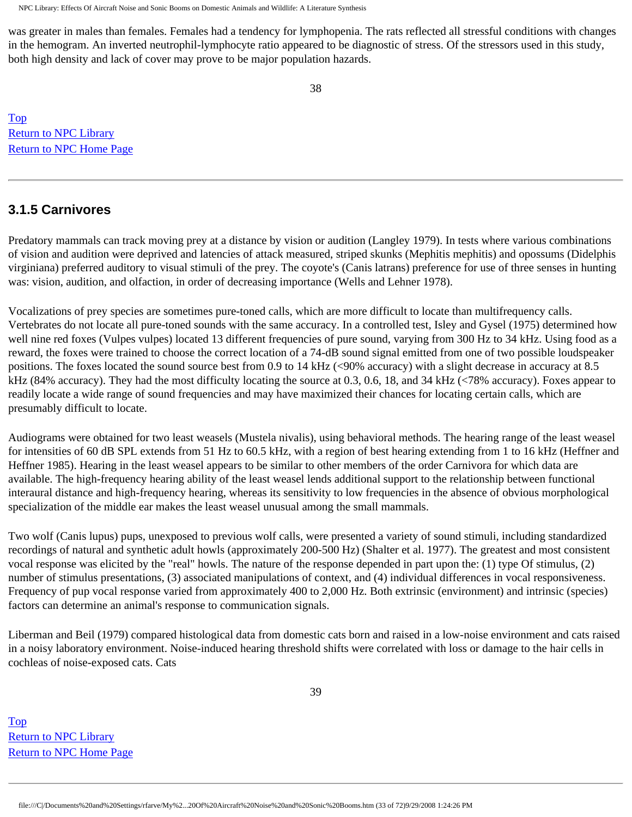was greater in males than females. Females had a tendency for lymphopenia. The rats reflected all stressful conditions with changes in the hemogram. An inverted neutrophil-lymphocyte ratio appeared to be diagnostic of stress. Of the stressors used in this study, both high density and lack of cover may prove to be major population hazards.

[Top](http://www.nonoise.org/library/animals/litsyn.htm#top)  [Return to NPC Library](http://www.nonoise.org/library.htm)  [Return to NPC Home Page](http://www.nonoise.org/index.htm) 

### **3.1.5 Carnivores**

Predatory mammals can track moving prey at a distance by vision or audition (Langley 1979). In tests where various combinations of vision and audition were deprived and latencies of attack measured, striped skunks (Mephitis mephitis) and opossums (Didelphis virginiana) preferred auditory to visual stimuli of the prey. The coyote's (Canis latrans) preference for use of three senses in hunting was: vision, audition, and olfaction, in order of decreasing importance (Wells and Lehner 1978).

Vocalizations of prey species are sometimes pure-toned calls, which are more difficult to locate than multifrequency calls. Vertebrates do not locate all pure-toned sounds with the same accuracy. In a controlled test, Isley and Gysel (1975) determined how well nine red foxes (Vulpes vulpes) located 13 different frequencies of pure sound, varying from 300 Hz to 34 kHz. Using food as a reward, the foxes were trained to choose the correct location of a 74-dB sound signal emitted from one of two possible loudspeaker positions. The foxes located the sound source best from 0.9 to 14 kHz (<90% accuracy) with a slight decrease in accuracy at 8.5 kHz (84% accuracy). They had the most difficulty locating the source at 0.3, 0.6, 18, and 34 kHz (<78% accuracy). Foxes appear to readily locate a wide range of sound frequencies and may have maximized their chances for locating certain calls, which are presumably difficult to locate.

Audiograms were obtained for two least weasels (Mustela nivalis), using behavioral methods. The hearing range of the least weasel for intensities of 60 dB SPL extends from 51 Hz to 60.5 kHz, with a region of best hearing extending from 1 to 16 kHz (Heffner and Heffner 1985). Hearing in the least weasel appears to be similar to other members of the order Carnivora for which data are available. The high-frequency hearing ability of the least weasel lends additional support to the relationship between functional interaural distance and high-frequency hearing, whereas its sensitivity to low frequencies in the absence of obvious morphological specialization of the middle ear makes the least weasel unusual among the small mammals.

Two wolf (Canis lupus) pups, unexposed to previous wolf calls, were presented a variety of sound stimuli, including standardized recordings of natural and synthetic adult howls (approximately 200-500 Hz) (Shalter et al. 1977). The greatest and most consistent vocal response was elicited by the "real" howls. The nature of the response depended in part upon the: (1) type Of stimulus, (2) number of stimulus presentations, (3) associated manipulations of context, and (4) individual differences in vocal responsiveness. Frequency of pup vocal response varied from approximately 400 to 2,000 Hz. Both extrinsic (environment) and intrinsic (species) factors can determine an animal's response to communication signals.

Liberman and Beil (1979) compared histological data from domestic cats born and raised in a low-noise environment and cats raised in a noisy laboratory environment. Noise-induced hearing threshold shifts were correlated with loss or damage to the hair cells in cochleas of noise-exposed cats. Cats

[Top](http://www.nonoise.org/library/animals/litsyn.htm#top)  [Return to NPC Library](http://www.nonoise.org/library.htm)  [Return to NPC Home Page](http://www.nonoise.org/index.htm)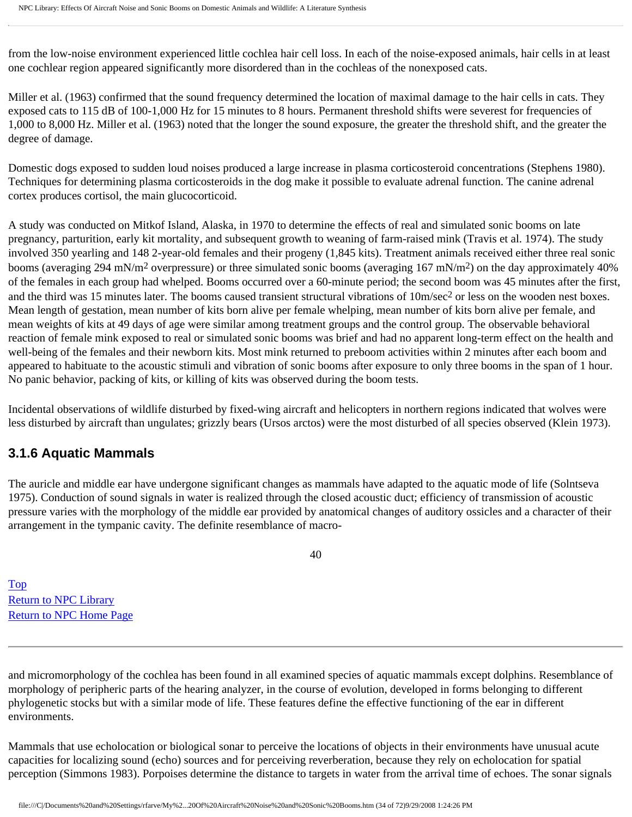from the low-noise environment experienced little cochlea hair cell loss. In each of the noise-exposed animals, hair cells in at least one cochlear region appeared significantly more disordered than in the cochleas of the nonexposed cats.

Miller et al. (1963) confirmed that the sound frequency determined the location of maximal damage to the hair cells in cats. They exposed cats to 115 dB of 100-1,000 Hz for 15 minutes to 8 hours. Permanent threshold shifts were severest for frequencies of 1,000 to 8,000 Hz. Miller et al. (1963) noted that the longer the sound exposure, the greater the threshold shift, and the greater the degree of damage.

Domestic dogs exposed to sudden loud noises produced a large increase in plasma corticosteroid concentrations (Stephens 1980). Techniques for determining plasma corticosteroids in the dog make it possible to evaluate adrenal function. The canine adrenal cortex produces cortisol, the main glucocorticoid.

A study was conducted on Mitkof Island, Alaska, in 1970 to determine the effects of real and simulated sonic booms on late pregnancy, parturition, early kit mortality, and subsequent growth to weaning of farm-raised mink (Travis et al. 1974). The study involved 350 yearling and 148 2-year-old females and their progeny (1,845 kits). Treatment animals received either three real sonic booms (averaging 294 mN/m<sup>2</sup> overpressure) or three simulated sonic booms (averaging 167 mN/m<sup>2</sup>) on the day approximately 40% of the females in each group had whelped. Booms occurred over a 60-minute period; the second boom was 45 minutes after the first, and the third was 15 minutes later. The booms caused transient structural vibrations of  $10m/sec<sup>2</sup>$  or less on the wooden nest boxes. Mean length of gestation, mean number of kits born alive per female whelping, mean number of kits born alive per female, and mean weights of kits at 49 days of age were similar among treatment groups and the control group. The observable behavioral reaction of female mink exposed to real or simulated sonic booms was brief and had no apparent long-term effect on the health and well-being of the females and their newborn kits. Most mink returned to preboom activities within 2 minutes after each boom and appeared to habituate to the acoustic stimuli and vibration of sonic booms after exposure to only three booms in the span of 1 hour. No panic behavior, packing of kits, or killing of kits was observed during the boom tests.

Incidental observations of wildlife disturbed by fixed-wing aircraft and helicopters in northern regions indicated that wolves were less disturbed by aircraft than ungulates; grizzly bears (Ursos arctos) were the most disturbed of all species observed (Klein 1973).

### **3.1.6 Aquatic Mammals**

The auricle and middle ear have undergone significant changes as mammals have adapted to the aquatic mode of life (Solntseva 1975). Conduction of sound signals in water is realized through the closed acoustic duct; efficiency of transmission of acoustic pressure varies with the morphology of the middle ear provided by anatomical changes of auditory ossicles and a character of their arrangement in the tympanic cavity. The definite resemblance of macro-

40

[Top](http://www.nonoise.org/library/animals/litsyn.htm#top)  [Return to NPC Library](http://www.nonoise.org/library.htm)  [Return to NPC Home Page](http://www.nonoise.org/index.htm) 

and micromorphology of the cochlea has been found in all examined species of aquatic mammals except dolphins. Resemblance of morphology of peripheric parts of the hearing analyzer, in the course of evolution, developed in forms belonging to different phylogenetic stocks but with a similar mode of life. These features define the effective functioning of the ear in different environments.

Mammals that use echolocation or biological sonar to perceive the locations of objects in their environments have unusual acute capacities for localizing sound (echo) sources and for perceiving reverberation, because they rely on echolocation for spatial perception (Simmons 1983). Porpoises determine the distance to targets in water from the arrival time of echoes. The sonar signals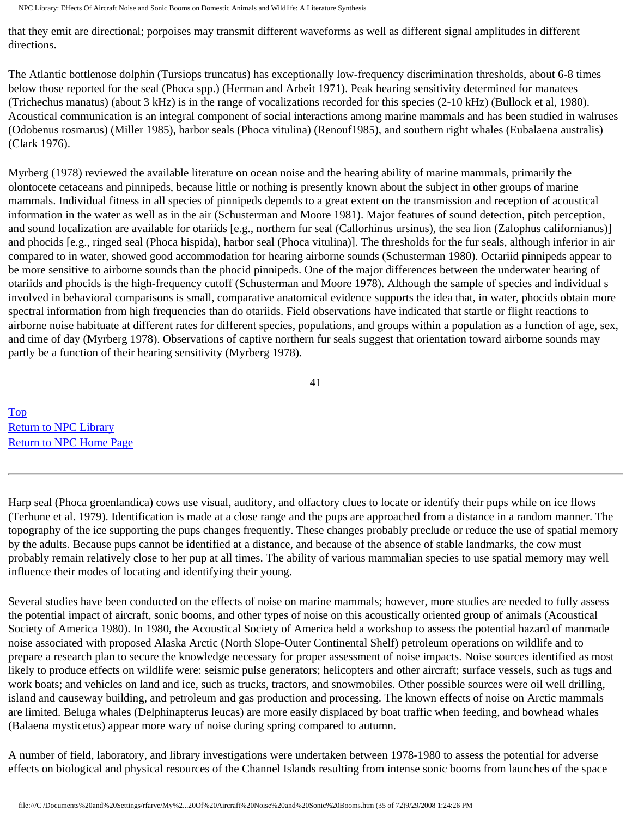that they emit are directional; porpoises may transmit different waveforms as well as different signal amplitudes in different directions.

The Atlantic bottlenose dolphin (Tursiops truncatus) has exceptionally low-frequency discrimination thresholds, about 6-8 times below those reported for the seal (Phoca spp.) (Herman and Arbeit 1971). Peak hearing sensitivity determined for manatees (Trichechus manatus) (about 3 kHz) is in the range of vocalizations recorded for this species (2-10 kHz) (Bullock et al, 1980). Acoustical communication is an integral component of social interactions among marine mammals and has been studied in walruses (Odobenus rosmarus) (Miller 1985), harbor seals (Phoca vitulina) (Renouf1985), and southern right whales (Eubalaena australis) (Clark 1976).

Myrberg (1978) reviewed the available literature on ocean noise and the hearing ability of marine mammals, primarily the olontocete cetaceans and pinnipeds, because little or nothing is presently known about the subject in other groups of marine mammals. Individual fitness in all species of pinnipeds depends to a great extent on the transmission and reception of acoustical information in the water as well as in the air (Schusterman and Moore 1981). Major features of sound detection, pitch perception, and sound localization are available for otariids [e.g., northern fur seal (Callorhinus ursinus), the sea lion (Zalophus californianus)] and phocids [e.g., ringed seal (Phoca hispida), harbor seal (Phoca vitulina)]. The thresholds for the fur seals, although inferior in air compared to in water, showed good accommodation for hearing airborne sounds (Schusterman 1980). Octariid pinnipeds appear to be more sensitive to airborne sounds than the phocid pinnipeds. One of the major differences between the underwater hearing of otariids and phocids is the high-frequency cutoff (Schusterman and Moore 1978). Although the sample of species and individual s involved in behavioral comparisons is small, comparative anatomical evidence supports the idea that, in water, phocids obtain more spectral information from high frequencies than do otariids. Field observations have indicated that startle or flight reactions to airborne noise habituate at different rates for different species, populations, and groups within a population as a function of age, sex, and time of day (Myrberg 1978). Observations of captive northern fur seals suggest that orientation toward airborne sounds may partly be a function of their hearing sensitivity (Myrberg 1978).

41

[Top](http://www.nonoise.org/library/animals/litsyn.htm#top)  [Return to NPC Library](http://www.nonoise.org/library.htm)  [Return to NPC Home Page](http://www.nonoise.org/index.htm) 

Harp seal (Phoca groenlandica) cows use visual, auditory, and olfactory clues to locate or identify their pups while on ice flows (Terhune et al. 1979). Identification is made at a close range and the pups are approached from a distance in a random manner. The topography of the ice supporting the pups changes frequently. These changes probably preclude or reduce the use of spatial memory by the adults. Because pups cannot be identified at a distance, and because of the absence of stable landmarks, the cow must probably remain relatively close to her pup at all times. The ability of various mammalian species to use spatial memory may well influence their modes of locating and identifying their young.

Several studies have been conducted on the effects of noise on marine mammals; however, more studies are needed to fully assess the potential impact of aircraft, sonic booms, and other types of noise on this acoustically oriented group of animals (Acoustical Society of America 1980). In 1980, the Acoustical Society of America held a workshop to assess the potential hazard of manmade noise associated with proposed Alaska Arctic (North Slope-Outer Continental Shelf) petroleum operations on wildlife and to prepare a research plan to secure the knowledge necessary for proper assessment of noise impacts. Noise sources identified as most likely to produce effects on wildlife were: seismic pulse generators; helicopters and other aircraft; surface vessels, such as tugs and work boats; and vehicles on land and ice, such as trucks, tractors, and snowmobiles. Other possible sources were oil well drilling, island and causeway building, and petroleum and gas production and processing. The known effects of noise on Arctic mammals are limited. Beluga whales (Delphinapterus leucas) are more easily displaced by boat traffic when feeding, and bowhead whales (Balaena mysticetus) appear more wary of noise during spring compared to autumn.

A number of field, laboratory, and library investigations were undertaken between 1978-1980 to assess the potential for adverse effects on biological and physical resources of the Channel Islands resulting from intense sonic booms from launches of the space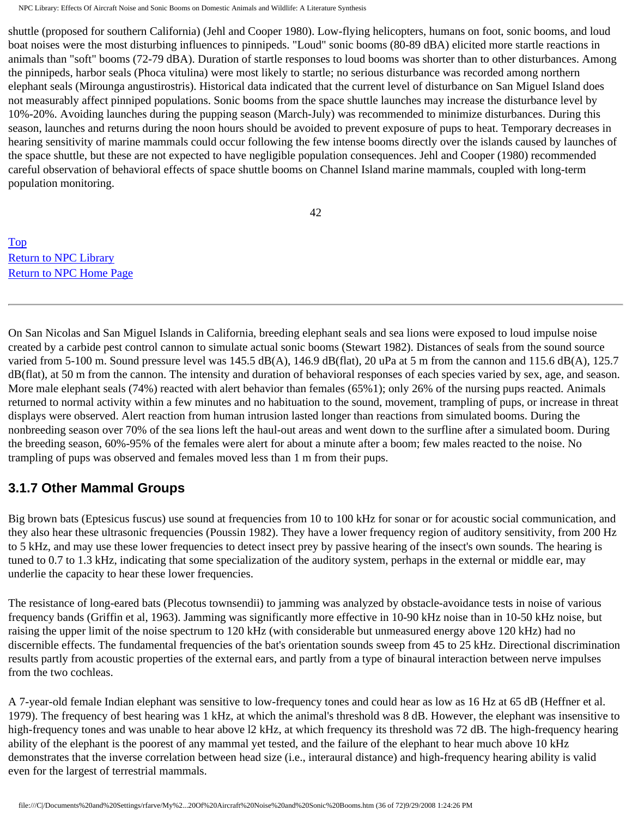shuttle (proposed for southern California) (Jehl and Cooper 1980). Low-flying helicopters, humans on foot, sonic booms, and loud boat noises were the most disturbing influences to pinnipeds. "Loud" sonic booms (80-89 dBA) elicited more startle reactions in animals than "soft" booms (72-79 dBA). Duration of startle responses to loud booms was shorter than to other disturbances. Among the pinnipeds, harbor seals (Phoca vitulina) were most likely to startle; no serious disturbance was recorded among northern elephant seals (Mirounga angustirostris). Historical data indicated that the current level of disturbance on San Miguel Island does not measurably affect pinniped populations. Sonic booms from the space shuttle launches may increase the disturbance level by 10%-20%. Avoiding launches during the pupping season (March-July) was recommended to minimize disturbances. During this season, launches and returns during the noon hours should be avoided to prevent exposure of pups to heat. Temporary decreases in hearing sensitivity of marine mammals could occur following the few intense booms directly over the islands caused by launches of the space shuttle, but these are not expected to have negligible population consequences. Jehl and Cooper (1980) recommended careful observation of behavioral effects of space shuttle booms on Channel Island marine mammals, coupled with long-term population monitoring.

42

[Top](http://www.nonoise.org/library/animals/litsyn.htm#top)  [Return to NPC Library](http://www.nonoise.org/library.htm)  [Return to NPC Home Page](http://www.nonoise.org/index.htm) 

On San Nicolas and San Miguel Islands in California, breeding elephant seals and sea lions were exposed to loud impulse noise created by a carbide pest control cannon to simulate actual sonic booms (Stewart 1982). Distances of seals from the sound source varied from 5-100 m. Sound pressure level was 145.5 dB(A), 146.9 dB(flat), 20 uPa at 5 m from the cannon and 115.6 dB(A), 125.7 dB(flat), at 50 m from the cannon. The intensity and duration of behavioral responses of each species varied by sex, age, and season. More male elephant seals (74%) reacted with alert behavior than females (65%1); only 26% of the nursing pups reacted. Animals returned to normal activity within a few minutes and no habituation to the sound, movement, trampling of pups, or increase in threat displays were observed. Alert reaction from human intrusion lasted longer than reactions from simulated booms. During the nonbreeding season over 70% of the sea lions left the haul-out areas and went down to the surfline after a simulated boom. During the breeding season, 60%-95% of the females were alert for about a minute after a boom; few males reacted to the noise. No trampling of pups was observed and females moved less than 1 m from their pups.

## **3.1.7 Other Mammal Groups**

Big brown bats (Eptesicus fuscus) use sound at frequencies from 10 to 100 kHz for sonar or for acoustic social communication, and they also hear these ultrasonic frequencies (Poussin 1982). They have a lower frequency region of auditory sensitivity, from 200 Hz to 5 kHz, and may use these lower frequencies to detect insect prey by passive hearing of the insect's own sounds. The hearing is tuned to 0.7 to 1.3 kHz, indicating that some specialization of the auditory system, perhaps in the external or middle ear, may underlie the capacity to hear these lower frequencies.

The resistance of long-eared bats (Plecotus townsendii) to jamming was analyzed by obstacle-avoidance tests in noise of various frequency bands (Griffin et al, 1963). Jamming was significantly more effective in 10-90 kHz noise than in 10-50 kHz noise, but raising the upper limit of the noise spectrum to 120 kHz (with considerable but unmeasured energy above 120 kHz) had no discernible effects. The fundamental frequencies of the bat's orientation sounds sweep from 45 to 25 kHz. Directional discrimination results partly from acoustic properties of the external ears, and partly from a type of binaural interaction between nerve impulses from the two cochleas.

A 7-year-old female Indian elephant was sensitive to low-frequency tones and could hear as low as 16 Hz at 65 dB (Heffner et al. 1979). The frequency of best hearing was 1 kHz, at which the animal's threshold was 8 dB. However, the elephant was insensitive to high-frequency tones and was unable to hear above l2 kHz, at which frequency its threshold was 72 dB. The high-frequency hearing ability of the elephant is the poorest of any mammal yet tested, and the failure of the elephant to hear much above 10 kHz demonstrates that the inverse correlation between head size (i.e., interaural distance) and high-frequency hearing ability is valid even for the largest of terrestrial mammals.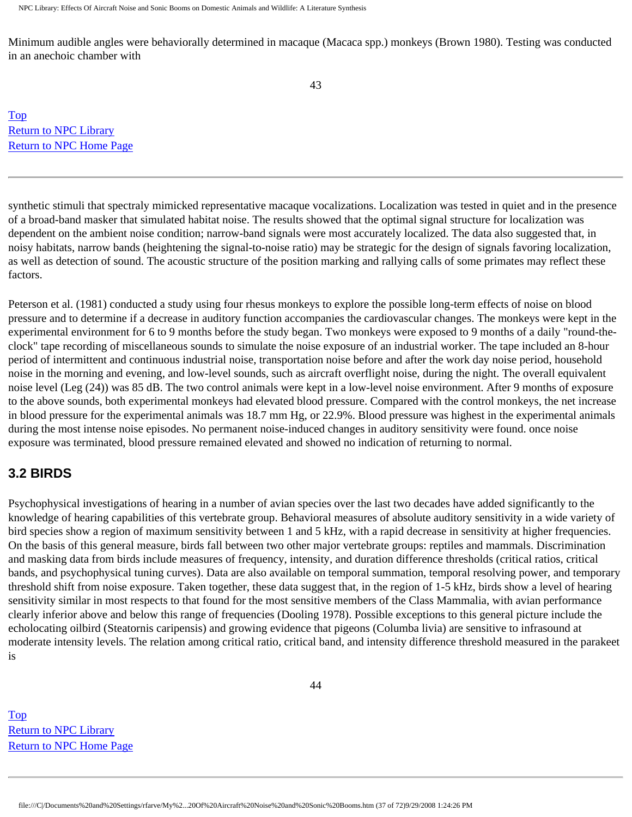Minimum audible angles were behaviorally determined in macaque (Macaca spp.) monkeys (Brown 1980). Testing was conducted in an anechoic chamber with

[Top](http://www.nonoise.org/library/animals/litsyn.htm#top)  [Return to NPC Library](http://www.nonoise.org/library.htm)  [Return to NPC Home Page](http://www.nonoise.org/index.htm) 

synthetic stimuli that spectraly mimicked representative macaque vocalizations. Localization was tested in quiet and in the presence of a broad-band masker that simulated habitat noise. The results showed that the optimal signal structure for localization was dependent on the ambient noise condition; narrow-band signals were most accurately localized. The data also suggested that, in noisy habitats, narrow bands (heightening the signal-to-noise ratio) may be strategic for the design of signals favoring localization, as well as detection of sound. The acoustic structure of the position marking and rallying calls of some primates may reflect these factors.

Peterson et al. (1981) conducted a study using four rhesus monkeys to explore the possible long-term effects of noise on blood pressure and to determine if a decrease in auditory function accompanies the cardiovascular changes. The monkeys were kept in the experimental environment for 6 to 9 months before the study began. Two monkeys were exposed to 9 months of a daily "round-theclock" tape recording of miscellaneous sounds to simulate the noise exposure of an industrial worker. The tape included an 8-hour period of intermittent and continuous industrial noise, transportation noise before and after the work day noise period, household noise in the morning and evening, and low-level sounds, such as aircraft overflight noise, during the night. The overall equivalent noise level (Leg (24)) was 85 dB. The two control animals were kept in a low-level noise environment. After 9 months of exposure to the above sounds, both experimental monkeys had elevated blood pressure. Compared with the control monkeys, the net increase in blood pressure for the experimental animals was 18.7 mm Hg, or 22.9%. Blood pressure was highest in the experimental animals during the most intense noise episodes. No permanent noise-induced changes in auditory sensitivity were found. once noise exposure was terminated, blood pressure remained elevated and showed no indication of returning to normal.

## **3.2 BIRDS**

Psychophysical investigations of hearing in a number of avian species over the last two decades have added significantly to the knowledge of hearing capabilities of this vertebrate group. Behavioral measures of absolute auditory sensitivity in a wide variety of bird species show a region of maximum sensitivity between 1 and 5 kHz, with a rapid decrease in sensitivity at higher frequencies. On the basis of this general measure, birds fall between two other major vertebrate groups: reptiles and mammals. Discrimination and masking data from birds include measures of frequency, intensity, and duration difference thresholds (critical ratios, critical bands, and psychophysical tuning curves). Data are also available on temporal summation, temporal resolving power, and temporary threshold shift from noise exposure. Taken together, these data suggest that, in the region of 1-5 kHz, birds show a level of hearing sensitivity similar in most respects to that found for the most sensitive members of the Class Mammalia, with avian performance clearly inferior above and below this range of frequencies (Dooling 1978). Possible exceptions to this general picture include the echolocating oilbird (Steatornis caripensis) and growing evidence that pigeons (Columba livia) are sensitive to infrasound at moderate intensity levels. The relation among critical ratio, critical band, and intensity difference threshold measured in the parakeet is

[Top](http://www.nonoise.org/library/animals/litsyn.htm#top)  [Return to NPC Library](http://www.nonoise.org/library.htm)  [Return to NPC Home Page](http://www.nonoise.org/index.htm)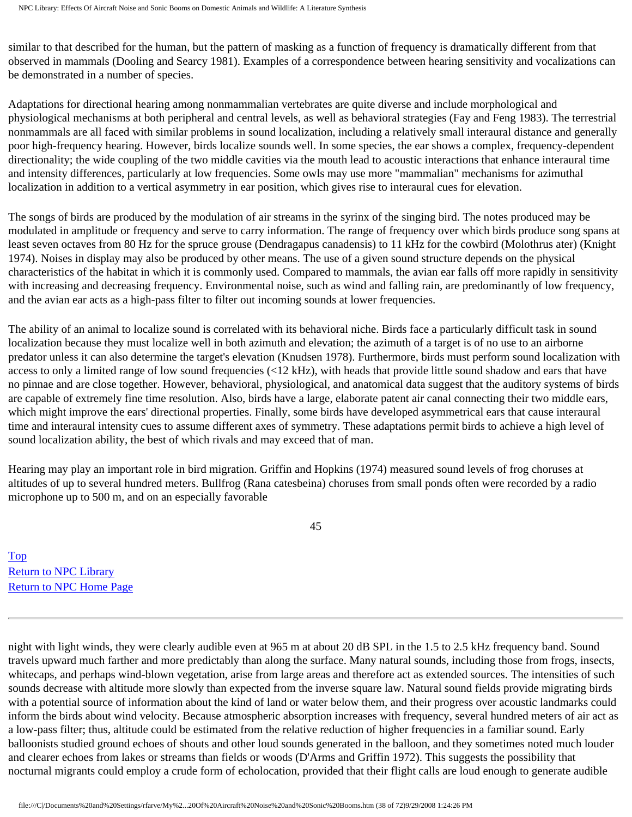similar to that described for the human, but the pattern of masking as a function of frequency is dramatically different from that observed in mammals (Dooling and Searcy 1981). Examples of a correspondence between hearing sensitivity and vocalizations can be demonstrated in a number of species.

Adaptations for directional hearing among nonmammalian vertebrates are quite diverse and include morphological and physiological mechanisms at both peripheral and central levels, as well as behavioral strategies (Fay and Feng 1983). The terrestrial nonmammals are all faced with similar problems in sound localization, including a relatively small interaural distance and generally poor high-frequency hearing. However, birds localize sounds well. In some species, the ear shows a complex, frequency-dependent directionality; the wide coupling of the two middle cavities via the mouth lead to acoustic interactions that enhance interaural time and intensity differences, particularly at low frequencies. Some owls may use more "mammalian" mechanisms for azimuthal localization in addition to a vertical asymmetry in ear position, which gives rise to interaural cues for elevation.

The songs of birds are produced by the modulation of air streams in the syrinx of the singing bird. The notes produced may be modulated in amplitude or frequency and serve to carry information. The range of frequency over which birds produce song spans at least seven octaves from 80 Hz for the spruce grouse (Dendragapus canadensis) to 11 kHz for the cowbird (Molothrus ater) (Knight 1974). Noises in display may also be produced by other means. The use of a given sound structure depends on the physical characteristics of the habitat in which it is commonly used. Compared to mammals, the avian ear falls off more rapidly in sensitivity with increasing and decreasing frequency. Environmental noise, such as wind and falling rain, are predominantly of low frequency, and the avian ear acts as a high-pass filter to filter out incoming sounds at lower frequencies.

The ability of an animal to localize sound is correlated with its behavioral niche. Birds face a particularly difficult task in sound localization because they must localize well in both azimuth and elevation; the azimuth of a target is of no use to an airborne predator unless it can also determine the target's elevation (Knudsen 1978). Furthermore, birds must perform sound localization with access to only a limited range of low sound frequencies  $\langle 22 \text{ kHz} \rangle$ , with heads that provide little sound shadow and ears that have no pinnae and are close together. However, behavioral, physiological, and anatomical data suggest that the auditory systems of birds are capable of extremely fine time resolution. Also, birds have a large, elaborate patent air canal connecting their two middle ears, which might improve the ears' directional properties. Finally, some birds have developed asymmetrical ears that cause interaural time and interaural intensity cues to assume different axes of symmetry. These adaptations permit birds to achieve a high level of sound localization ability, the best of which rivals and may exceed that of man.

Hearing may play an important role in bird migration. Griffin and Hopkins (1974) measured sound levels of frog choruses at altitudes of up to several hundred meters. Bullfrog (Rana catesbeina) choruses from small ponds often were recorded by a radio microphone up to 500 m, and on an especially favorable

45

[Top](http://www.nonoise.org/library/animals/litsyn.htm#top)  [Return to NPC Library](http://www.nonoise.org/library.htm)  [Return to NPC Home Page](http://www.nonoise.org/index.htm) 

night with light winds, they were clearly audible even at 965 m at about 20 dB SPL in the 1.5 to 2.5 kHz frequency band. Sound travels upward much farther and more predictably than along the surface. Many natural sounds, including those from frogs, insects, whitecaps, and perhaps wind-blown vegetation, arise from large areas and therefore act as extended sources. The intensities of such sounds decrease with altitude more slowly than expected from the inverse square law. Natural sound fields provide migrating birds with a potential source of information about the kind of land or water below them, and their progress over acoustic landmarks could inform the birds about wind velocity. Because atmospheric absorption increases with frequency, several hundred meters of air act as a low-pass filter; thus, altitude could be estimated from the relative reduction of higher frequencies in a familiar sound. Early balloonists studied ground echoes of shouts and other loud sounds generated in the balloon, and they sometimes noted much louder and clearer echoes from lakes or streams than fields or woods (D'Arms and Griffin 1972). This suggests the possibility that nocturnal migrants could employ a crude form of echolocation, provided that their flight calls are loud enough to generate audible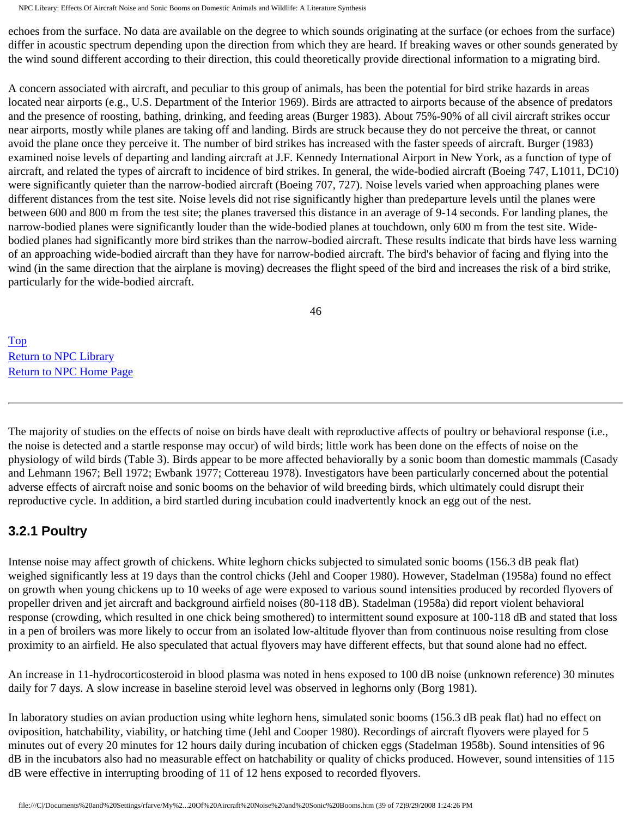echoes from the surface. No data are available on the degree to which sounds originating at the surface (or echoes from the surface) differ in acoustic spectrum depending upon the direction from which they are heard. If breaking waves or other sounds generated by the wind sound different according to their direction, this could theoretically provide directional information to a migrating bird.

A concern associated with aircraft, and peculiar to this group of animals, has been the potential for bird strike hazards in areas located near airports (e.g., U.S. Department of the Interior 1969). Birds are attracted to airports because of the absence of predators and the presence of roosting, bathing, drinking, and feeding areas (Burger 1983). About 75%-90% of all civil aircraft strikes occur near airports, mostly while planes are taking off and landing. Birds are struck because they do not perceive the threat, or cannot avoid the plane once they perceive it. The number of bird strikes has increased with the faster speeds of aircraft. Burger (1983) examined noise levels of departing and landing aircraft at J.F. Kennedy International Airport in New York, as a function of type of aircraft, and related the types of aircraft to incidence of bird strikes. In general, the wide-bodied aircraft (Boeing 747, L1011, DC10) were significantly quieter than the narrow-bodied aircraft (Boeing 707, 727). Noise levels varied when approaching planes were different distances from the test site. Noise levels did not rise significantly higher than predeparture levels until the planes were between 600 and 800 m from the test site; the planes traversed this distance in an average of 9-14 seconds. For landing planes, the narrow-bodied planes were significantly louder than the wide-bodied planes at touchdown, only 600 m from the test site. Widebodied planes had significantly more bird strikes than the narrow-bodied aircraft. These results indicate that birds have less warning of an approaching wide-bodied aircraft than they have for narrow-bodied aircraft. The bird's behavior of facing and flying into the wind (in the same direction that the airplane is moving) decreases the flight speed of the bird and increases the risk of a bird strike, particularly for the wide-bodied aircraft.

46

[Top](http://www.nonoise.org/library/animals/litsyn.htm#top)  [Return to NPC Library](http://www.nonoise.org/library.htm)  [Return to NPC Home Page](http://www.nonoise.org/index.htm) 

The majority of studies on the effects of noise on birds have dealt with reproductive affects of poultry or behavioral response (i.e., the noise is detected and a startle response may occur) of wild birds; little work has been done on the effects of noise on the physiology of wild birds (Table 3). Birds appear to be more affected behaviorally by a sonic boom than domestic mammals (Casady and Lehmann 1967; Bell 1972; Ewbank 1977; Cottereau 1978). Investigators have been particularly concerned about the potential adverse effects of aircraft noise and sonic booms on the behavior of wild breeding birds, which ultimately could disrupt their reproductive cycle. In addition, a bird startled during incubation could inadvertently knock an egg out of the nest.

## **3.2.1 Poultry**

Intense noise may affect growth of chickens. White leghorn chicks subjected to simulated sonic booms (156.3 dB peak flat) weighed significantly less at 19 days than the control chicks (Jehl and Cooper 1980). However, Stadelman (1958a) found no effect on growth when young chickens up to 10 weeks of age were exposed to various sound intensities produced by recorded flyovers of propeller driven and jet aircraft and background airfield noises (80-118 dB). Stadelman (1958a) did report violent behavioral response (crowding, which resulted in one chick being smothered) to intermittent sound exposure at 100-118 dB and stated that loss in a pen of broilers was more likely to occur from an isolated low-altitude flyover than from continuous noise resulting from close proximity to an airfield. He also speculated that actual flyovers may have different effects, but that sound alone had no effect.

An increase in 11-hydrocorticosteroid in blood plasma was noted in hens exposed to 100 dB noise (unknown reference) 30 minutes daily for 7 days. A slow increase in baseline steroid level was observed in leghorns only (Borg 1981).

In laboratory studies on avian production using white leghorn hens, simulated sonic booms (156.3 dB peak flat) had no effect on oviposition, hatchability, viability, or hatching time (Jehl and Cooper 1980). Recordings of aircraft flyovers were played for 5 minutes out of every 20 minutes for 12 hours daily during incubation of chicken eggs (Stadelman 1958b). Sound intensities of 96 dB in the incubators also had no measurable effect on hatchability or quality of chicks produced. However, sound intensities of 115 dB were effective in interrupting brooding of 11 of 12 hens exposed to recorded flyovers.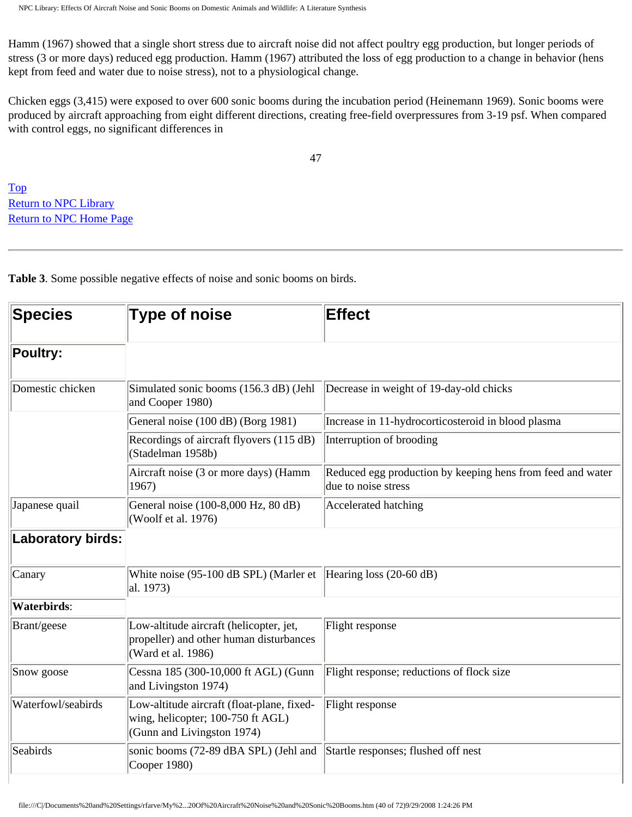Hamm (1967) showed that a single short stress due to aircraft noise did not affect poultry egg production, but longer periods of stress (3 or more days) reduced egg production. Hamm (1967) attributed the loss of egg production to a change in behavior (hens kept from feed and water due to noise stress), not to a physiological change.

Chicken eggs (3,415) were exposed to over 600 sonic booms during the incubation period (Heinemann 1969). Sonic booms were produced by aircraft approaching from eight different directions, creating free-field overpressures from 3-19 psf. When compared with control eggs, no significant differences in

47

[Top](http://www.nonoise.org/library/animals/litsyn.htm#top)  **Return to NPC Library** [Return to NPC Home Page](http://www.nonoise.org/index.htm) 

**Table 3**. Some possible negative effects of noise and sonic booms on birds.

| <b>Species</b>           | <b>Type of noise</b>                                                                                          | <b>Effect</b>                                                                     |
|--------------------------|---------------------------------------------------------------------------------------------------------------|-----------------------------------------------------------------------------------|
| <b>Poultry:</b>          |                                                                                                               |                                                                                   |
| Domestic chicken         | Simulated sonic booms (156.3 dB) (Jehl<br>and Cooper 1980)                                                    | Decrease in weight of 19-day-old chicks                                           |
|                          | General noise (100 dB) (Borg 1981)                                                                            | Increase in 11-hydrocorticosteroid in blood plasma                                |
|                          | Recordings of aircraft flyovers (115 dB)<br>(Stadelman 1958b)                                                 | Interruption of brooding                                                          |
|                          | Aircraft noise (3 or more days) (Hamm<br>1967)                                                                | Reduced egg production by keeping hens from feed and water<br>due to noise stress |
| Japanese quail           | General noise (100-8,000 Hz, 80 dB)<br>(Woolf et al. 1976)                                                    | Accelerated hatching                                                              |
| <b>Laboratory birds:</b> |                                                                                                               |                                                                                   |
| Canary                   | White noise (95-100 dB SPL) (Marler et<br>al. 1973)                                                           | Hearing loss $(20-60)$ dB)                                                        |
| <b>Waterbirds:</b>       |                                                                                                               |                                                                                   |
| Brant/geese              | Low-altitude aircraft (helicopter, jet,<br>propeller) and other human disturbances<br>(Ward et al. 1986)      | Flight response                                                                   |
| Snow goose               | Cessna 185 (300-10,000 ft AGL) (Gunn<br>and Livingston 1974)                                                  | Flight response; reductions of flock size                                         |
| Waterfowl/seabirds       | Low-altitude aircraft (float-plane, fixed-<br>wing, helicopter; 100-750 ft AGL)<br>(Gunn and Livingston 1974) | Flight response                                                                   |
| Seabirds                 | sonic booms (72-89 dBA SPL) (Jehl and<br>Cooper 1980)                                                         | Startle responses; flushed off nest                                               |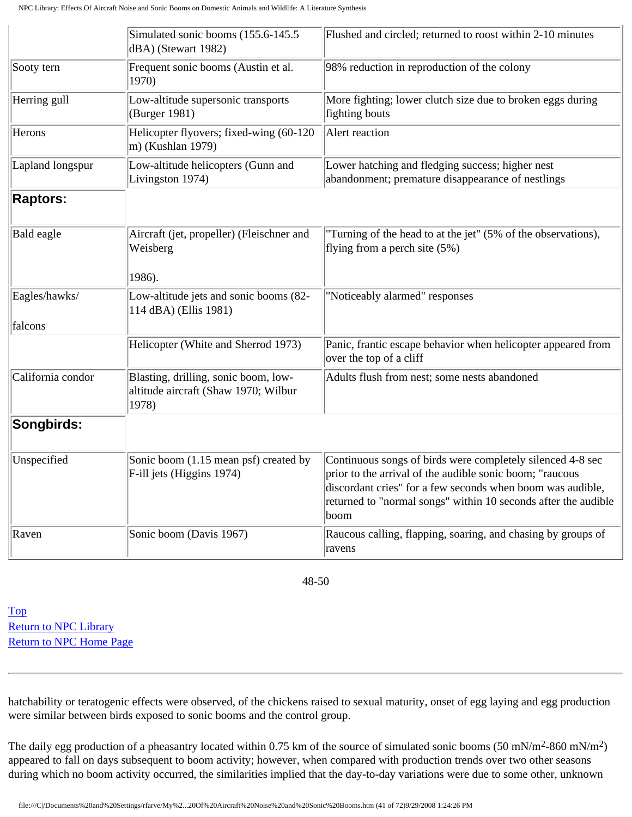|                          | Simulated sonic booms (155.6-145.5)<br>dBA) (Stewart 1982)                            | Flushed and circled; returned to roost within 2-10 minutes                                                                                                                                                                                                     |
|--------------------------|---------------------------------------------------------------------------------------|----------------------------------------------------------------------------------------------------------------------------------------------------------------------------------------------------------------------------------------------------------------|
| Sooty tern               | Frequent sonic booms (Austin et al.<br>1970)                                          | 98% reduction in reproduction of the colony                                                                                                                                                                                                                    |
| Herring gull             | Low-altitude supersonic transports<br>(Burger 1981)                                   | More fighting; lower clutch size due to broken eggs during<br>fighting bouts                                                                                                                                                                                   |
| Herons                   | Helicopter flyovers; fixed-wing (60-120<br>$ m$ ) (Kushlan 1979)                      | Alert reaction                                                                                                                                                                                                                                                 |
| Lapland longspur         | Low-altitude helicopters (Gunn and<br>Livingston 1974)                                | Lower hatching and fledging success; higher nest<br>abandonment; premature disappearance of nestlings                                                                                                                                                          |
| <b>Raptors:</b>          |                                                                                       |                                                                                                                                                                                                                                                                |
| Bald eagle               | Aircraft (jet, propeller) (Fleischner and<br>Weisberg<br>1986).                       | "Turning of the head to at the jet" (5% of the observations),<br>flying from a perch site $(5%)$                                                                                                                                                               |
| Eagles/hawks/<br>falcons | Low-altitude jets and sonic booms (82-<br>114 dBA) (Ellis 1981)                       | "Noticeably alarmed" responses                                                                                                                                                                                                                                 |
|                          | Helicopter (White and Sherrod 1973)                                                   | Panic, frantic escape behavior when helicopter appeared from<br>over the top of a cliff                                                                                                                                                                        |
| California condor        | Blasting, drilling, sonic boom, low-<br>altitude aircraft (Shaw 1970; Wilbur<br>1978) | Adults flush from nest; some nests abandoned                                                                                                                                                                                                                   |
| Songbirds:               |                                                                                       |                                                                                                                                                                                                                                                                |
| Unspecified              | Sonic boom (1.15 mean psf) created by<br>F-ill jets (Higgins 1974)                    | Continuous songs of birds were completely silenced 4-8 sec<br>prior to the arrival of the audible sonic boom; "raucous<br>discordant cries" for a few seconds when boom was audible,<br>returned to "normal songs" within 10 seconds after the audible<br>boom |
| Raven                    | Sonic boom (Davis 1967)                                                               | Raucous calling, flapping, soaring, and chasing by groups of<br>ravens                                                                                                                                                                                         |

48-50

[Top](http://www.nonoise.org/library/animals/litsyn.htm#top)  [Return to NPC Library](http://www.nonoise.org/library.htm)  [Return to NPC Home Page](http://www.nonoise.org/index.htm) 

hatchability or teratogenic effects were observed, of the chickens raised to sexual maturity, onset of egg laying and egg production were similar between birds exposed to sonic booms and the control group.

The daily egg production of a pheasantry located within 0.75 km of the source of simulated sonic booms (50 mN/m2-860 mN/m2) appeared to fall on days subsequent to boom activity; however, when compared with production trends over two other seasons during which no boom activity occurred, the similarities implied that the day-to-day variations were due to some other, unknown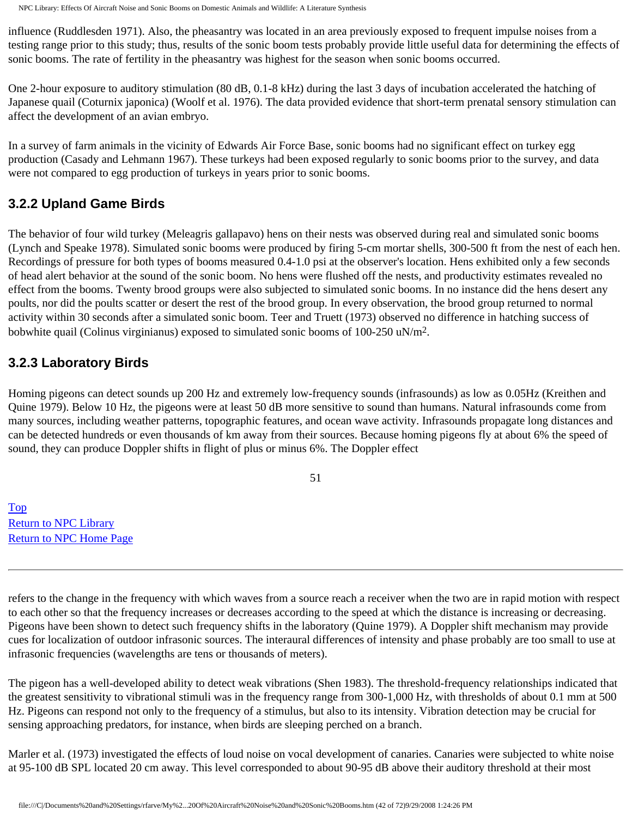influence (Ruddlesden 1971). Also, the pheasantry was located in an area previously exposed to frequent impulse noises from a testing range prior to this study; thus, results of the sonic boom tests probably provide little useful data for determining the effects of sonic booms. The rate of fertility in the pheasantry was highest for the season when sonic booms occurred.

One 2-hour exposure to auditory stimulation (80 dB, 0.1-8 kHz) during the last 3 days of incubation accelerated the hatching of Japanese quail (Coturnix japonica) (Woolf et al. 1976). The data provided evidence that short-term prenatal sensory stimulation can affect the development of an avian embryo.

In a survey of farm animals in the vicinity of Edwards Air Force Base, sonic booms had no significant effect on turkey egg production (Casady and Lehmann 1967). These turkeys had been exposed regularly to sonic booms prior to the survey, and data were not compared to egg production of turkeys in years prior to sonic booms.

### **3.2.2 Upland Game Birds**

The behavior of four wild turkey (Meleagris gallapavo) hens on their nests was observed during real and simulated sonic booms (Lynch and Speake 1978). Simulated sonic booms were produced by firing 5-cm mortar shells, 300-500 ft from the nest of each hen. Recordings of pressure for both types of booms measured 0.4-1.0 psi at the observer's location. Hens exhibited only a few seconds of head alert behavior at the sound of the sonic boom. No hens were flushed off the nests, and productivity estimates revealed no effect from the booms. Twenty brood groups were also subjected to simulated sonic booms. In no instance did the hens desert any poults, nor did the poults scatter or desert the rest of the brood group. In every observation, the brood group returned to normal activity within 30 seconds after a simulated sonic boom. Teer and Truett (1973) observed no difference in hatching success of bobwhite quail (Colinus virginianus) exposed to simulated sonic booms of  $100-250$  uN/m<sup>2</sup>.

### **3.2.3 Laboratory Birds**

Homing pigeons can detect sounds up 200 Hz and extremely low-frequency sounds (infrasounds) as low as 0.05Hz (Kreithen and Quine 1979). Below 10 Hz, the pigeons were at least 50 dB more sensitive to sound than humans. Natural infrasounds come from many sources, including weather patterns, topographic features, and ocean wave activity. Infrasounds propagate long distances and can be detected hundreds or even thousands of km away from their sources. Because homing pigeons fly at about 6% the speed of sound, they can produce Doppler shifts in flight of plus or minus 6%. The Doppler effect

51

[Top](http://www.nonoise.org/library/animals/litsyn.htm#top)  [Return to NPC Library](http://www.nonoise.org/library.htm)  [Return to NPC Home Page](http://www.nonoise.org/index.htm) 

refers to the change in the frequency with which waves from a source reach a receiver when the two are in rapid motion with respect to each other so that the frequency increases or decreases according to the speed at which the distance is increasing or decreasing. Pigeons have been shown to detect such frequency shifts in the laboratory (Quine 1979). A Doppler shift mechanism may provide cues for localization of outdoor infrasonic sources. The interaural differences of intensity and phase probably are too small to use at infrasonic frequencies (wavelengths are tens or thousands of meters).

The pigeon has a well-developed ability to detect weak vibrations (Shen 1983). The threshold-frequency relationships indicated that the greatest sensitivity to vibrational stimuli was in the frequency range from 300-1,000 Hz, with thresholds of about 0.1 mm at 500 Hz. Pigeons can respond not only to the frequency of a stimulus, but also to its intensity. Vibration detection may be crucial for sensing approaching predators, for instance, when birds are sleeping perched on a branch.

Marler et al. (1973) investigated the effects of loud noise on vocal development of canaries. Canaries were subjected to white noise at 95-100 dB SPL located 20 cm away. This level corresponded to about 90-95 dB above their auditory threshold at their most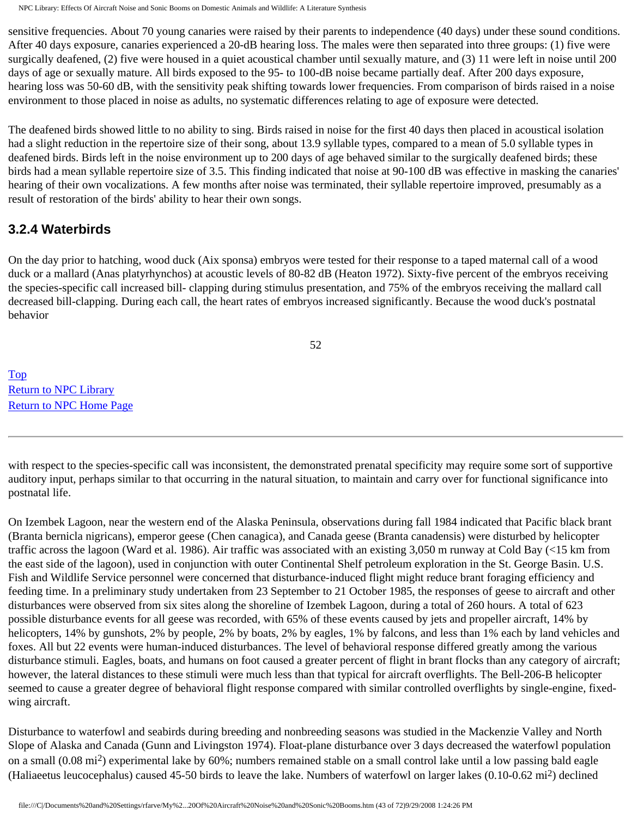sensitive frequencies. About 70 young canaries were raised by their parents to independence (40 days) under these sound conditions. After 40 days exposure, canaries experienced a 20-dB hearing loss. The males were then separated into three groups: (1) five were surgically deafened, (2) five were housed in a quiet acoustical chamber until sexually mature, and (3) 11 were left in noise until 200 days of age or sexually mature. All birds exposed to the 95- to 100-dB noise became partially deaf. After 200 days exposure, hearing loss was 50-60 dB, with the sensitivity peak shifting towards lower frequencies. From comparison of birds raised in a noise environment to those placed in noise as adults, no systematic differences relating to age of exposure were detected.

The deafened birds showed little to no ability to sing. Birds raised in noise for the first 40 days then placed in acoustical isolation had a slight reduction in the repertoire size of their song, about 13.9 syllable types, compared to a mean of 5.0 syllable types in deafened birds. Birds left in the noise environment up to 200 days of age behaved similar to the surgically deafened birds; these birds had a mean syllable repertoire size of 3.5. This finding indicated that noise at 90-100 dB was effective in masking the canaries' hearing of their own vocalizations. A few months after noise was terminated, their syllable repertoire improved, presumably as a result of restoration of the birds' ability to hear their own songs.

#### **3.2.4 Waterbirds**

On the day prior to hatching, wood duck (Aix sponsa) embryos were tested for their response to a taped maternal call of a wood duck or a mallard (Anas platyrhynchos) at acoustic levels of 80-82 dB (Heaton 1972). Sixty-five percent of the embryos receiving the species-specific call increased bill- clapping during stimulus presentation, and 75% of the embryos receiving the mallard call decreased bill-clapping. During each call, the heart rates of embryos increased significantly. Because the wood duck's postnatal behavior

52

[Top](http://www.nonoise.org/library/animals/litsyn.htm#top)  [Return to NPC Library](http://www.nonoise.org/library.htm)  [Return to NPC Home Page](http://www.nonoise.org/index.htm) 

with respect to the species-specific call was inconsistent, the demonstrated prenatal specificity may require some sort of supportive auditory input, perhaps similar to that occurring in the natural situation, to maintain and carry over for functional significance into postnatal life.

On Izembek Lagoon, near the western end of the Alaska Peninsula, observations during fall 1984 indicated that Pacific black brant (Branta bernicla nigricans), emperor geese (Chen canagica), and Canada geese (Branta canadensis) were disturbed by helicopter traffic across the lagoon (Ward et al. 1986). Air traffic was associated with an existing 3,050 m runway at Cold Bay (<15 km from the east side of the lagoon), used in conjunction with outer Continental Shelf petroleum exploration in the St. George Basin. U.S. Fish and Wildlife Service personnel were concerned that disturbance-induced flight might reduce brant foraging efficiency and feeding time. In a preliminary study undertaken from 23 September to 21 October 1985, the responses of geese to aircraft and other disturbances were observed from six sites along the shoreline of Izembek Lagoon, during a total of 260 hours. A total of 623 possible disturbance events for all geese was recorded, with 65% of these events caused by jets and propeller aircraft, 14% by helicopters, 14% by gunshots, 2% by people, 2% by boats, 2% by eagles, 1% by falcons, and less than 1% each by land vehicles and foxes. All but 22 events were human-induced disturbances. The level of behavioral response differed greatly among the various disturbance stimuli. Eagles, boats, and humans on foot caused a greater percent of flight in brant flocks than any category of aircraft; however, the lateral distances to these stimuli were much less than that typical for aircraft overflights. The Bell-206-B helicopter seemed to cause a greater degree of behavioral flight response compared with similar controlled overflights by single-engine, fixedwing aircraft.

Disturbance to waterfowl and seabirds during breeding and nonbreeding seasons was studied in the Mackenzie Valley and North Slope of Alaska and Canada (Gunn and Livingston 1974). Float-plane disturbance over 3 days decreased the waterfowl population on a small (0.08 mi2) experimental lake by 60%; numbers remained stable on a small control lake until a low passing bald eagle (Haliaeetus leucocephalus) caused 45-50 birds to leave the lake. Numbers of waterfowl on larger lakes  $(0.10{\text -}0.62 \text{ mi}^2)$  declined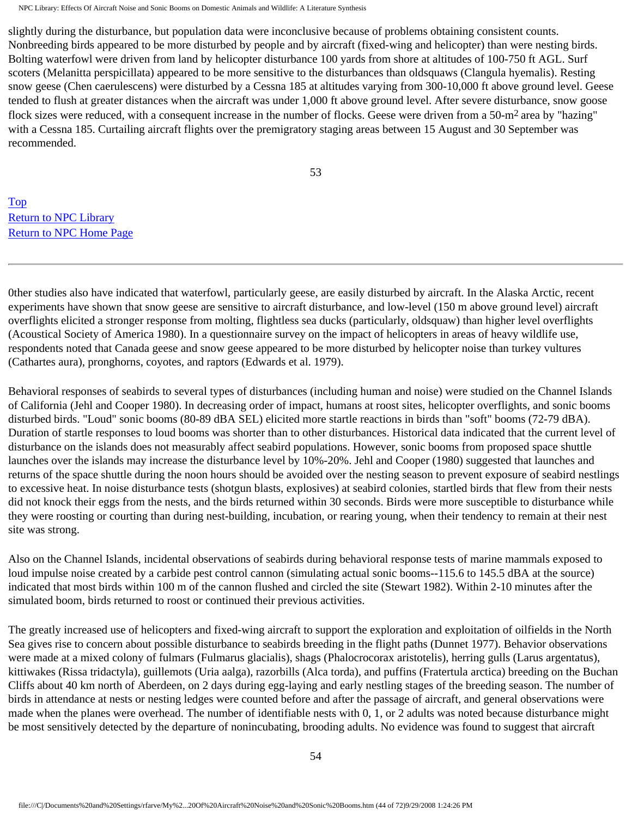slightly during the disturbance, but population data were inconclusive because of problems obtaining consistent counts. Nonbreeding birds appeared to be more disturbed by people and by aircraft (fixed-wing and helicopter) than were nesting birds. Bolting waterfowl were driven from land by helicopter disturbance 100 yards from shore at altitudes of 100-750 ft AGL. Surf scoters (Melanitta perspicillata) appeared to be more sensitive to the disturbances than oldsquaws (Clangula hyemalis). Resting snow geese (Chen caerulescens) were disturbed by a Cessna 185 at altitudes varying from 300-10,000 ft above ground level. Geese tended to flush at greater distances when the aircraft was under 1,000 ft above ground level. After severe disturbance, snow goose flock sizes were reduced, with a consequent increase in the number of flocks. Geese were driven from a 50-m<sup>2</sup> area by "hazing" with a Cessna 185. Curtailing aircraft flights over the premigratory staging areas between 15 August and 30 September was recommended.

53

[Top](http://www.nonoise.org/library/animals/litsyn.htm#top)  [Return to NPC Library](http://www.nonoise.org/library.htm)  [Return to NPC Home Page](http://www.nonoise.org/index.htm) 

0ther studies also have indicated that waterfowl, particularly geese, are easily disturbed by aircraft. In the Alaska Arctic, recent experiments have shown that snow geese are sensitive to aircraft disturbance, and low-level (150 m above ground level) aircraft overflights elicited a stronger response from molting, flightless sea ducks (particularly, oldsquaw) than higher level overflights (Acoustical Society of America 1980). In a questionnaire survey on the impact of helicopters in areas of heavy wildlife use, respondents noted that Canada geese and snow geese appeared to be more disturbed by helicopter noise than turkey vultures (Cathartes aura), pronghorns, coyotes, and raptors (Edwards et al. 1979).

Behavioral responses of seabirds to several types of disturbances (including human and noise) were studied on the Channel Islands of California (Jehl and Cooper 1980). In decreasing order of impact, humans at roost sites, helicopter overflights, and sonic booms disturbed birds. "Loud" sonic booms (80-89 dBA SEL) elicited more startle reactions in birds than "soft" booms (72-79 dBA). Duration of startle responses to loud booms was shorter than to other disturbances. Historical data indicated that the current level of disturbance on the islands does not measurably affect seabird populations. However, sonic booms from proposed space shuttle launches over the islands may increase the disturbance level by 10%-20%. Jehl and Cooper (1980) suggested that launches and returns of the space shuttle during the noon hours should be avoided over the nesting season to prevent exposure of seabird nestlings to excessive heat. In noise disturbance tests (shotgun blasts, explosives) at seabird colonies, startled birds that flew from their nests did not knock their eggs from the nests, and the birds returned within 30 seconds. Birds were more susceptible to disturbance while they were roosting or courting than during nest-building, incubation, or rearing young, when their tendency to remain at their nest site was strong.

Also on the Channel Islands, incidental observations of seabirds during behavioral response tests of marine mammals exposed to loud impulse noise created by a carbide pest control cannon (simulating actual sonic booms--115.6 to 145.5 dBA at the source) indicated that most birds within 100 m of the cannon flushed and circled the site (Stewart 1982). Within 2-10 minutes after the simulated boom, birds returned to roost or continued their previous activities.

The greatly increased use of helicopters and fixed-wing aircraft to support the exploration and exploitation of oilfields in the North Sea gives rise to concern about possible disturbance to seabirds breeding in the flight paths (Dunnet 1977). Behavior observations were made at a mixed colony of fulmars (Fulmarus glacialis), shags (Phalocrocorax aristotelis), herring gulls (Larus argentatus), kittiwakes (Rissa tridactyla), guillemots (Uria aalga), razorbills (Alca torda), and puffins (Fratertula arctica) breeding on the Buchan Cliffs about 40 km north of Aberdeen, on 2 days during egg-laying and early nestling stages of the breeding season. The number of birds in attendance at nests or nesting ledges were counted before and after the passage of aircraft, and general observations were made when the planes were overhead. The number of identifiable nests with 0, 1, or 2 adults was noted because disturbance might be most sensitively detected by the departure of nonincubating, brooding adults. No evidence was found to suggest that aircraft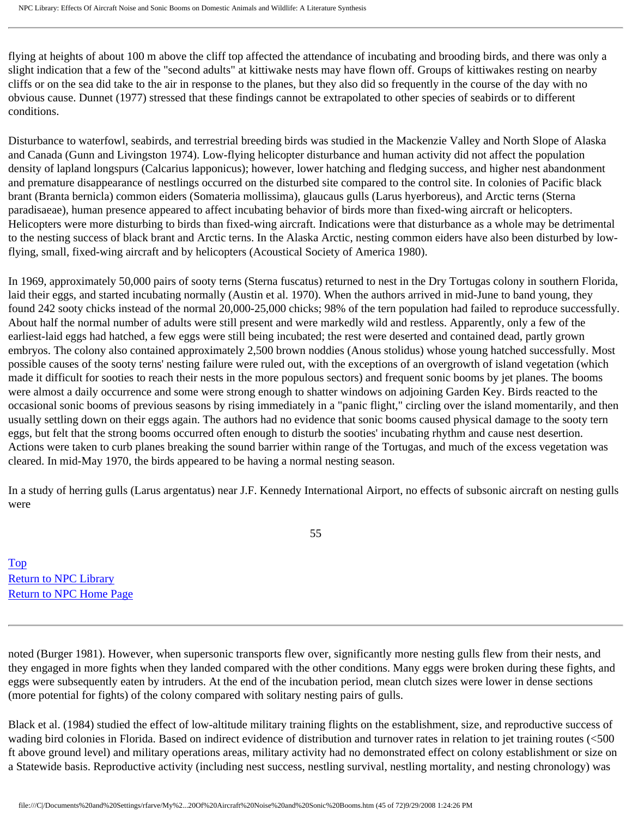flying at heights of about 100 m above the cliff top affected the attendance of incubating and brooding birds, and there was only a slight indication that a few of the "second adults" at kittiwake nests may have flown off. Groups of kittiwakes resting on nearby cliffs or on the sea did take to the air in response to the planes, but they also did so frequently in the course of the day with no obvious cause. Dunnet (1977) stressed that these findings cannot be extrapolated to other species of seabirds or to different conditions.

Disturbance to waterfowl, seabirds, and terrestrial breeding birds was studied in the Mackenzie Valley and North Slope of Alaska and Canada (Gunn and Livingston 1974). Low-flying helicopter disturbance and human activity did not affect the population density of lapland longspurs (Calcarius lapponicus); however, lower hatching and fledging success, and higher nest abandonment and premature disappearance of nestlings occurred on the disturbed site compared to the control site. In colonies of Pacific black brant (Branta bernicla) common eiders (Somateria mollissima), glaucaus gulls (Larus hyerboreus), and Arctic terns (Sterna paradisaeae), human presence appeared to affect incubating behavior of birds more than fixed-wing aircraft or helicopters. Helicopters were more disturbing to birds than fixed-wing aircraft. Indications were that disturbance as a whole may be detrimental to the nesting success of black brant and Arctic terns. In the Alaska Arctic, nesting common eiders have also been disturbed by lowflying, small, fixed-wing aircraft and by helicopters (Acoustical Society of America 1980).

In 1969, approximately 50,000 pairs of sooty terns (Sterna fuscatus) returned to nest in the Dry Tortugas colony in southern Florida, laid their eggs, and started incubating normally (Austin et al. 1970). When the authors arrived in mid-June to band young, they found 242 sooty chicks instead of the normal 20,000-25,000 chicks; 98% of the tern population had failed to reproduce successfully. About half the normal number of adults were still present and were markedly wild and restless. Apparently, only a few of the earliest-laid eggs had hatched, a few eggs were still being incubated; the rest were deserted and contained dead, partly grown embryos. The colony also contained approximately 2,500 brown noddies (Anous stolidus) whose young hatched successfully. Most possible causes of the sooty terns' nesting failure were ruled out, with the exceptions of an overgrowth of island vegetation (which made it difficult for sooties to reach their nests in the more populous sectors) and frequent sonic booms by jet planes. The booms were almost a daily occurrence and some were strong enough to shatter windows on adjoining Garden Key. Birds reacted to the occasional sonic booms of previous seasons by rising immediately in a "panic flight," circling over the island momentarily, and then usually settling down on their eggs again. The authors had no evidence that sonic booms caused physical damage to the sooty tern eggs, but felt that the strong booms occurred often enough to disturb the sooties' incubating rhythm and cause nest desertion. Actions were taken to curb planes breaking the sound barrier within range of the Tortugas, and much of the excess vegetation was cleared. In mid-May 1970, the birds appeared to be having a normal nesting season.

In a study of herring gulls (Larus argentatus) near J.F. Kennedy International Airport, no effects of subsonic aircraft on nesting gulls were

55

[Top](http://www.nonoise.org/library/animals/litsyn.htm#top)  [Return to NPC Library](http://www.nonoise.org/library.htm)  [Return to NPC Home Page](http://www.nonoise.org/index.htm) 

noted (Burger 1981). However, when supersonic transports flew over, significantly more nesting gulls flew from their nests, and they engaged in more fights when they landed compared with the other conditions. Many eggs were broken during these fights, and eggs were subsequently eaten by intruders. At the end of the incubation period, mean clutch sizes were lower in dense sections (more potential for fights) of the colony compared with solitary nesting pairs of gulls.

Black et al. (1984) studied the effect of low-altitude military training flights on the establishment, size, and reproductive success of wading bird colonies in Florida. Based on indirect evidence of distribution and turnover rates in relation to jet training routes (<500 ft above ground level) and military operations areas, military activity had no demonstrated effect on colony establishment or size on a Statewide basis. Reproductive activity (including nest success, nestling survival, nestling mortality, and nesting chronology) was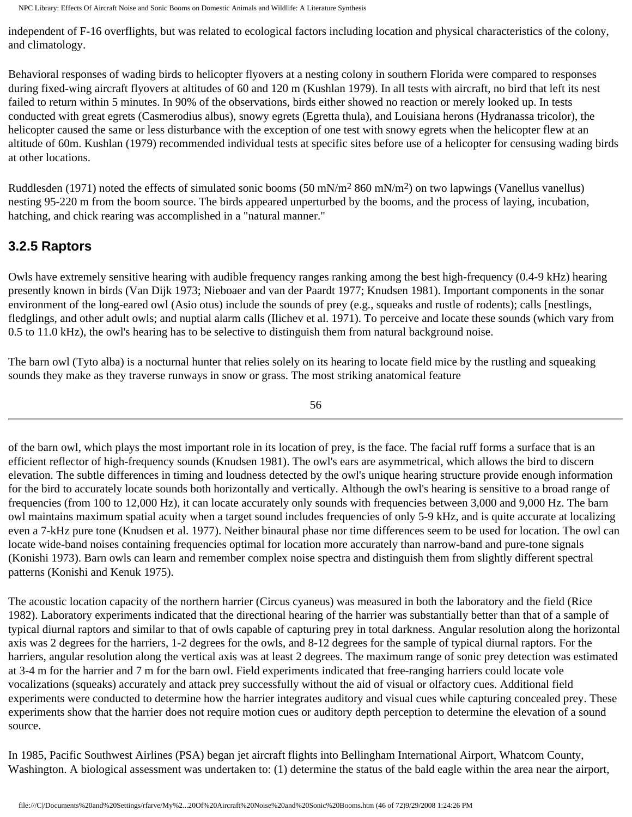independent of F-16 overflights, but was related to ecological factors including location and physical characteristics of the colony, and climatology.

Behavioral responses of wading birds to helicopter flyovers at a nesting colony in southern Florida were compared to responses during fixed-wing aircraft flyovers at altitudes of 60 and 120 m (Kushlan 1979). In all tests with aircraft, no bird that left its nest failed to return within 5 minutes. In 90% of the observations, birds either showed no reaction or merely looked up. In tests conducted with great egrets (Casmerodius albus), snowy egrets (Egretta thula), and Louisiana herons (Hydranassa tricolor), the helicopter caused the same or less disturbance with the exception of one test with snowy egrets when the helicopter flew at an altitude of 60m. Kushlan (1979) recommended individual tests at specific sites before use of a helicopter for censusing wading birds at other locations.

Ruddlesden (1971) noted the effects of simulated sonic booms (50 mN/m<sup>2</sup> 860 mN/m<sup>2</sup>) on two lapwings (Vanellus vanellus) nesting 95-220 m from the boom source. The birds appeared unperturbed by the booms, and the process of laying, incubation, hatching, and chick rearing was accomplished in a "natural manner."

## **3.2.5 Raptors**

Owls have extremely sensitive hearing with audible frequency ranges ranking among the best high-frequency (0.4-9 kHz) hearing presently known in birds (Van Dijk 1973; Nieboaer and van der Paardt 1977; Knudsen 1981). Important components in the sonar environment of the long-eared owl (Asio otus) include the sounds of prey (e.g., squeaks and rustle of rodents); calls [nestlings, fledglings, and other adult owls; and nuptial alarm calls (Ilichev et al. 1971). To perceive and locate these sounds (which vary from 0.5 to 11.0 kHz), the owl's hearing has to be selective to distinguish them from natural background noise.

The barn owl (Tyto alba) is a nocturnal hunter that relies solely on its hearing to locate field mice by the rustling and squeaking sounds they make as they traverse runways in snow or grass. The most striking anatomical feature

56

of the barn owl, which plays the most important role in its location of prey, is the face. The facial ruff forms a surface that is an efficient reflector of high-frequency sounds (Knudsen 1981). The owl's ears are asymmetrical, which allows the bird to discern elevation. The subtle differences in timing and loudness detected by the owl's unique hearing structure provide enough information for the bird to accurately locate sounds both horizontally and vertically. Although the owl's hearing is sensitive to a broad range of frequencies (from 100 to 12,000 Hz), it can locate accurately only sounds with frequencies between 3,000 and 9,000 Hz. The barn owl maintains maximum spatial acuity when a target sound includes frequencies of only 5-9 kHz, and is quite accurate at localizing even a 7-kHz pure tone (Knudsen et al. 1977). Neither binaural phase nor time differences seem to be used for location. The owl can locate wide-band noises containing frequencies optimal for location more accurately than narrow-band and pure-tone signals (Konishi 1973). Barn owls can learn and remember complex noise spectra and distinguish them from slightly different spectral patterns (Konishi and Kenuk 1975).

The acoustic location capacity of the northern harrier (Circus cyaneus) was measured in both the laboratory and the field (Rice 1982). Laboratory experiments indicated that the directional hearing of the harrier was substantially better than that of a sample of typical diurnal raptors and similar to that of owls capable of capturing prey in total darkness. Angular resolution along the horizontal axis was 2 degrees for the harriers, 1-2 degrees for the owls, and 8-12 degrees for the sample of typical diurnal raptors. For the harriers, angular resolution along the vertical axis was at least 2 degrees. The maximum range of sonic prey detection was estimated at 3-4 m for the harrier and 7 m for the barn owl. Field experiments indicated that free-ranging harriers could locate vole vocalizations (squeaks) accurately and attack prey successfully without the aid of visual or olfactory cues. Additional field experiments were conducted to determine how the harrier integrates auditory and visual cues while capturing concealed prey. These experiments show that the harrier does not require motion cues or auditory depth perception to determine the elevation of a sound source.

In 1985, Pacific Southwest Airlines (PSA) began jet aircraft flights into Bellingham International Airport, Whatcom County, Washington. A biological assessment was undertaken to: (1) determine the status of the bald eagle within the area near the airport,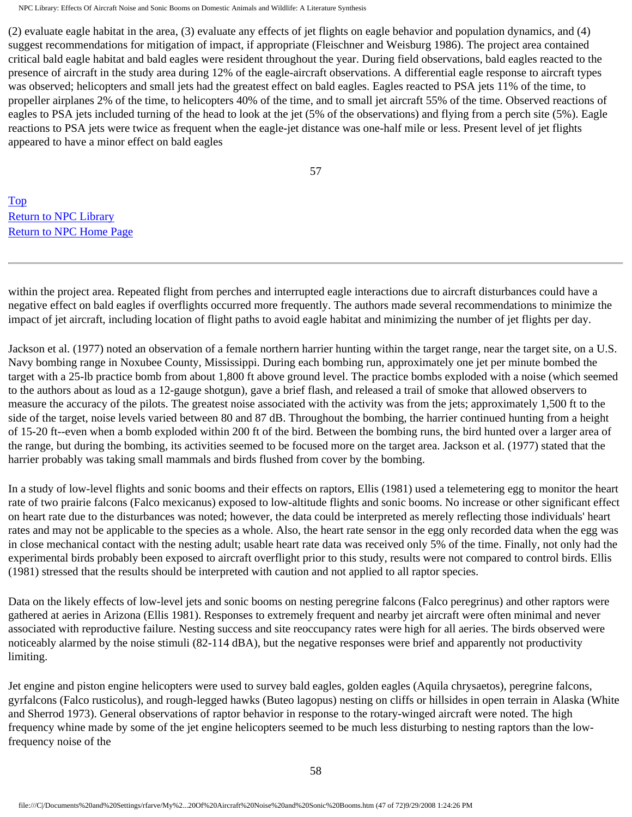(2) evaluate eagle habitat in the area, (3) evaluate any effects of jet flights on eagle behavior and population dynamics, and (4) suggest recommendations for mitigation of impact, if appropriate (Fleischner and Weisburg 1986). The project area contained critical bald eagle habitat and bald eagles were resident throughout the year. During field observations, bald eagles reacted to the presence of aircraft in the study area during 12% of the eagle-aircraft observations. A differential eagle response to aircraft types was observed; helicopters and small jets had the greatest effect on bald eagles. Eagles reacted to PSA jets 11% of the time, to propeller airplanes 2% of the time, to helicopters 40% of the time, and to small jet aircraft 55% of the time. Observed reactions of eagles to PSA jets included turning of the head to look at the jet (5% of the observations) and flying from a perch site (5%). Eagle reactions to PSA jets were twice as frequent when the eagle-jet distance was one-half mile or less. Present level of jet flights appeared to have a minor effect on bald eagles

57

[Top](http://www.nonoise.org/library/animals/litsyn.htm#top)  [Return to NPC Library](http://www.nonoise.org/library.htm)  [Return to NPC Home Page](http://www.nonoise.org/index.htm) 

within the project area. Repeated flight from perches and interrupted eagle interactions due to aircraft disturbances could have a negative effect on bald eagles if overflights occurred more frequently. The authors made several recommendations to minimize the impact of jet aircraft, including location of flight paths to avoid eagle habitat and minimizing the number of jet flights per day.

Jackson et al. (1977) noted an observation of a female northern harrier hunting within the target range, near the target site, on a U.S. Navy bombing range in Noxubee County, Mississippi. During each bombing run, approximately one jet per minute bombed the target with a 25-lb practice bomb from about 1,800 ft above ground level. The practice bombs exploded with a noise (which seemed to the authors about as loud as a 12-gauge shotgun), gave a brief flash, and released a trail of smoke that allowed observers to measure the accuracy of the pilots. The greatest noise associated with the activity was from the jets; approximately 1,500 ft to the side of the target, noise levels varied between 80 and 87 dB. Throughout the bombing, the harrier continued hunting from a height of 15-20 ft--even when a bomb exploded within 200 ft of the bird. Between the bombing runs, the bird hunted over a larger area of the range, but during the bombing, its activities seemed to be focused more on the target area. Jackson et al. (1977) stated that the harrier probably was taking small mammals and birds flushed from cover by the bombing.

In a study of low-level flights and sonic booms and their effects on raptors, Ellis (1981) used a telemetering egg to monitor the heart rate of two prairie falcons (Falco mexicanus) exposed to low-altitude flights and sonic booms. No increase or other significant effect on heart rate due to the disturbances was noted; however, the data could be interpreted as merely reflecting those individuals' heart rates and may not be applicable to the species as a whole. Also, the heart rate sensor in the egg only recorded data when the egg was in close mechanical contact with the nesting adult; usable heart rate data was received only 5% of the time. Finally, not only had the experimental birds probably been exposed to aircraft overflight prior to this study, results were not compared to control birds. Ellis (1981) stressed that the results should be interpreted with caution and not applied to all raptor species.

Data on the likely effects of low-level jets and sonic booms on nesting peregrine falcons (Falco peregrinus) and other raptors were gathered at aeries in Arizona (Ellis 1981). Responses to extremely frequent and nearby jet aircraft were often minimal and never associated with reproductive failure. Nesting success and site reoccupancy rates were high for all aeries. The birds observed were noticeably alarmed by the noise stimuli (82-114 dBA), but the negative responses were brief and apparently not productivity limiting.

Jet engine and piston engine helicopters were used to survey bald eagles, golden eagles (Aquila chrysaetos), peregrine falcons, gyrfalcons (Falco rusticolus), and rough-legged hawks (Buteo lagopus) nesting on cliffs or hillsides in open terrain in Alaska (White and Sherrod 1973). General observations of raptor behavior in response to the rotary-winged aircraft were noted. The high frequency whine made by some of the jet engine helicopters seemed to be much less disturbing to nesting raptors than the lowfrequency noise of the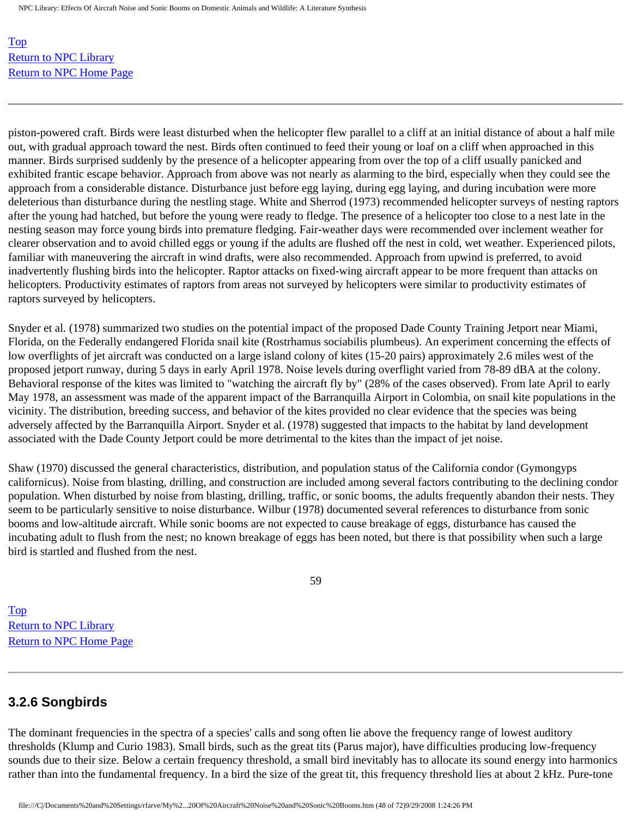[Top](http://www.nonoise.org/library/animals/litsyn.htm#top)  [Return to NPC Library](http://www.nonoise.org/library.htm)  [Return to NPC Home Page](http://www.nonoise.org/index.htm) 

piston-powered craft. Birds were least disturbed when the helicopter flew parallel to a cliff at an initial distance of about a half mile out, with gradual approach toward the nest. Birds often continued to feed their young or loaf on a cliff when approached in this manner. Birds surprised suddenly by the presence of a helicopter appearing from over the top of a cliff usually panicked and exhibited frantic escape behavior. Approach from above was not nearly as alarming to the bird, especially when they could see the approach from a considerable distance. Disturbance just before egg laying, during egg laying, and during incubation were more deleterious than disturbance during the nestling stage. White and Sherrod (1973) recommended helicopter surveys of nesting raptors after the young had hatched, but before the young were ready to fledge. The presence of a helicopter too close to a nest late in the nesting season may force young birds into premature fledging. Fair-weather days were recommended over inclement weather for clearer observation and to avoid chilled eggs or young if the adults are flushed off the nest in cold, wet weather. Experienced pilots, familiar with maneuvering the aircraft in wind drafts, were also recommended. Approach from upwind is preferred, to avoid inadvertently flushing birds into the helicopter. Raptor attacks on fixed-wing aircraft appear to be more frequent than attacks on helicopters. Productivity estimates of raptors from areas not surveyed by helicopters were similar to productivity estimates of raptors surveyed by helicopters.

Snyder et al. (1978) summarized two studies on the potential impact of the proposed Dade County Training Jetport near Miami, Florida, on the Federally endangered Florida snail kite (Rostrhamus sociabilis plumbeus). An experiment concerning the effects of low overflights of jet aircraft was conducted on a large island colony of kites (15-20 pairs) approximately 2.6 miles west of the proposed jetport runway, during 5 days in early April 1978. Noise levels during overflight varied from 78-89 dBA at the colony. Behavioral response of the kites was limited to "watching the aircraft fly by" (28% of the cases observed). From late April to early May 1978, an assessment was made of the apparent impact of the Barranquilla Airport in Colombia, on snail kite populations in the vicinity. The distribution, breeding success, and behavior of the kites provided no clear evidence that the species was being adversely affected by the Barranquilla Airport. Snyder et al. (1978) suggested that impacts to the habitat by land development associated with the Dade County Jetport could be more detrimental to the kites than the impact of jet noise.

Shaw (1970) discussed the general characteristics, distribution, and population status of the California condor (Gymongyps californicus). Noise from blasting, drilling, and construction are included among several factors contributing to the declining condor population. When disturbed by noise from blasting, drilling, traffic, or sonic booms, the adults frequently abandon their nests. They seem to be particularly sensitive to noise disturbance. Wilbur (1978) documented several references to disturbance from sonic booms and low-altitude aircraft. While sonic booms are not expected to cause breakage of eggs, disturbance has caused the incubating adult to flush from the nest; no known breakage of eggs has been noted, but there is that possibility when such a large bird is startled and flushed from the nest.

59

[Top](http://www.nonoise.org/library/animals/litsyn.htm#top)  [Return to NPC Library](http://www.nonoise.org/library.htm)  [Return to NPC Home Page](http://www.nonoise.org/index.htm) 

#### **3.2.6 Songbirds**

The dominant frequencies in the spectra of a species' calls and song often lie above the frequency range of lowest auditory thresholds (Klump and Curio 1983). Small birds, such as the great tits (Parus major), have difficulties producing low-frequency sounds due to their size. Below a certain frequency threshold, a small bird inevitably has to allocate its sound energy into harmonics rather than into the fundamental frequency. In a bird the size of the great tit, this frequency threshold lies at about 2 kHz. Pure-tone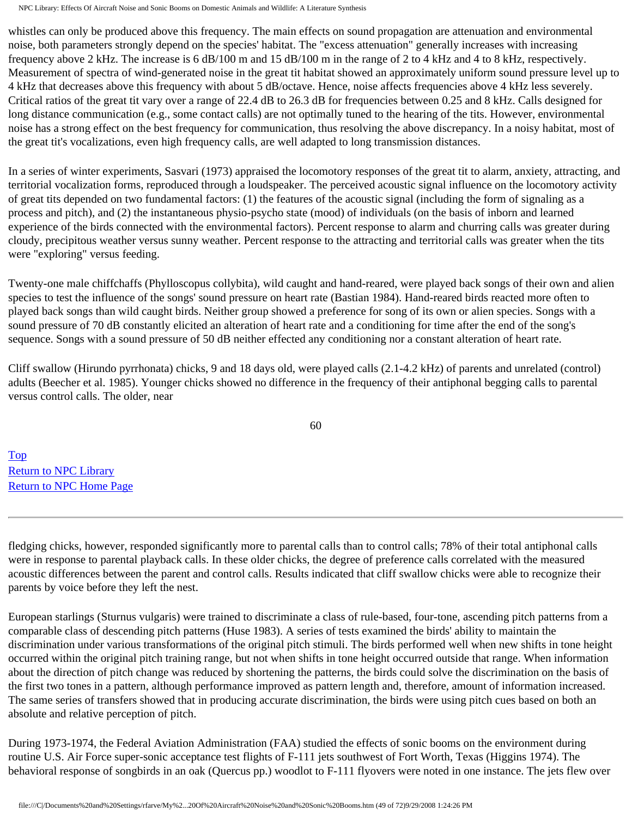whistles can only be produced above this frequency. The main effects on sound propagation are attenuation and environmental noise, both parameters strongly depend on the species' habitat. The "excess attenuation" generally increases with increasing frequency above 2 kHz. The increase is 6 dB/100 m and 15 dB/100 m in the range of 2 to 4 kHz and 4 to 8 kHz, respectively. Measurement of spectra of wind-generated noise in the great tit habitat showed an approximately uniform sound pressure level up to 4 kHz that decreases above this frequency with about 5 dB/octave. Hence, noise affects frequencies above 4 kHz less severely. Critical ratios of the great tit vary over a range of 22.4 dB to 26.3 dB for frequencies between 0.25 and 8 kHz. Calls designed for long distance communication (e.g., some contact calls) are not optimally tuned to the hearing of the tits. However, environmental noise has a strong effect on the best frequency for communication, thus resolving the above discrepancy. In a noisy habitat, most of the great tit's vocalizations, even high frequency calls, are well adapted to long transmission distances.

In a series of winter experiments, Sasvari (1973) appraised the locomotory responses of the great tit to alarm, anxiety, attracting, and territorial vocalization forms, reproduced through a loudspeaker. The perceived acoustic signal influence on the locomotory activity of great tits depended on two fundamental factors: (1) the features of the acoustic signal (including the form of signaling as a process and pitch), and (2) the instantaneous physio-psycho state (mood) of individuals (on the basis of inborn and learned experience of the birds connected with the environmental factors). Percent response to alarm and churring calls was greater during cloudy, precipitous weather versus sunny weather. Percent response to the attracting and territorial calls was greater when the tits were "exploring" versus feeding.

Twenty-one male chiffchaffs (Phylloscopus collybita), wild caught and hand-reared, were played back songs of their own and alien species to test the influence of the songs' sound pressure on heart rate (Bastian 1984). Hand-reared birds reacted more often to played back songs than wild caught birds. Neither group showed a preference for song of its own or alien species. Songs with a sound pressure of 70 dB constantly elicited an alteration of heart rate and a conditioning for time after the end of the song's sequence. Songs with a sound pressure of 50 dB neither effected any conditioning nor a constant alteration of heart rate.

Cliff swallow (Hirundo pyrrhonata) chicks, 9 and 18 days old, were played calls (2.1-4.2 kHz) of parents and unrelated (control) adults (Beecher et al. 1985). Younger chicks showed no difference in the frequency of their antiphonal begging calls to parental versus control calls. The older, near

60

[Top](http://www.nonoise.org/library/animals/litsyn.htm#top)  [Return to NPC Library](http://www.nonoise.org/library.htm)  [Return to NPC Home Page](http://www.nonoise.org/index.htm) 

fledging chicks, however, responded significantly more to parental calls than to control calls; 78% of their total antiphonal calls were in response to parental playback calls. In these older chicks, the degree of preference calls correlated with the measured acoustic differences between the parent and control calls. Results indicated that cliff swallow chicks were able to recognize their parents by voice before they left the nest.

European starlings (Sturnus vulgaris) were trained to discriminate a class of rule-based, four-tone, ascending pitch patterns from a comparable class of descending pitch patterns (Huse 1983). A series of tests examined the birds' ability to maintain the discrimination under various transformations of the original pitch stimuli. The birds performed well when new shifts in tone height occurred within the original pitch training range, but not when shifts in tone height occurred outside that range. When information about the direction of pitch change was reduced by shortening the patterns, the birds could solve the discrimination on the basis of the first two tones in a pattern, although performance improved as pattern length and, therefore, amount of information increased. The same series of transfers showed that in producing accurate discrimination, the birds were using pitch cues based on both an absolute and relative perception of pitch.

During 1973-1974, the Federal Aviation Administration (FAA) studied the effects of sonic booms on the environment during routine U.S. Air Force super-sonic acceptance test flights of F-111 jets southwest of Fort Worth, Texas (Higgins 1974). The behavioral response of songbirds in an oak (Quercus pp.) woodlot to F-111 flyovers were noted in one instance. The jets flew over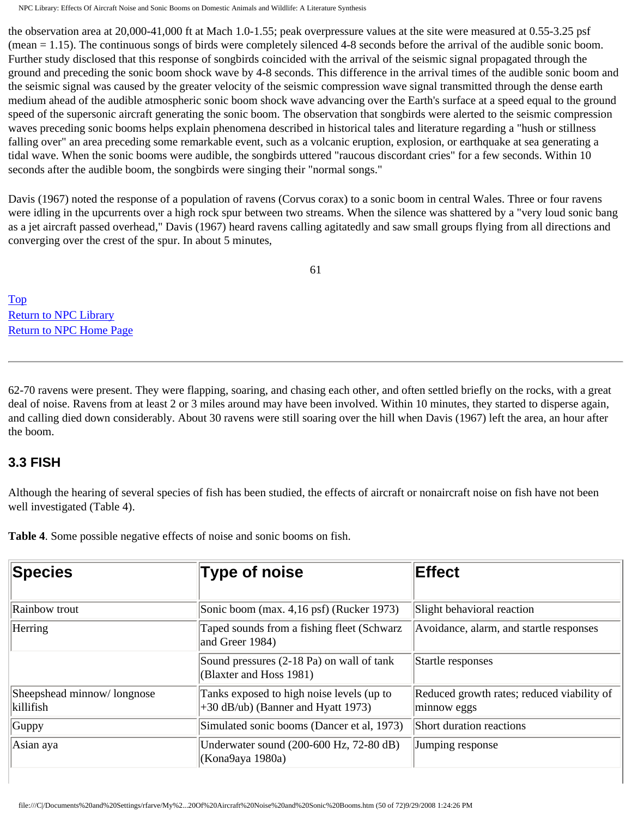the observation area at 20,000-41,000 ft at Mach 1.0-1.55; peak overpressure values at the site were measured at 0.55-3.25 psf (mean = 1.15). The continuous songs of birds were completely silenced 4-8 seconds before the arrival of the audible sonic boom. Further study disclosed that this response of songbirds coincided with the arrival of the seismic signal propagated through the ground and preceding the sonic boom shock wave by 4-8 seconds. This difference in the arrival times of the audible sonic boom and the seismic signal was caused by the greater velocity of the seismic compression wave signal transmitted through the dense earth medium ahead of the audible atmospheric sonic boom shock wave advancing over the Earth's surface at a speed equal to the ground speed of the supersonic aircraft generating the sonic boom. The observation that songbirds were alerted to the seismic compression waves preceding sonic booms helps explain phenomena described in historical tales and literature regarding a "hush or stillness falling over" an area preceding some remarkable event, such as a volcanic eruption, explosion, or earthquake at sea generating a tidal wave. When the sonic booms were audible, the songbirds uttered "raucous discordant cries" for a few seconds. Within 10 seconds after the audible boom, the songbirds were singing their "normal songs."

Davis (1967) noted the response of a population of ravens (Corvus corax) to a sonic boom in central Wales. Three or four ravens were idling in the upcurrents over a high rock spur between two streams. When the silence was shattered by a "very loud sonic bang as a jet aircraft passed overhead," Davis (1967) heard ravens calling agitatedly and saw small groups flying from all directions and converging over the crest of the spur. In about 5 minutes,

61

[Top](http://www.nonoise.org/library/animals/litsyn.htm#top)  [Return to NPC Library](http://www.nonoise.org/library.htm)  [Return to NPC Home Page](http://www.nonoise.org/index.htm) 

62-70 ravens were present. They were flapping, soaring, and chasing each other, and often settled briefly on the rocks, with a great deal of noise. Ravens from at least 2 or 3 miles around may have been involved. Within 10 minutes, they started to disperse again, and calling died down considerably. About 30 ravens were still soaring over the hill when Davis (1967) left the area, an hour after the boom.

#### **3.3 FISH**

Although the hearing of several species of fish has been studied, the effects of aircraft or nonaircraft noise on fish have not been well investigated (Table 4).

**Table 4**. Some possible negative effects of noise and sonic booms on fish.

| <b>Species</b>                          | Type of noise                                                                     | <b>Effect</b>                                             |
|-----------------------------------------|-----------------------------------------------------------------------------------|-----------------------------------------------------------|
| Rainbow trout                           | Sonic boom (max. 4,16 psf) (Rucker 1973)                                          | Slight behavioral reaction                                |
| Herring                                 | Taped sounds from a fishing fleet (Schwarz<br>and Greer 1984)                     | Avoidance, alarm, and startle responses                   |
|                                         | Sound pressures (2-18 Pa) on wall of tank<br>(Blaxter and Hoss 1981)              | Startle responses                                         |
| Sheepshead minnow/longnose<br>killifish | Tanks exposed to high noise levels (up to<br>$+30$ dB/ub) (Banner and Hyatt 1973) | Reduced growth rates; reduced viability of<br>minnow eggs |
| Guppy                                   | Simulated sonic booms (Dancer et al, 1973)                                        | Short duration reactions                                  |
| Asian aya                               | Underwater sound (200-600 Hz, 72-80 dB)<br>(Kona9aya 1980a)                       | Jumping response                                          |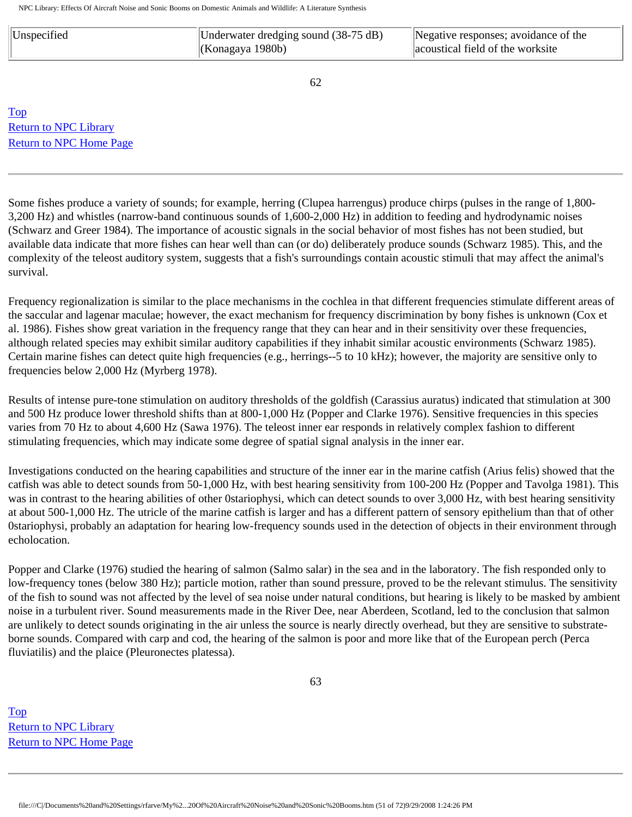| Unspecified | Underwater dredging sound $(38-75 \text{ dB})$ | Negative responses; avoidance of the |
|-------------|------------------------------------------------|--------------------------------------|
|             | (Konagaya 1980b)                               | acoustical field of the worksite     |

62

[Top](http://www.nonoise.org/library/animals/litsyn.htm#top)  [Return to NPC Library](http://www.nonoise.org/library.htm)  [Return to NPC Home Page](http://www.nonoise.org/index.htm) 

Some fishes produce a variety of sounds; for example, herring (Clupea harrengus) produce chirps (pulses in the range of 1,800- 3,200 Hz) and whistles (narrow-band continuous sounds of 1,600-2,000 Hz) in addition to feeding and hydrodynamic noises (Schwarz and Greer 1984). The importance of acoustic signals in the social behavior of most fishes has not been studied, but available data indicate that more fishes can hear well than can (or do) deliberately produce sounds (Schwarz 1985). This, and the complexity of the teleost auditory system, suggests that a fish's surroundings contain acoustic stimuli that may affect the animal's survival.

Frequency regionalization is similar to the place mechanisms in the cochlea in that different frequencies stimulate different areas of the saccular and lagenar maculae; however, the exact mechanism for frequency discrimination by bony fishes is unknown (Cox et al. 1986). Fishes show great variation in the frequency range that they can hear and in their sensitivity over these frequencies, although related species may exhibit similar auditory capabilities if they inhabit similar acoustic environments (Schwarz 1985). Certain marine fishes can detect quite high frequencies (e.g., herrings--5 to 10 kHz); however, the majority are sensitive only to frequencies below 2,000 Hz (Myrberg 1978).

Results of intense pure-tone stimulation on auditory thresholds of the goldfish (Carassius auratus) indicated that stimulation at 300 and 500 Hz produce lower threshold shifts than at 800-1,000 Hz (Popper and Clarke 1976). Sensitive frequencies in this species varies from 70 Hz to about 4,600 Hz (Sawa 1976). The teleost inner ear responds in relatively complex fashion to different stimulating frequencies, which may indicate some degree of spatial signal analysis in the inner ear.

Investigations conducted on the hearing capabilities and structure of the inner ear in the marine catfish (Arius felis) showed that the catfish was able to detect sounds from 50-1,000 Hz, with best hearing sensitivity from 100-200 Hz (Popper and Tavolga 1981). This was in contrast to the hearing abilities of other 0stariophysi, which can detect sounds to over 3,000 Hz, with best hearing sensitivity at about 500-1,000 Hz. The utricle of the marine catfish is larger and has a different pattern of sensory epithelium than that of other 0stariophysi, probably an adaptation for hearing low-frequency sounds used in the detection of objects in their environment through echolocation.

Popper and Clarke (1976) studied the hearing of salmon (Salmo salar) in the sea and in the laboratory. The fish responded only to low-frequency tones (below 380 Hz); particle motion, rather than sound pressure, proved to be the relevant stimulus. The sensitivity of the fish to sound was not affected by the level of sea noise under natural conditions, but hearing is likely to be masked by ambient noise in a turbulent river. Sound measurements made in the River Dee, near Aberdeen, Scotland, led to the conclusion that salmon are unlikely to detect sounds originating in the air unless the source is nearly directly overhead, but they are sensitive to substrateborne sounds. Compared with carp and cod, the hearing of the salmon is poor and more like that of the European perch (Perca fluviatilis) and the plaice (Pleuronectes platessa).

63

[Top](http://www.nonoise.org/library/animals/litsyn.htm#top)  [Return to NPC Library](http://www.nonoise.org/library.htm)  [Return to NPC Home Page](http://www.nonoise.org/index.htm)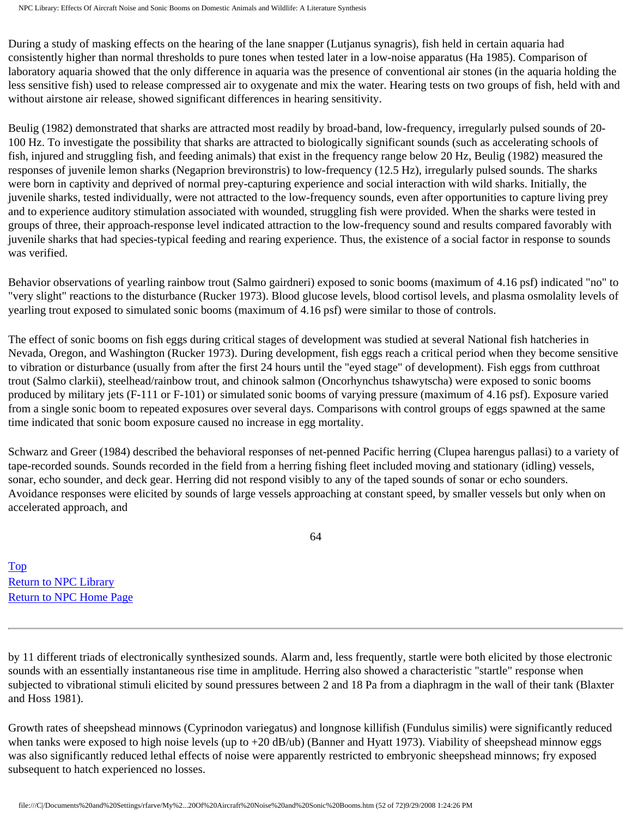During a study of masking effects on the hearing of the lane snapper (Lutjanus synagris), fish held in certain aquaria had consistently higher than normal thresholds to pure tones when tested later in a low-noise apparatus (Ha 1985). Comparison of laboratory aquaria showed that the only difference in aquaria was the presence of conventional air stones (in the aquaria holding the less sensitive fish) used to release compressed air to oxygenate and mix the water. Hearing tests on two groups of fish, held with and without airstone air release, showed significant differences in hearing sensitivity.

Beulig (1982) demonstrated that sharks are attracted most readily by broad-band, low-frequency, irregularly pulsed sounds of 20- 100 Hz. To investigate the possibility that sharks are attracted to biologically significant sounds (such as accelerating schools of fish, injured and struggling fish, and feeding animals) that exist in the frequency range below 20 Hz, Beulig (1982) measured the responses of juvenile lemon sharks (Negaprion brevironstris) to low-frequency (12.5 Hz), irregularly pulsed sounds. The sharks were born in captivity and deprived of normal prey-capturing experience and social interaction with wild sharks. Initially, the juvenile sharks, tested individually, were not attracted to the low-frequency sounds, even after opportunities to capture living prey and to experience auditory stimulation associated with wounded, struggling fish were provided. When the sharks were tested in groups of three, their approach-response level indicated attraction to the low-frequency sound and results compared favorably with juvenile sharks that had species-typical feeding and rearing experience. Thus, the existence of a social factor in response to sounds was verified.

Behavior observations of yearling rainbow trout (Salmo gairdneri) exposed to sonic booms (maximum of 4.16 psf) indicated "no" to "very slight" reactions to the disturbance (Rucker 1973). Blood glucose levels, blood cortisol levels, and plasma osmolality levels of yearling trout exposed to simulated sonic booms (maximum of 4.16 psf) were similar to those of controls.

The effect of sonic booms on fish eggs during critical stages of development was studied at several National fish hatcheries in Nevada, Oregon, and Washington (Rucker 1973). During development, fish eggs reach a critical period when they become sensitive to vibration or disturbance (usually from after the first 24 hours until the "eyed stage" of development). Fish eggs from cutthroat trout (Salmo clarkii), steelhead/rainbow trout, and chinook salmon (Oncorhynchus tshawytscha) were exposed to sonic booms produced by military jets (F-111 or F-101) or simulated sonic booms of varying pressure (maximum of 4.16 psf). Exposure varied from a single sonic boom to repeated exposures over several days. Comparisons with control groups of eggs spawned at the same time indicated that sonic boom exposure caused no increase in egg mortality.

Schwarz and Greer (1984) described the behavioral responses of net-penned Pacific herring (Clupea harengus pallasi) to a variety of tape-recorded sounds. Sounds recorded in the field from a herring fishing fleet included moving and stationary (idling) vessels, sonar, echo sounder, and deck gear. Herring did not respond visibly to any of the taped sounds of sonar or echo sounders. Avoidance responses were elicited by sounds of large vessels approaching at constant speed, by smaller vessels but only when on accelerated approach, and

64

[Top](http://www.nonoise.org/library/animals/litsyn.htm#top)  [Return to NPC Library](http://www.nonoise.org/library.htm)  [Return to NPC Home Page](http://www.nonoise.org/index.htm) 

by 11 different triads of electronically synthesized sounds. Alarm and, less frequently, startle were both elicited by those electronic sounds with an essentially instantaneous rise time in amplitude. Herring also showed a characteristic "startle" response when subjected to vibrational stimuli elicited by sound pressures between 2 and 18 Pa from a diaphragm in the wall of their tank (Blaxter and Hoss 1981).

Growth rates of sheepshead minnows (Cyprinodon variegatus) and longnose killifish (Fundulus similis) were significantly reduced when tanks were exposed to high noise levels (up to  $+20$  dB/ub) (Banner and Hyatt 1973). Viability of sheepshead minnow eggs was also significantly reduced lethal effects of noise were apparently restricted to embryonic sheepshead minnows; fry exposed subsequent to hatch experienced no losses.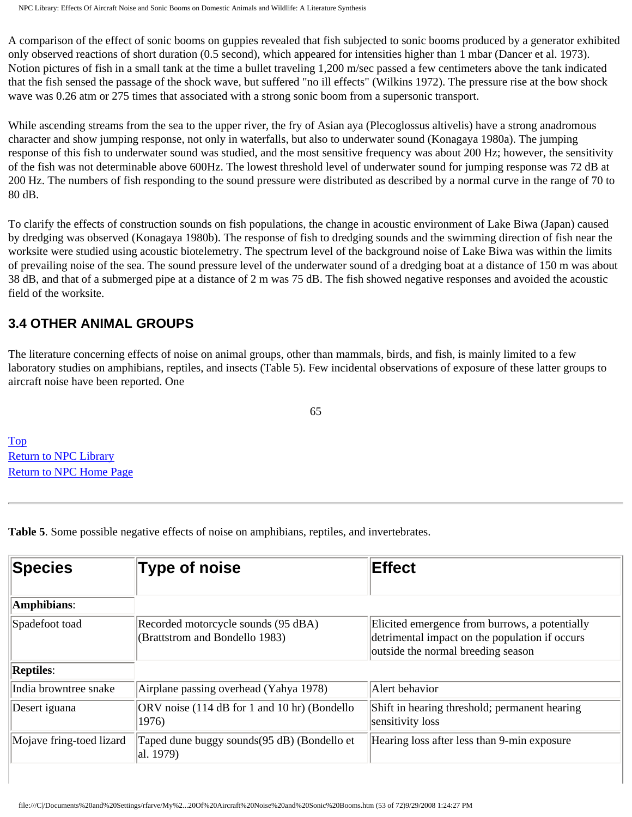A comparison of the effect of sonic booms on guppies revealed that fish subjected to sonic booms produced by a generator exhibited only observed reactions of short duration (0.5 second), which appeared for intensities higher than 1 mbar (Dancer et al. 1973). Notion pictures of fish in a small tank at the time a bullet traveling 1,200 m/sec passed a few centimeters above the tank indicated that the fish sensed the passage of the shock wave, but suffered "no ill effects" (Wilkins 1972). The pressure rise at the bow shock wave was 0.26 atm or 275 times that associated with a strong sonic boom from a supersonic transport.

While ascending streams from the sea to the upper river, the fry of Asian aya (Plecoglossus altivelis) have a strong anadromous character and show jumping response, not only in waterfalls, but also to underwater sound (Konagaya 1980a). The jumping response of this fish to underwater sound was studied, and the most sensitive frequency was about 200 Hz; however, the sensitivity of the fish was not determinable above 600Hz. The lowest threshold level of underwater sound for jumping response was 72 dB at 200 Hz. The numbers of fish responding to the sound pressure were distributed as described by a normal curve in the range of 70 to 80 dB.

To clarify the effects of construction sounds on fish populations, the change in acoustic environment of Lake Biwa (Japan) caused by dredging was observed (Konagaya 1980b). The response of fish to dredging sounds and the swimming direction of fish near the worksite were studied using acoustic biotelemetry. The spectrum level of the background noise of Lake Biwa was within the limits of prevailing noise of the sea. The sound pressure level of the underwater sound of a dredging boat at a distance of 150 m was about 38 dB, and that of a submerged pipe at a distance of 2 m was 75 dB. The fish showed negative responses and avoided the acoustic field of the worksite.

### **3.4 OTHER ANIMAL GROUPS**

The literature concerning effects of noise on animal groups, other than mammals, birds, and fish, is mainly limited to a few laboratory studies on amphibians, reptiles, and insects (Table 5). Few incidental observations of exposure of these latter groups to aircraft noise have been reported. One

65

[Top](http://www.nonoise.org/library/animals/litsyn.htm#top)  [Return to NPC Library](http://www.nonoise.org/library.htm)  [Return to NPC Home Page](http://www.nonoise.org/index.htm) 

**Table 5**. Some possible negative effects of noise on amphibians, reptiles, and invertebrates.

| <b>Species</b>           | <b>Type of noise</b>                                                  | Effect                                                                                                                                 |
|--------------------------|-----------------------------------------------------------------------|----------------------------------------------------------------------------------------------------------------------------------------|
| Amphibians:              |                                                                       |                                                                                                                                        |
| Spadefoot toad           | Recorded motorcycle sounds (95 dBA)<br>(Brattstrom and Bondello 1983) | Elicited emergence from burrows, a potentially<br>detrimental impact on the population if occurs<br>outside the normal breeding season |
| <b>Reptiles:</b>         |                                                                       |                                                                                                                                        |
| India browntree snake    | Airplane passing overhead (Yahya 1978)                                | Alert behavior                                                                                                                         |
| Desert iguana            | ORV noise (114 dB for 1 and 10 hr) (Bondello<br>1976)                 | Shift in hearing threshold; permanent hearing<br>sensitivity loss                                                                      |
| Mojave fring-toed lizard | Taped dune buggy sounds(95 dB) (Bondello et<br>al. 1979)              | Hearing loss after less than 9-min exposure                                                                                            |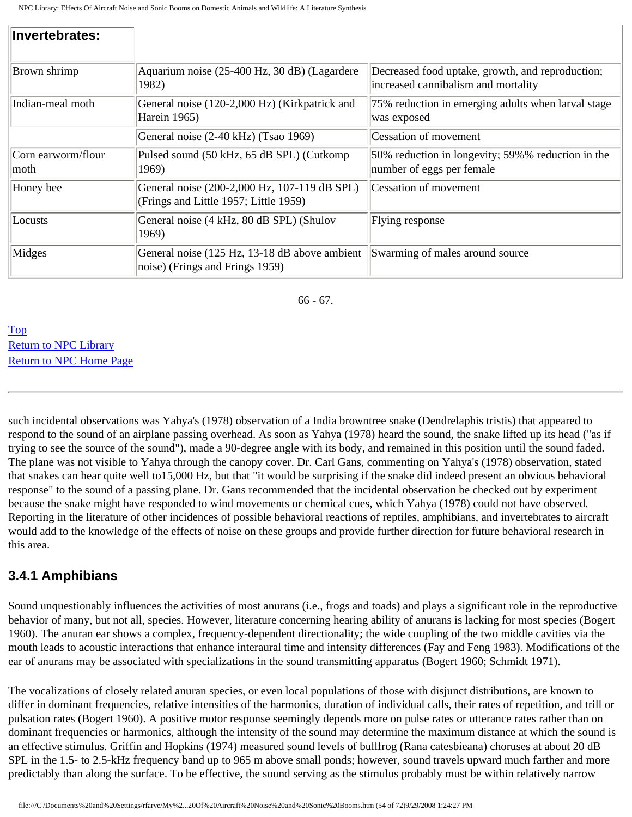| Invertebrates:              |                                                                                           |                                                                                         |
|-----------------------------|-------------------------------------------------------------------------------------------|-----------------------------------------------------------------------------------------|
| <b>Brown</b> shrimp         | Aquarium noise (25-400 Hz, 30 dB) (Lagardere<br>1982)                                     | Decreased food uptake, growth, and reproduction;<br>increased cannibalism and mortality |
| Indian-meal moth            | General noise (120-2,000 Hz) (Kirkpatrick and<br>Harein 1965)                             | 75% reduction in emerging adults when larval stage<br>was exposed                       |
|                             | General noise (2-40 kHz) (Tsao 1969)                                                      | Cessation of movement                                                                   |
| Corn earworm/flour<br> moth | Pulsed sound (50 kHz, 65 dB SPL) (Cutkomp)<br>1969)                                       | 50% reduction in longevity; 59%% reduction in the<br>number of eggs per female          |
| Honey bee                   | General noise (200-2,000 Hz, 107-119 dB SPL)<br>(Frings and Little 1957; Little 1959)     | Cessation of movement                                                                   |
| Locusts                     | General noise (4 kHz, 80 dB SPL) (Shulov<br>1969)                                         | Flying response                                                                         |
| Midges                      | General noise (125 Hz, 13-18 dB above ambient<br>$ noise\rangle$ (Frings and Frings 1959) | Swarming of males around source                                                         |

66 - 67.

[Top](http://www.nonoise.org/library/animals/litsyn.htm#top)  [Return to NPC Library](http://www.nonoise.org/library.htm)  [Return to NPC Home Page](http://www.nonoise.org/index.htm) 

such incidental observations was Yahya's (1978) observation of a India browntree snake (Dendrelaphis tristis) that appeared to respond to the sound of an airplane passing overhead. As soon as Yahya (1978) heard the sound, the snake lifted up its head ("as if trying to see the source of the sound"), made a 90-degree angle with its body, and remained in this position until the sound faded. The plane was not visible to Yahya through the canopy cover. Dr. Carl Gans, commenting on Yahya's (1978) observation, stated that snakes can hear quite well to15,000 Hz, but that "it would be surprising if the snake did indeed present an obvious behavioral response" to the sound of a passing plane. Dr. Gans recommended that the incidental observation be checked out by experiment because the snake might have responded to wind movements or chemical cues, which Yahya (1978) could not have observed. Reporting in the literature of other incidences of possible behavioral reactions of reptiles, amphibians, and invertebrates to aircraft would add to the knowledge of the effects of noise on these groups and provide further direction for future behavioral research in this area.

## **3.4.1 Amphibians**

Sound unquestionably influences the activities of most anurans (i.e., frogs and toads) and plays a significant role in the reproductive behavior of many, but not all, species. However, literature concerning hearing ability of anurans is lacking for most species (Bogert 1960). The anuran ear shows a complex, frequency-dependent directionality; the wide coupling of the two middle cavities via the mouth leads to acoustic interactions that enhance interaural time and intensity differences (Fay and Feng 1983). Modifications of the ear of anurans may be associated with specializations in the sound transmitting apparatus (Bogert 1960; Schmidt 1971).

The vocalizations of closely related anuran species, or even local populations of those with disjunct distributions, are known to differ in dominant frequencies, relative intensities of the harmonics, duration of individual calls, their rates of repetition, and trill or pulsation rates (Bogert 1960). A positive motor response seemingly depends more on pulse rates or utterance rates rather than on dominant frequencies or harmonics, although the intensity of the sound may determine the maximum distance at which the sound is an effective stimulus. Griffin and Hopkins (1974) measured sound levels of bullfrog (Rana catesbieana) choruses at about 20 dB SPL in the 1.5- to 2.5-kHz frequency band up to 965 m above small ponds; however, sound travels upward much farther and more predictably than along the surface. To be effective, the sound serving as the stimulus probably must be within relatively narrow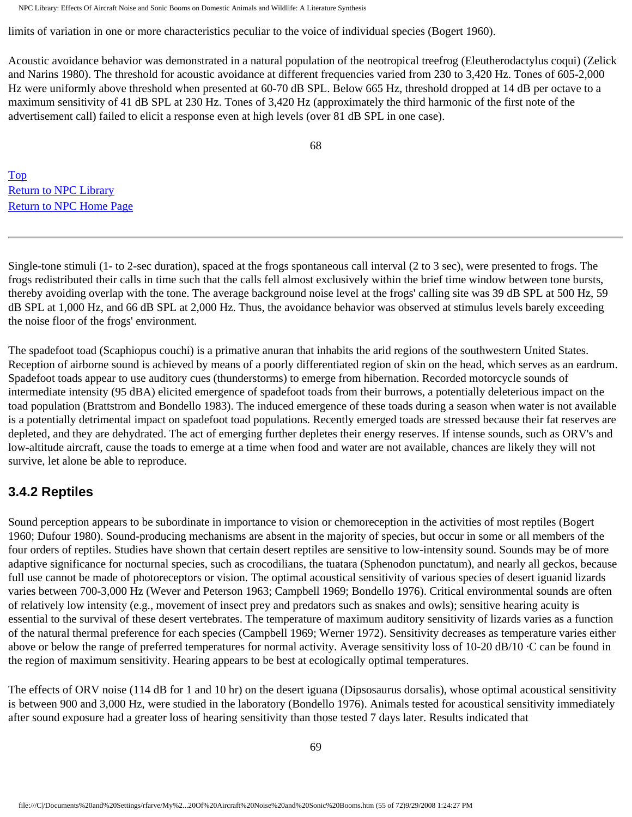limits of variation in one or more characteristics peculiar to the voice of individual species (Bogert 1960).

Acoustic avoidance behavior was demonstrated in a natural population of the neotropical treefrog (Eleutherodactylus coqui) (Zelick and Narins 1980). The threshold for acoustic avoidance at different frequencies varied from 230 to 3,420 Hz. Tones of 605-2,000 Hz were uniformly above threshold when presented at 60-70 dB SPL. Below 665 Hz, threshold dropped at 14 dB per octave to a maximum sensitivity of 41 dB SPL at 230 Hz. Tones of 3,420 Hz (approximately the third harmonic of the first note of the advertisement call) failed to elicit a response even at high levels (over 81 dB SPL in one case).

68

[Top](http://www.nonoise.org/library/animals/litsyn.htm#top)  [Return to NPC Library](http://www.nonoise.org/library.htm)  [Return to NPC Home Page](http://www.nonoise.org/index.htm) 

Single-tone stimuli (1- to 2-sec duration), spaced at the frogs spontaneous call interval (2 to 3 sec), were presented to frogs. The frogs redistributed their calls in time such that the calls fell almost exclusively within the brief time window between tone bursts, thereby avoiding overlap with the tone. The average background noise level at the frogs' calling site was 39 dB SPL at 500 Hz, 59 dB SPL at 1,000 Hz, and 66 dB SPL at 2,000 Hz. Thus, the avoidance behavior was observed at stimulus levels barely exceeding the noise floor of the frogs' environment.

The spadefoot toad (Scaphiopus couchi) is a primative anuran that inhabits the arid regions of the southwestern United States. Reception of airborne sound is achieved by means of a poorly differentiated region of skin on the head, which serves as an eardrum. Spadefoot toads appear to use auditory cues (thunderstorms) to emerge from hibernation. Recorded motorcycle sounds of intermediate intensity (95 dBA) elicited emergence of spadefoot toads from their burrows, a potentially deleterious impact on the toad population (Brattstrom and Bondello 1983). The induced emergence of these toads during a season when water is not available is a potentially detrimental impact on spadefoot toad populations. Recently emerged toads are stressed because their fat reserves are depleted, and they are dehydrated. The act of emerging further depletes their energy reserves. If intense sounds, such as ORV's and low-altitude aircraft, cause the toads to emerge at a time when food and water are not available, chances are likely they will not survive, let alone be able to reproduce.

## **3.4.2 Reptiles**

Sound perception appears to be subordinate in importance to vision or chemoreception in the activities of most reptiles (Bogert 1960; Dufour 1980). Sound-producing mechanisms are absent in the majority of species, but occur in some or all members of the four orders of reptiles. Studies have shown that certain desert reptiles are sensitive to low-intensity sound. Sounds may be of more adaptive significance for nocturnal species, such as crocodilians, the tuatara (Sphenodon punctatum), and nearly all geckos, because full use cannot be made of photoreceptors or vision. The optimal acoustical sensitivity of various species of desert iguanid lizards varies between 700-3,000 Hz (Wever and Peterson 1963; Campbell 1969; Bondello 1976). Critical environmental sounds are often of relatively low intensity (e.g., movement of insect prey and predators such as snakes and owls); sensitive hearing acuity is essential to the survival of these desert vertebrates. The temperature of maximum auditory sensitivity of lizards varies as a function of the natural thermal preference for each species (Campbell 1969; Werner 1972). Sensitivity decreases as temperature varies either above or below the range of preferred temperatures for normal activity. Average sensitivity loss of 10-20 dB/10 ·C can be found in the region of maximum sensitivity. Hearing appears to be best at ecologically optimal temperatures.

The effects of ORV noise (114 dB for 1 and 10 hr) on the desert iguana (Dipsosaurus dorsalis), whose optimal acoustical sensitivity is between 900 and 3,000 Hz, were studied in the laboratory (Bondello 1976). Animals tested for acoustical sensitivity immediately after sound exposure had a greater loss of hearing sensitivity than those tested 7 days later. Results indicated that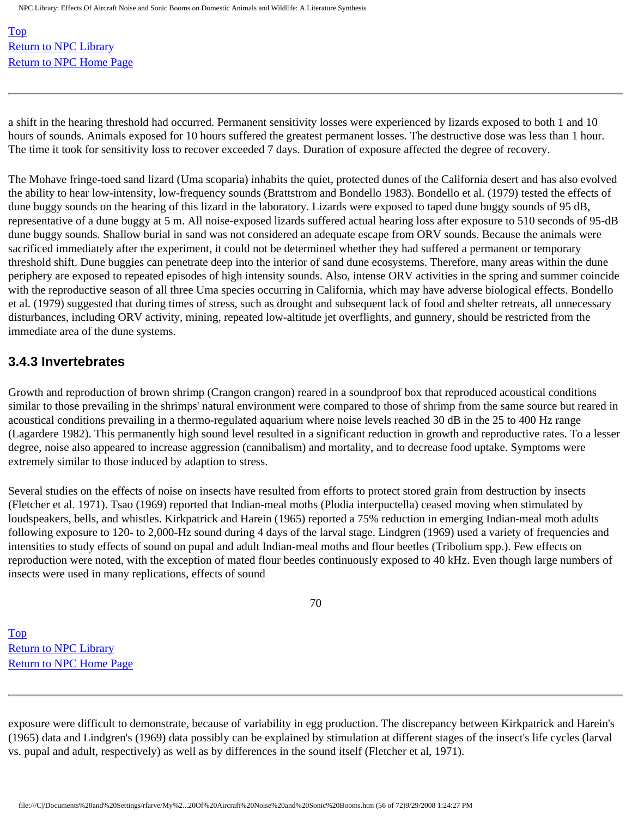[Top](http://www.nonoise.org/library/animals/litsyn.htm#top)  [Return to NPC Library](http://www.nonoise.org/library.htm)  [Return to NPC Home Page](http://www.nonoise.org/index.htm) 

a shift in the hearing threshold had occurred. Permanent sensitivity losses were experienced by lizards exposed to both 1 and 10 hours of sounds. Animals exposed for 10 hours suffered the greatest permanent losses. The destructive dose was less than 1 hour. The time it took for sensitivity loss to recover exceeded 7 days. Duration of exposure affected the degree of recovery.

The Mohave fringe-toed sand lizard (Uma scoparia) inhabits the quiet, protected dunes of the California desert and has also evolved the ability to hear low-intensity, low-frequency sounds (Brattstrom and Bondello 1983). Bondello et al. (1979) tested the effects of dune buggy sounds on the hearing of this lizard in the laboratory. Lizards were exposed to taped dune buggy sounds of 95 dB, representative of a dune buggy at 5 m. All noise-exposed lizards suffered actual hearing loss after exposure to 510 seconds of 95-dB dune buggy sounds. Shallow burial in sand was not considered an adequate escape from ORV sounds. Because the animals were sacrificed immediately after the experiment, it could not be determined whether they had suffered a permanent or temporary threshold shift. Dune buggies can penetrate deep into the interior of sand dune ecosystems. Therefore, many areas within the dune periphery are exposed to repeated episodes of high intensity sounds. Also, intense ORV activities in the spring and summer coincide with the reproductive season of all three Uma species occurring in California, which may have adverse biological effects. Bondello et al. (1979) suggested that during times of stress, such as drought and subsequent lack of food and shelter retreats, all unnecessary disturbances, including ORV activity, mining, repeated low-altitude jet overflights, and gunnery, should be restricted from the immediate area of the dune systems.

#### **3.4.3 Invertebrates**

Growth and reproduction of brown shrimp (Crangon crangon) reared in a soundproof box that reproduced acoustical conditions similar to those prevailing in the shrimps' natural environment were compared to those of shrimp from the same source but reared in acoustical conditions prevailing in a thermo-regulated aquarium where noise levels reached 30 dB in the 25 to 400 Hz range (Lagardere 1982). This permanently high sound level resulted in a significant reduction in growth and reproductive rates. To a lesser degree, noise also appeared to increase aggression (cannibalism) and mortality, and to decrease food uptake. Symptoms were extremely similar to those induced by adaption to stress.

Several studies on the effects of noise on insects have resulted from efforts to protect stored grain from destruction by insects (Fletcher et al. 1971). Tsao (1969) reported that Indian-meal moths (Plodia interpuctella) ceased moving when stimulated by loudspeakers, bells, and whistles. Kirkpatrick and Harein (1965) reported a 75% reduction in emerging Indian-meal moth adults following exposure to 120- to 2,000-Hz sound during 4 days of the larval stage. Lindgren (1969) used a variety of frequencies and intensities to study effects of sound on pupal and adult Indian-meal moths and flour beetles (Tribolium spp.). Few effects on reproduction were noted, with the exception of mated flour beetles continuously exposed to 40 kHz. Even though large numbers of insects were used in many replications, effects of sound

70

[Top](http://www.nonoise.org/library/animals/litsyn.htm#top)  [Return to NPC Library](http://www.nonoise.org/library.htm)  [Return to NPC Home Page](http://www.nonoise.org/index.htm) 

exposure were difficult to demonstrate, because of variability in egg production. The discrepancy between Kirkpatrick and Harein's (1965) data and Lindgren's (1969) data possibly can be explained by stimulation at different stages of the insect's life cycles (larval vs. pupal and adult, respectively) as well as by differences in the sound itself (Fletcher et al, 1971).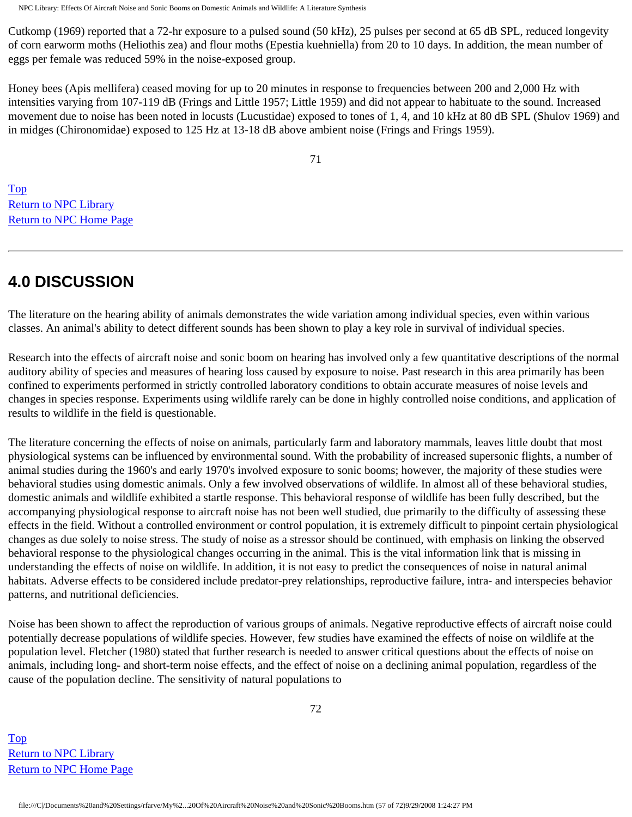Cutkomp (1969) reported that a 72-hr exposure to a pulsed sound (50 kHz), 25 pulses per second at 65 dB SPL, reduced longevity of corn earworm moths (Heliothis zea) and flour moths (Epestia kuehniella) from 20 to 10 days. In addition, the mean number of eggs per female was reduced 59% in the noise-exposed group.

Honey bees (Apis mellifera) ceased moving for up to 20 minutes in response to frequencies between 200 and 2,000 Hz with intensities varying from 107-119 dB (Frings and Little 1957; Little 1959) and did not appear to habituate to the sound. Increased movement due to noise has been noted in locusts (Lucustidae) exposed to tones of 1, 4, and 10 kHz at 80 dB SPL (Shulov 1969) and in midges (Chironomidae) exposed to 125 Hz at 13-18 dB above ambient noise (Frings and Frings 1959).

71

[Top](http://www.nonoise.org/library/animals/litsyn.htm#top)  [Return to NPC Library](http://www.nonoise.org/library.htm)  [Return to NPC Home Page](http://www.nonoise.org/index.htm) 

# **4.0 DISCUSSION**

The literature on the hearing ability of animals demonstrates the wide variation among individual species, even within various classes. An animal's ability to detect different sounds has been shown to play a key role in survival of individual species.

Research into the effects of aircraft noise and sonic boom on hearing has involved only a few quantitative descriptions of the normal auditory ability of species and measures of hearing loss caused by exposure to noise. Past research in this area primarily has been confined to experiments performed in strictly controlled laboratory conditions to obtain accurate measures of noise levels and changes in species response. Experiments using wildlife rarely can be done in highly controlled noise conditions, and application of results to wildlife in the field is questionable.

The literature concerning the effects of noise on animals, particularly farm and laboratory mammals, leaves little doubt that most physiological systems can be influenced by environmental sound. With the probability of increased supersonic flights, a number of animal studies during the 1960's and early 1970's involved exposure to sonic booms; however, the majority of these studies were behavioral studies using domestic animals. Only a few involved observations of wildlife. In almost all of these behavioral studies, domestic animals and wildlife exhibited a startle response. This behavioral response of wildlife has been fully described, but the accompanying physiological response to aircraft noise has not been well studied, due primarily to the difficulty of assessing these effects in the field. Without a controlled environment or control population, it is extremely difficult to pinpoint certain physiological changes as due solely to noise stress. The study of noise as a stressor should be continued, with emphasis on linking the observed behavioral response to the physiological changes occurring in the animal. This is the vital information link that is missing in understanding the effects of noise on wildlife. In addition, it is not easy to predict the consequences of noise in natural animal habitats. Adverse effects to be considered include predator-prey relationships, reproductive failure, intra- and interspecies behavior patterns, and nutritional deficiencies.

Noise has been shown to affect the reproduction of various groups of animals. Negative reproductive effects of aircraft noise could potentially decrease populations of wildlife species. However, few studies have examined the effects of noise on wildlife at the population level. Fletcher (1980) stated that further research is needed to answer critical questions about the effects of noise on animals, including long- and short-term noise effects, and the effect of noise on a declining animal population, regardless of the cause of the population decline. The sensitivity of natural populations to

[Top](http://www.nonoise.org/library/animals/litsyn.htm#top)  [Return to NPC Library](http://www.nonoise.org/library.htm)  [Return to NPC Home Page](http://www.nonoise.org/index.htm)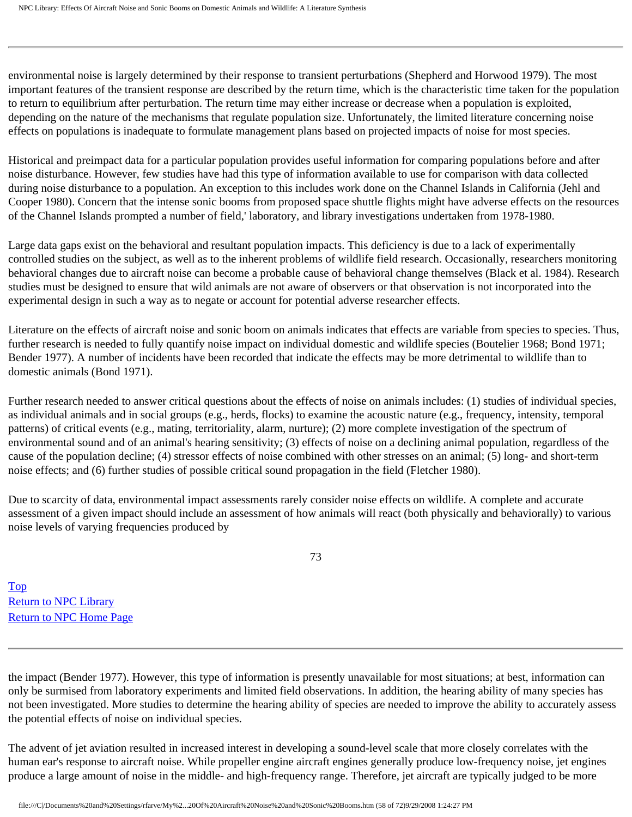environmental noise is largely determined by their response to transient perturbations (Shepherd and Horwood 1979). The most important features of the transient response are described by the return time, which is the characteristic time taken for the population to return to equilibrium after perturbation. The return time may either increase or decrease when a population is exploited, depending on the nature of the mechanisms that regulate population size. Unfortunately, the limited literature concerning noise effects on populations is inadequate to formulate management plans based on projected impacts of noise for most species.

Historical and preimpact data for a particular population provides useful information for comparing populations before and after noise disturbance. However, few studies have had this type of information available to use for comparison with data collected during noise disturbance to a population. An exception to this includes work done on the Channel Islands in California (Jehl and Cooper 1980). Concern that the intense sonic booms from proposed space shuttle flights might have adverse effects on the resources of the Channel Islands prompted a number of field,' laboratory, and library investigations undertaken from 1978-1980.

Large data gaps exist on the behavioral and resultant population impacts. This deficiency is due to a lack of experimentally controlled studies on the subject, as well as to the inherent problems of wildlife field research. Occasionally, researchers monitoring behavioral changes due to aircraft noise can become a probable cause of behavioral change themselves (Black et al. 1984). Research studies must be designed to ensure that wild animals are not aware of observers or that observation is not incorporated into the experimental design in such a way as to negate or account for potential adverse researcher effects.

Literature on the effects of aircraft noise and sonic boom on animals indicates that effects are variable from species to species. Thus, further research is needed to fully quantify noise impact on individual domestic and wildlife species (Boutelier 1968; Bond 1971; Bender 1977). A number of incidents have been recorded that indicate the effects may be more detrimental to wildlife than to domestic animals (Bond 1971).

Further research needed to answer critical questions about the effects of noise on animals includes: (1) studies of individual species, as individual animals and in social groups (e.g., herds, flocks) to examine the acoustic nature (e.g., frequency, intensity, temporal patterns) of critical events (e.g., mating, territoriality, alarm, nurture); (2) more complete investigation of the spectrum of environmental sound and of an animal's hearing sensitivity; (3) effects of noise on a declining animal population, regardless of the cause of the population decline; (4) stressor effects of noise combined with other stresses on an animal; (5) long- and short-term noise effects; and (6) further studies of possible critical sound propagation in the field (Fletcher 1980).

Due to scarcity of data, environmental impact assessments rarely consider noise effects on wildlife. A complete and accurate assessment of a given impact should include an assessment of how animals will react (both physically and behaviorally) to various noise levels of varying frequencies produced by

73

[Top](http://www.nonoise.org/library/animals/litsyn.htm#top)  [Return to NPC Library](http://www.nonoise.org/library.htm)  [Return to NPC Home Page](http://www.nonoise.org/index.htm) 

the impact (Bender 1977). However, this type of information is presently unavailable for most situations; at best, information can only be surmised from laboratory experiments and limited field observations. In addition, the hearing ability of many species has not been investigated. More studies to determine the hearing ability of species are needed to improve the ability to accurately assess the potential effects of noise on individual species.

The advent of jet aviation resulted in increased interest in developing a sound-level scale that more closely correlates with the human ear's response to aircraft noise. While propeller engine aircraft engines generally produce low-frequency noise, jet engines produce a large amount of noise in the middle- and high-frequency range. Therefore, jet aircraft are typically judged to be more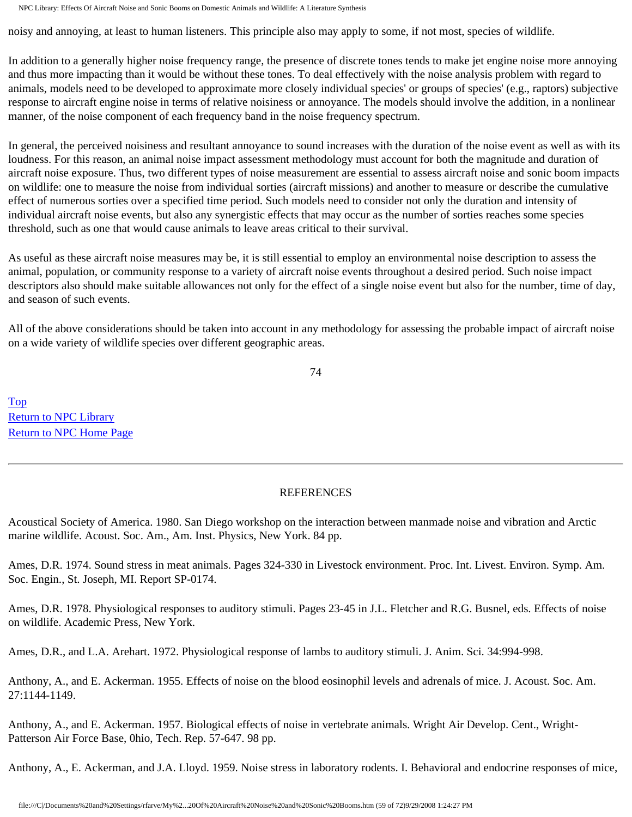noisy and annoying, at least to human listeners. This principle also may apply to some, if not most, species of wildlife.

In addition to a generally higher noise frequency range, the presence of discrete tones tends to make jet engine noise more annoying and thus more impacting than it would be without these tones. To deal effectively with the noise analysis problem with regard to animals, models need to be developed to approximate more closely individual species' or groups of species' (e.g., raptors) subjective response to aircraft engine noise in terms of relative noisiness or annoyance. The models should involve the addition, in a nonlinear manner, of the noise component of each frequency band in the noise frequency spectrum.

In general, the perceived noisiness and resultant annoyance to sound increases with the duration of the noise event as well as with its loudness. For this reason, an animal noise impact assessment methodology must account for both the magnitude and duration of aircraft noise exposure. Thus, two different types of noise measurement are essential to assess aircraft noise and sonic boom impacts on wildlife: one to measure the noise from individual sorties (aircraft missions) and another to measure or describe the cumulative effect of numerous sorties over a specified time period. Such models need to consider not only the duration and intensity of individual aircraft noise events, but also any synergistic effects that may occur as the number of sorties reaches some species threshold, such as one that would cause animals to leave areas critical to their survival.

As useful as these aircraft noise measures may be, it is still essential to employ an environmental noise description to assess the animal, population, or community response to a variety of aircraft noise events throughout a desired period. Such noise impact descriptors also should make suitable allowances not only for the effect of a single noise event but also for the number, time of day, and season of such events.

All of the above considerations should be taken into account in any methodology for assessing the probable impact of aircraft noise on a wide variety of wildlife species over different geographic areas.

74

[Top](http://www.nonoise.org/library/animals/litsyn.htm#top)  [Return to NPC Library](http://www.nonoise.org/library.htm)  [Return to NPC Home Page](http://www.nonoise.org/index.htm) 

#### REFERENCES

Acoustical Society of America. 1980. San Diego workshop on the interaction between manmade noise and vibration and Arctic marine wildlife. Acoust. Soc. Am., Am. Inst. Physics, New York. 84 pp.

Ames, D.R. 1974. Sound stress in meat animals. Pages 324-330 in Livestock environment. Proc. Int. Livest. Environ. Symp. Am. Soc. Engin., St. Joseph, MI. Report SP-0174.

Ames, D.R. 1978. Physiological responses to auditory stimuli. Pages 23-45 in J.L. Fletcher and R.G. Busnel, eds. Effects of noise on wildlife. Academic Press, New York.

Ames, D.R., and L.A. Arehart. 1972. Physiological response of lambs to auditory stimuli. J. Anim. Sci. 34:994-998.

Anthony, A., and E. Ackerman. 1955. Effects of noise on the blood eosinophil levels and adrenals of mice. J. Acoust. Soc. Am. 27:1144-1149.

Anthony, A., and E. Ackerman. 1957. Biological effects of noise in vertebrate animals. Wright Air Develop. Cent., Wright-Patterson Air Force Base, 0hio, Tech. Rep. 57-647. 98 pp.

Anthony, A., E. Ackerman, and J.A. Lloyd. 1959. Noise stress in laboratory rodents. I. Behavioral and endocrine responses of mice,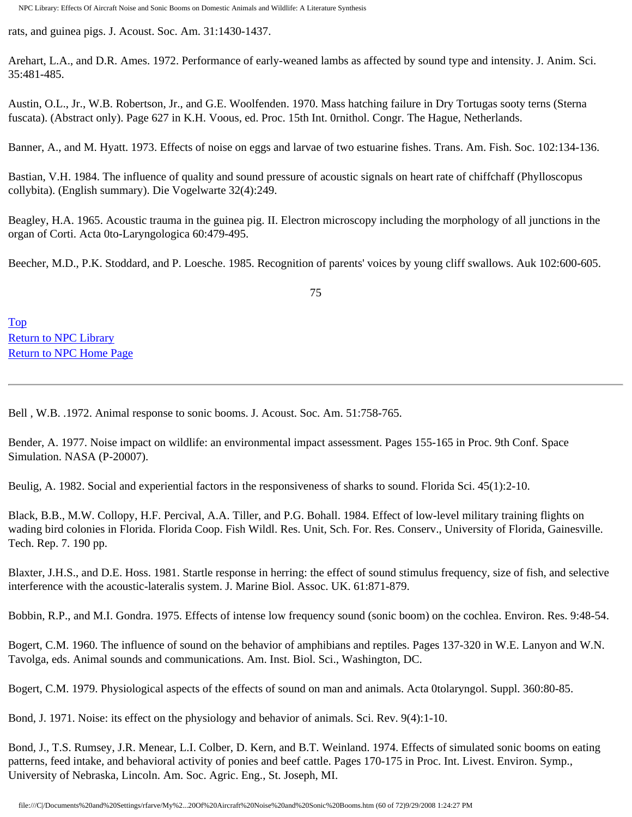rats, and guinea pigs. J. Acoust. Soc. Am. 31:1430-1437.

Arehart, L.A., and D.R. Ames. 1972. Performance of early-weaned lambs as affected by sound type and intensity. J. Anim. Sci. 35:481-485.

Austin, O.L., Jr., W.B. Robertson, Jr., and G.E. Woolfenden. 1970. Mass hatching failure in Dry Tortugas sooty terns (Sterna fuscata). (Abstract only). Page 627 in K.H. Voous, ed. Proc. 15th Int. 0rnithol. Congr. The Hague, Netherlands.

Banner, A., and M. Hyatt. 1973. Effects of noise on eggs and larvae of two estuarine fishes. Trans. Am. Fish. Soc. 102:134-136.

Bastian, V.H. 1984. The influence of quality and sound pressure of acoustic signals on heart rate of chiffchaff (Phylloscopus collybita). (English summary). Die Vogelwarte 32(4):249.

Beagley, H.A. 1965. Acoustic trauma in the guinea pig. II. Electron microscopy including the morphology of all junctions in the organ of Corti. Acta 0to-Laryngologica 60:479-495.

Beecher, M.D., P.K. Stoddard, and P. Loesche. 1985. Recognition of parents' voices by young cliff swallows. Auk 102:600-605.

75

[Top](http://www.nonoise.org/library/animals/litsyn.htm#top)  [Return to NPC Library](http://www.nonoise.org/library.htm)  [Return to NPC Home Page](http://www.nonoise.org/index.htm) 

Bell , W.B. .1972. Animal response to sonic booms. J. Acoust. Soc. Am. 51:758-765.

Bender, A. 1977. Noise impact on wildlife: an environmental impact assessment. Pages 155-165 in Proc. 9th Conf. Space Simulation. NASA (P-20007).

Beulig, A. 1982. Social and experiential factors in the responsiveness of sharks to sound. Florida Sci. 45(1):2-10.

Black, B.B., M.W. Collopy, H.F. Percival, A.A. Tiller, and P.G. Bohall. 1984. Effect of low-level military training flights on wading bird colonies in Florida. Florida Coop. Fish Wildl. Res. Unit, Sch. For. Res. Conserv., University of Florida, Gainesville. Tech. Rep. 7. 190 pp.

Blaxter, J.H.S., and D.E. Hoss. 1981. Startle response in herring: the effect of sound stimulus frequency, size of fish, and selective interference with the acoustic-lateralis system. J. Marine Biol. Assoc. UK. 61:871-879.

Bobbin, R.P., and M.I. Gondra. 1975. Effects of intense low frequency sound (sonic boom) on the cochlea. Environ. Res. 9:48-54.

Bogert, C.M. 1960. The influence of sound on the behavior of amphibians and reptiles. Pages 137-320 in W.E. Lanyon and W.N. Tavolga, eds. Animal sounds and communications. Am. Inst. Biol. Sci., Washington, DC.

Bogert, C.M. 1979. Physiological aspects of the effects of sound on man and animals. Acta 0tolaryngol. Suppl. 360:80-85.

Bond, J. 1971. Noise: its effect on the physiology and behavior of animals. Sci. Rev. 9(4):1-10.

Bond, J., T.S. Rumsey, J.R. Menear, L.I. Colber, D. Kern, and B.T. Weinland. 1974. Effects of simulated sonic booms on eating patterns, feed intake, and behavioral activity of ponies and beef cattle. Pages 170-175 in Proc. Int. Livest. Environ. Symp., University of Nebraska, Lincoln. Am. Soc. Agric. Eng., St. Joseph, MI.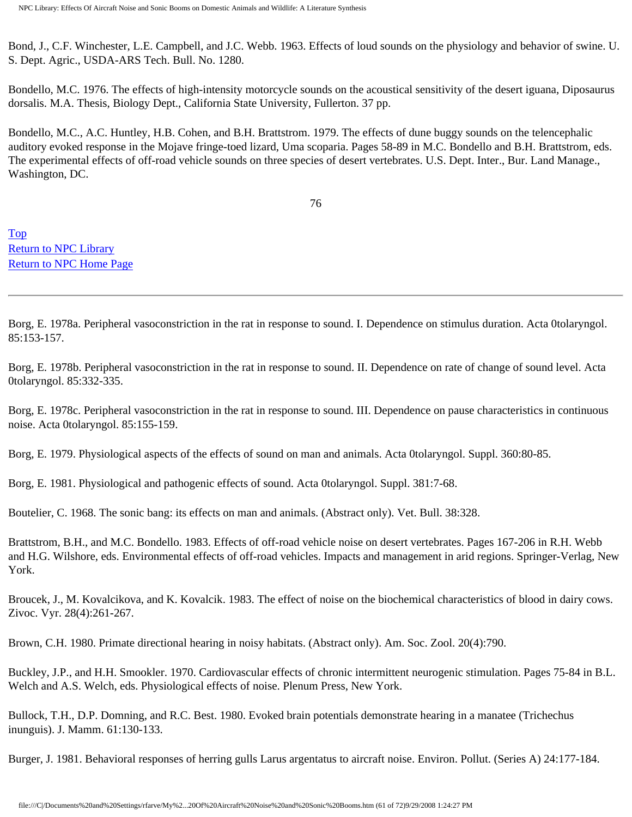Bond, J., C.F. Winchester, L.E. Campbell, and J.C. Webb. 1963. Effects of loud sounds on the physiology and behavior of swine. U. S. Dept. Agric., USDA-ARS Tech. Bull. No. 1280.

Bondello, M.C. 1976. The effects of high-intensity motorcycle sounds on the acoustical sensitivity of the desert iguana, Diposaurus dorsalis. M.A. Thesis, Biology Dept., California State University, Fullerton. 37 pp.

Bondello, M.C., A.C. Huntley, H.B. Cohen, and B.H. Brattstrom. 1979. The effects of dune buggy sounds on the telencephalic auditory evoked response in the Mojave fringe-toed lizard, Uma scoparia. Pages 58-89 in M.C. Bondello and B.H. Brattstrom, eds. The experimental effects of off-road vehicle sounds on three species of desert vertebrates. U.S. Dept. Inter., Bur. Land Manage., Washington, DC.

76

[Top](http://www.nonoise.org/library/animals/litsyn.htm#top)  [Return to NPC Library](http://www.nonoise.org/library.htm)  [Return to NPC Home Page](http://www.nonoise.org/index.htm) 

Borg, E. 1978a. Peripheral vasoconstriction in the rat in response to sound. I. Dependence on stimulus duration. Acta 0tolaryngol. 85:153-157.

Borg, E. 1978b. Peripheral vasoconstriction in the rat in response to sound. II. Dependence on rate of change of sound level. Acta 0tolaryngol. 85:332-335.

Borg, E. 1978c. Peripheral vasoconstriction in the rat in response to sound. III. Dependence on pause characteristics in continuous noise. Acta 0tolaryngol. 85:155-159.

Borg, E. 1979. Physiological aspects of the effects of sound on man and animals. Acta 0tolaryngol. Suppl. 360:80-85.

Borg, E. 1981. Physiological and pathogenic effects of sound. Acta 0tolaryngol. Suppl. 381:7-68.

Boutelier, C. 1968. The sonic bang: its effects on man and animals. (Abstract only). Vet. Bull. 38:328.

Brattstrom, B.H., and M.C. Bondello. 1983. Effects of off-road vehicle noise on desert vertebrates. Pages 167-206 in R.H. Webb and H.G. Wilshore, eds. Environmental effects of off-road vehicles. Impacts and management in arid regions. Springer-Verlag, New York.

Broucek, J., M. Kovalcikova, and K. Kovalcik. 1983. The effect of noise on the biochemical characteristics of blood in dairy cows. Zivoc. Vyr. 28(4):261-267.

Brown, C.H. 1980. Primate directional hearing in noisy habitats. (Abstract only). Am. Soc. Zool. 20(4):790.

Buckley, J.P., and H.H. Smookler. 1970. Cardiovascular effects of chronic intermittent neurogenic stimulation. Pages 75-84 in B.L. Welch and A.S. Welch, eds. Physiological effects of noise. Plenum Press, New York.

Bullock, T.H., D.P. Domning, and R.C. Best. 1980. Evoked brain potentials demonstrate hearing in a manatee (Trichechus inunguis). J. Mamm. 61:130-133.

Burger, J. 1981. Behavioral responses of herring gulls Larus argentatus to aircraft noise. Environ. Pollut. (Series A) 24:177-184.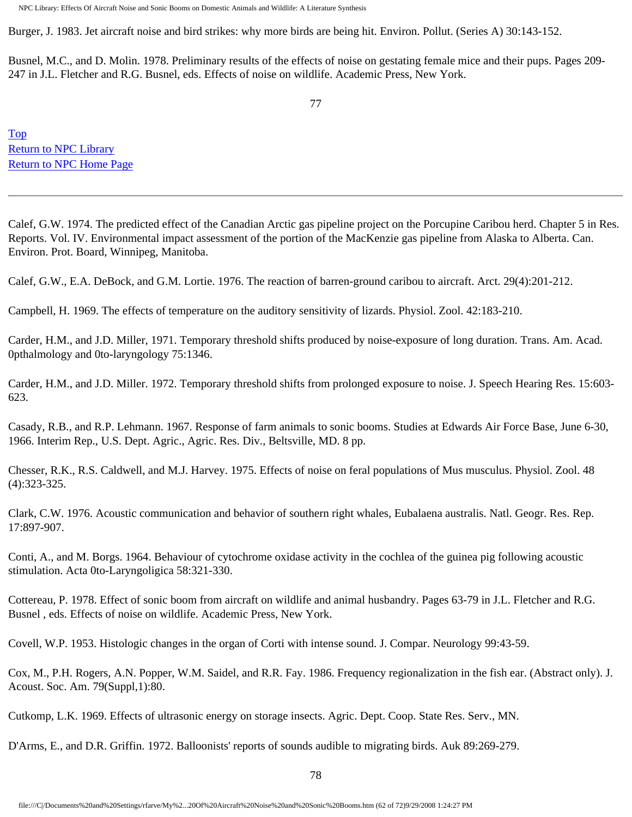Burger, J. 1983. Jet aircraft noise and bird strikes: why more birds are being hit. Environ. Pollut. (Series A) 30:143-152.

Busnel, M.C., and D. Molin. 1978. Preliminary results of the effects of noise on gestating female mice and their pups. Pages 209- 247 in J.L. Fletcher and R.G. Busnel, eds. Effects of noise on wildlife. Academic Press, New York.

[Top](http://www.nonoise.org/library/animals/litsyn.htm#top)  [Return to NPC Library](http://www.nonoise.org/library.htm)  [Return to NPC Home Page](http://www.nonoise.org/index.htm) 

Calef, G.W. 1974. The predicted effect of the Canadian Arctic gas pipeline project on the Porcupine Caribou herd. Chapter 5 in Res. Reports. Vol. IV. Environmental impact assessment of the portion of the MacKenzie gas pipeline from Alaska to Alberta. Can. Environ. Prot. Board, Winnipeg, Manitoba.

Calef, G.W., E.A. DeBock, and G.M. Lortie. 1976. The reaction of barren-ground caribou to aircraft. Arct. 29(4):201-212.

Campbell, H. 1969. The effects of temperature on the auditory sensitivity of lizards. Physiol. Zool. 42:183-210.

Carder, H.M., and J.D. Miller, 1971. Temporary threshold shifts produced by noise-exposure of long duration. Trans. Am. Acad. 0pthalmology and 0to-laryngology 75:1346.

Carder, H.M., and J.D. Miller. 1972. Temporary threshold shifts from prolonged exposure to noise. J. Speech Hearing Res. 15:603- 623.

Casady, R.B., and R.P. Lehmann. 1967. Response of farm animals to sonic booms. Studies at Edwards Air Force Base, June 6-30, 1966. Interim Rep., U.S. Dept. Agric., Agric. Res. Div., Beltsville, MD. 8 pp.

Chesser, R.K., R.S. Caldwell, and M.J. Harvey. 1975. Effects of noise on feral populations of Mus musculus. Physiol. Zool. 48 (4):323-325.

Clark, C.W. 1976. Acoustic communication and behavior of southern right whales, Eubalaena australis. Natl. Geogr. Res. Rep. 17:897-907.

Conti, A., and M. Borgs. 1964. Behaviour of cytochrome oxidase activity in the cochlea of the guinea pig following acoustic stimulation. Acta 0to-Laryngoligica 58:321-330.

Cottereau, P. 1978. Effect of sonic boom from aircraft on wildlife and animal husbandry. Pages 63-79 in J.L. Fletcher and R.G. Busnel , eds. Effects of noise on wildlife. Academic Press, New York.

Covell, W.P. 1953. Histologic changes in the organ of Corti with intense sound. J. Compar. Neurology 99:43-59.

Cox, M., P.H. Rogers, A.N. Popper, W.M. Saidel, and R.R. Fay. 1986. Frequency regionalization in the fish ear. (Abstract only). J. Acoust. Soc. Am. 79(Suppl,1):80.

Cutkomp, L.K. 1969. Effects of ultrasonic energy on storage insects. Agric. Dept. Coop. State Res. Serv., MN.

D'Arms, E., and D.R. Griffin. 1972. Balloonists' reports of sounds audible to migrating birds. Auk 89:269-279.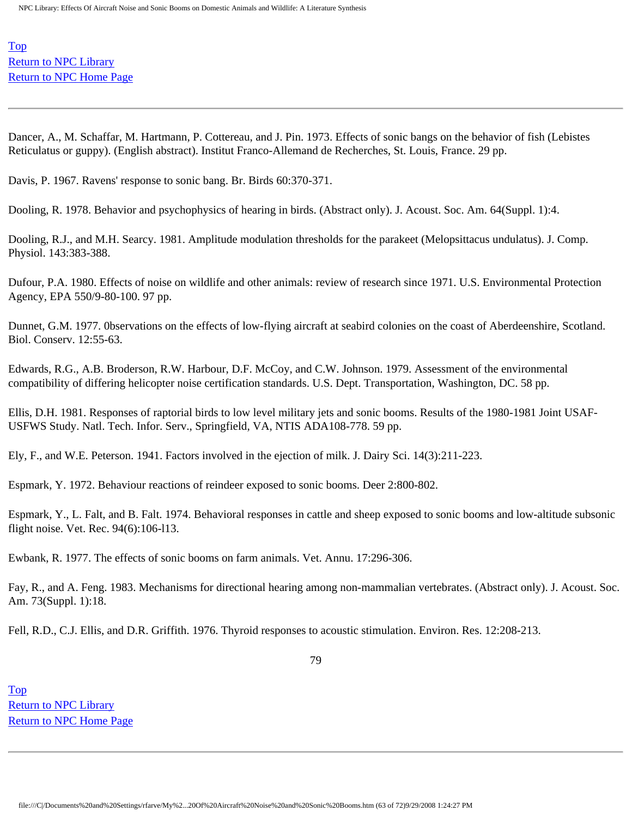[Top](http://www.nonoise.org/library/animals/litsyn.htm#top)  [Return to NPC Library](http://www.nonoise.org/library.htm)  [Return to NPC Home Page](http://www.nonoise.org/index.htm) 

Dancer, A., M. Schaffar, M. Hartmann, P. Cottereau, and J. Pin. 1973. Effects of sonic bangs on the behavior of fish (Lebistes Reticulatus or guppy). (English abstract). Institut Franco-Allemand de Recherches, St. Louis, France. 29 pp.

Davis, P. 1967. Ravens' response to sonic bang. Br. Birds 60:370-371.

Dooling, R. 1978. Behavior and psychophysics of hearing in birds. (Abstract only). J. Acoust. Soc. Am. 64(Suppl. 1):4.

Dooling, R.J., and M.H. Searcy. 1981. Amplitude modulation thresholds for the parakeet (Melopsittacus undulatus). J. Comp. Physiol. 143:383-388.

Dufour, P.A. 1980. Effects of noise on wildlife and other animals: review of research since 1971. U.S. Environmental Protection Agency, EPA 550/9-80-100. 97 pp.

Dunnet, G.M. 1977. 0bservations on the effects of low-flying aircraft at seabird colonies on the coast of Aberdeenshire, Scotland. Biol. Conserv. 12:55-63.

Edwards, R.G., A.B. Broderson, R.W. Harbour, D.F. McCoy, and C.W. Johnson. 1979. Assessment of the environmental compatibility of differing helicopter noise certification standards. U.S. Dept. Transportation, Washington, DC. 58 pp.

Ellis, D.H. 1981. Responses of raptorial birds to low level military jets and sonic booms. Results of the 1980-1981 Joint USAF-USFWS Study. Natl. Tech. Infor. Serv., Springfield, VA, NTIS ADA108-778. 59 pp.

Ely, F., and W.E. Peterson. 1941. Factors involved in the ejection of milk. J. Dairy Sci. 14(3):211-223.

Espmark, Y. 1972. Behaviour reactions of reindeer exposed to sonic booms. Deer 2:800-802.

Espmark, Y., L. Falt, and B. Falt. 1974. Behavioral responses in cattle and sheep exposed to sonic booms and low-altitude subsonic flight noise. Vet. Rec. 94(6):106-l13.

Ewbank, R. 1977. The effects of sonic booms on farm animals. Vet. Annu. 17:296-306.

Fay, R., and A. Feng. 1983. Mechanisms for directional hearing among non-mammalian vertebrates. (Abstract only). J. Acoust. Soc. Am. 73(Suppl. 1):18.

Fell, R.D., C.J. Ellis, and D.R. Griffith. 1976. Thyroid responses to acoustic stimulation. Environ. Res. 12:208-213.

79

[Top](http://www.nonoise.org/library/animals/litsyn.htm#top)  [Return to NPC Library](http://www.nonoise.org/library.htm)  [Return to NPC Home Page](http://www.nonoise.org/index.htm)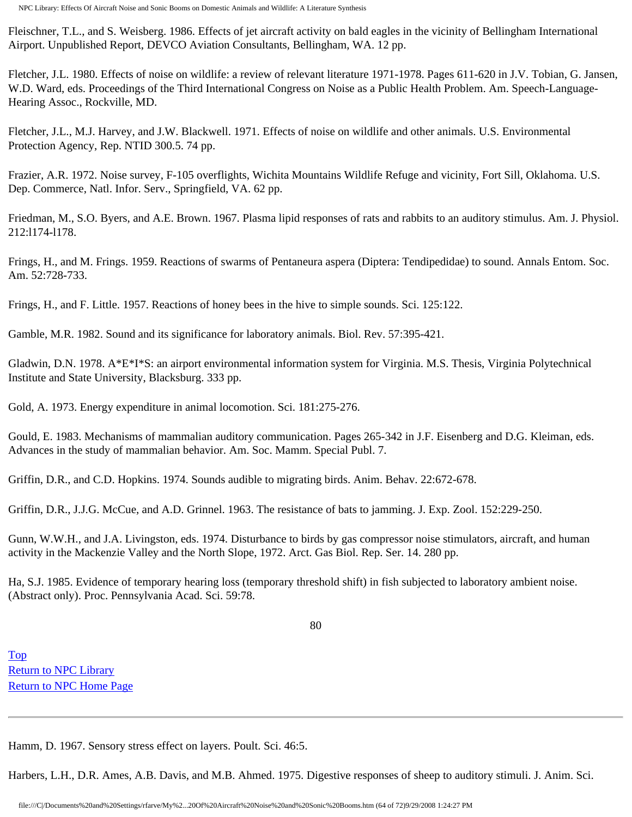Fleischner, T.L., and S. Weisberg. 1986. Effects of jet aircraft activity on bald eagles in the vicinity of Bellingham International Airport. Unpublished Report, DEVCO Aviation Consultants, Bellingham, WA. 12 pp.

Fletcher, J.L. 1980. Effects of noise on wildlife: a review of relevant literature 1971-1978. Pages 611-620 in J.V. Tobian, G. Jansen, W.D. Ward, eds. Proceedings of the Third International Congress on Noise as a Public Health Problem. Am. Speech-Language-Hearing Assoc., Rockville, MD.

Fletcher, J.L., M.J. Harvey, and J.W. Blackwell. 1971. Effects of noise on wildlife and other animals. U.S. Environmental Protection Agency, Rep. NTID 300.5. 74 pp.

Frazier, A.R. 1972. Noise survey, F-105 overflights, Wichita Mountains Wildlife Refuge and vicinity, Fort Sill, Oklahoma. U.S. Dep. Commerce, Natl. Infor. Serv., Springfield, VA. 62 pp.

Friedman, M., S.O. Byers, and A.E. Brown. 1967. Plasma lipid responses of rats and rabbits to an auditory stimulus. Am. J. Physiol. 212:l174-l178.

Frings, H., and M. Frings. 1959. Reactions of swarms of Pentaneura aspera (Diptera: Tendipedidae) to sound. Annals Entom. Soc. Am. 52:728-733.

Frings, H., and F. Little. 1957. Reactions of honey bees in the hive to simple sounds. Sci. 125:122.

Gamble, M.R. 1982. Sound and its significance for laboratory animals. Biol. Rev. 57:395-421.

Gladwin, D.N. 1978. A\*E\*I\*S: an airport environmental information system for Virginia. M.S. Thesis, Virginia Polytechnical Institute and State University, Blacksburg. 333 pp.

Gold, A. 1973. Energy expenditure in animal locomotion. Sci. 181:275-276.

Gould, E. 1983. Mechanisms of mammalian auditory communication. Pages 265-342 in J.F. Eisenberg and D.G. Kleiman, eds. Advances in the study of mammalian behavior. Am. Soc. Mamm. Special Publ. 7.

Griffin, D.R., and C.D. Hopkins. 1974. Sounds audible to migrating birds. Anim. Behav. 22:672-678.

Griffin, D.R., J.J.G. McCue, and A.D. Grinnel. 1963. The resistance of bats to jamming. J. Exp. Zool. 152:229-250.

Gunn, W.W.H., and J.A. Livingston, eds. 1974. Disturbance to birds by gas compressor noise stimulators, aircraft, and human activity in the Mackenzie Valley and the North Slope, 1972. Arct. Gas Biol. Rep. Ser. 14. 280 pp.

Ha, S.J. 1985. Evidence of temporary hearing loss (temporary threshold shift) in fish subjected to laboratory ambient noise. (Abstract only). Proc. Pennsylvania Acad. Sci. 59:78.

80

[Top](http://www.nonoise.org/library/animals/litsyn.htm#top)  [Return to NPC Library](http://www.nonoise.org/library.htm)  [Return to NPC Home Page](http://www.nonoise.org/index.htm) 

Hamm, D. 1967. Sensory stress effect on layers. Poult. Sci. 46:5.

Harbers, L.H., D.R. Ames, A.B. Davis, and M.B. Ahmed. 1975. Digestive responses of sheep to auditory stimuli. J. Anim. Sci.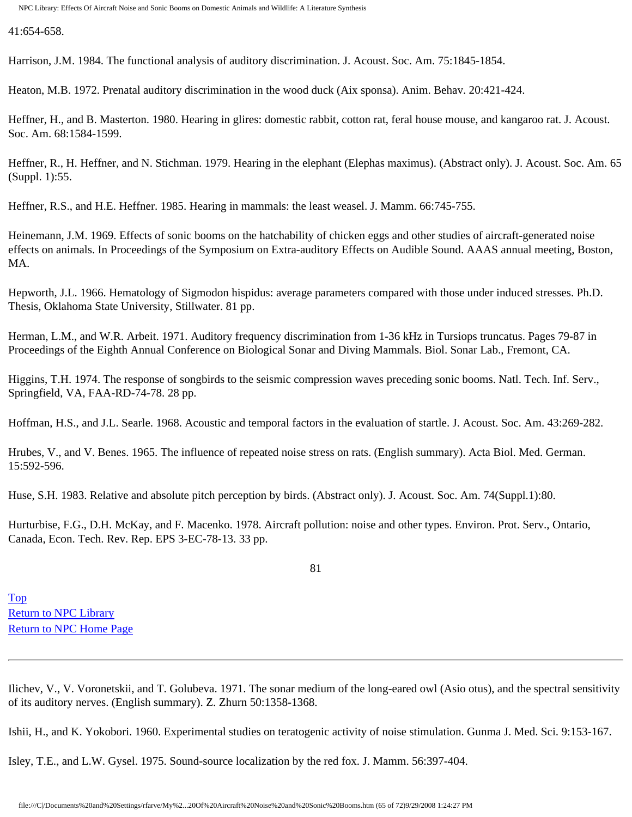41:654-658.

Harrison, J.M. 1984. The functional analysis of auditory discrimination. J. Acoust. Soc. Am. 75:1845-1854.

Heaton, M.B. 1972. Prenatal auditory discrimination in the wood duck (Aix sponsa). Anim. Behav. 20:421-424.

Heffner, H., and B. Masterton. 1980. Hearing in glires: domestic rabbit, cotton rat, feral house mouse, and kangaroo rat. J. Acoust. Soc. Am. 68:1584-1599.

Heffner, R., H. Heffner, and N. Stichman. 1979. Hearing in the elephant (Elephas maximus). (Abstract only). J. Acoust. Soc. Am. 65 (Suppl. 1):55.

Heffner, R.S., and H.E. Heffner. 1985. Hearing in mammals: the least weasel. J. Mamm. 66:745-755.

Heinemann, J.M. 1969. Effects of sonic booms on the hatchability of chicken eggs and other studies of aircraft-generated noise effects on animals. In Proceedings of the Symposium on Extra-auditory Effects on Audible Sound. AAAS annual meeting, Boston, MA.

Hepworth, J.L. 1966. Hematology of Sigmodon hispidus: average parameters compared with those under induced stresses. Ph.D. Thesis, Oklahoma State University, Stillwater. 81 pp.

Herman, L.M., and W.R. Arbeit. 1971. Auditory frequency discrimination from 1-36 kHz in Tursiops truncatus. Pages 79-87 in Proceedings of the Eighth Annual Conference on Biological Sonar and Diving Mammals. Biol. Sonar Lab., Fremont, CA.

Higgins, T.H. 1974. The response of songbirds to the seismic compression waves preceding sonic booms. Natl. Tech. Inf. Serv., Springfield, VA, FAA-RD-74-78. 28 pp.

Hoffman, H.S., and J.L. Searle. 1968. Acoustic and temporal factors in the evaluation of startle. J. Acoust. Soc. Am. 43:269-282.

Hrubes, V., and V. Benes. 1965. The influence of repeated noise stress on rats. (English summary). Acta Biol. Med. German. 15:592-596.

Huse, S.H. 1983. Relative and absolute pitch perception by birds. (Abstract only). J. Acoust. Soc. Am. 74(Suppl.1):80.

Hurturbise, F.G., D.H. McKay, and F. Macenko. 1978. Aircraft pollution: noise and other types. Environ. Prot. Serv., Ontario, Canada, Econ. Tech. Rev. Rep. EPS 3-EC-78-13. 33 pp.

81

[Top](http://www.nonoise.org/library/animals/litsyn.htm#top)  [Return to NPC Library](http://www.nonoise.org/library.htm)  [Return to NPC Home Page](http://www.nonoise.org/index.htm) 

Ilichev, V., V. Voronetskii, and T. Golubeva. 1971. The sonar medium of the long-eared owl (Asio otus), and the spectral sensitivity of its auditory nerves. (English summary). Z. Zhurn 50:1358-1368.

Ishii, H., and K. Yokobori. 1960. Experimental studies on teratogenic activity of noise stimulation. Gunma J. Med. Sci. 9:153-167.

Isley, T.E., and L.W. Gysel. 1975. Sound-source localization by the red fox. J. Mamm. 56:397-404.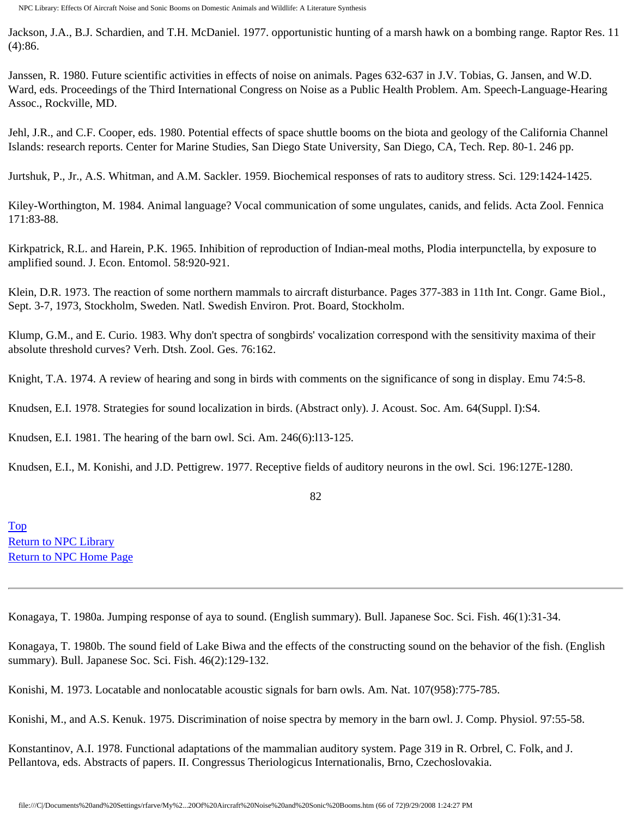Jackson, J.A., B.J. Schardien, and T.H. McDaniel. 1977. opportunistic hunting of a marsh hawk on a bombing range. Raptor Res. 11 (4):86.

Janssen, R. 1980. Future scientific activities in effects of noise on animals. Pages 632-637 in J.V. Tobias, G. Jansen, and W.D. Ward, eds. Proceedings of the Third International Congress on Noise as a Public Health Problem. Am. Speech-Language-Hearing Assoc., Rockville, MD.

Jehl, J.R., and C.F. Cooper, eds. 1980. Potential effects of space shuttle booms on the biota and geology of the California Channel Islands: research reports. Center for Marine Studies, San Diego State University, San Diego, CA, Tech. Rep. 80-1. 246 pp.

Jurtshuk, P., Jr., A.S. Whitman, and A.M. Sackler. 1959. Biochemical responses of rats to auditory stress. Sci. 129:1424-1425.

Kiley-Worthington, M. 1984. Animal language? Vocal communication of some ungulates, canids, and felids. Acta Zool. Fennica 171:83-88.

Kirkpatrick, R.L. and Harein, P.K. 1965. Inhibition of reproduction of Indian-meal moths, Plodia interpunctella, by exposure to amplified sound. J. Econ. Entomol. 58:920-921.

Klein, D.R. 1973. The reaction of some northern mammals to aircraft disturbance. Pages 377-383 in 11th Int. Congr. Game Biol., Sept. 3-7, 1973, Stockholm, Sweden. Natl. Swedish Environ. Prot. Board, Stockholm.

Klump, G.M., and E. Curio. 1983. Why don't spectra of songbirds' vocalization correspond with the sensitivity maxima of their absolute threshold curves? Verh. Dtsh. Zool. Ges. 76:162.

Knight, T.A. 1974. A review of hearing and song in birds with comments on the significance of song in display. Emu 74:5-8.

Knudsen, E.I. 1978. Strategies for sound localization in birds. (Abstract only). J. Acoust. Soc. Am. 64(Suppl. I):S4.

Knudsen, E.I. 1981. The hearing of the barn owl. Sci. Am. 246(6):l13-125.

Knudsen, E.I., M. Konishi, and J.D. Pettigrew. 1977. Receptive fields of auditory neurons in the owl. Sci. 196:127E-1280.

82

[Top](http://www.nonoise.org/library/animals/litsyn.htm#top)  [Return to NPC Library](http://www.nonoise.org/library.htm)  [Return to NPC Home Page](http://www.nonoise.org/index.htm) 

Konagaya, T. 1980a. Jumping response of aya to sound. (English summary). Bull. Japanese Soc. Sci. Fish. 46(1):31-34.

Konagaya, T. 1980b. The sound field of Lake Biwa and the effects of the constructing sound on the behavior of the fish. (English summary). Bull. Japanese Soc. Sci. Fish. 46(2):129-132.

Konishi, M. 1973. Locatable and nonlocatable acoustic signals for barn owls. Am. Nat. 107(958):775-785.

Konishi, M., and A.S. Kenuk. 1975. Discrimination of noise spectra by memory in the barn owl. J. Comp. Physiol. 97:55-58.

Konstantinov, A.I. 1978. Functional adaptations of the mammalian auditory system. Page 319 in R. Orbrel, C. Folk, and J. Pellantova, eds. Abstracts of papers. II. Congressus Theriologicus Internationalis, Brno, Czechoslovakia.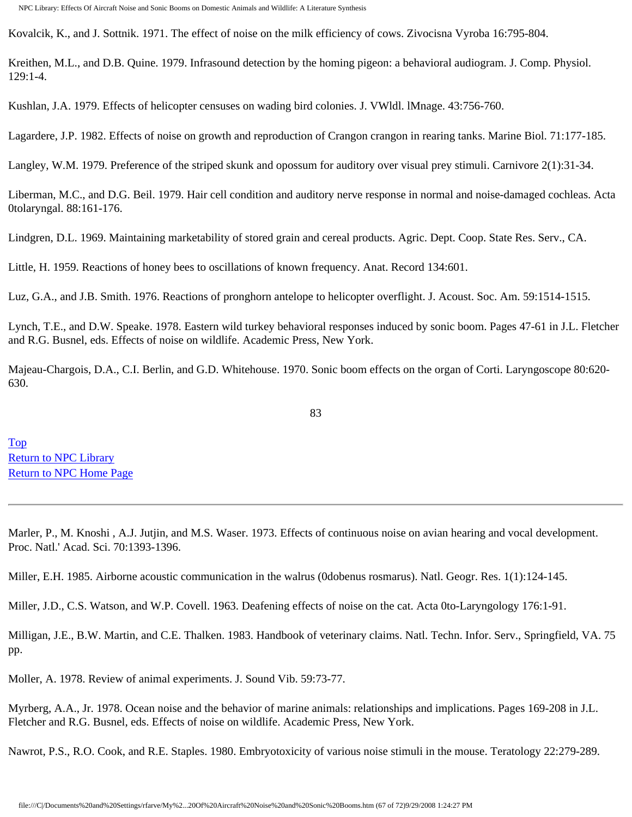Kovalcik, K., and J. Sottnik. 1971. The effect of noise on the milk efficiency of cows. Zivocisna Vyroba 16:795-804.

Kreithen, M.L., and D.B. Quine. 1979. Infrasound detection by the homing pigeon: a behavioral audiogram. J. Comp. Physiol. 129:1-4.

Kushlan, J.A. 1979. Effects of helicopter censuses on wading bird colonies. J. VWldl. lMnage. 43:756-760.

Lagardere, J.P. 1982. Effects of noise on growth and reproduction of Crangon crangon in rearing tanks. Marine Biol. 71:177-185.

Langley, W.M. 1979. Preference of the striped skunk and opossum for auditory over visual prey stimuli. Carnivore 2(1):31-34.

Liberman, M.C., and D.G. Beil. 1979. Hair cell condition and auditory nerve response in normal and noise-damaged cochleas. Acta 0tolaryngal. 88:161-176.

Lindgren, D.L. 1969. Maintaining marketability of stored grain and cereal products. Agric. Dept. Coop. State Res. Serv., CA.

Little, H. 1959. Reactions of honey bees to oscillations of known frequency. Anat. Record 134:601.

Luz, G.A., and J.B. Smith. 1976. Reactions of pronghorn antelope to helicopter overflight. J. Acoust. Soc. Am. 59:1514-1515.

Lynch, T.E., and D.W. Speake. 1978. Eastern wild turkey behavioral responses induced by sonic boom. Pages 47-61 in J.L. Fletcher and R.G. Busnel, eds. Effects of noise on wildlife. Academic Press, New York.

Majeau-Chargois, D.A., C.I. Berlin, and G.D. Whitehouse. 1970. Sonic boom effects on the organ of Corti. Laryngoscope 80:620- 630.

83

[Top](http://www.nonoise.org/library/animals/litsyn.htm#top)  [Return to NPC Library](http://www.nonoise.org/library.htm)  [Return to NPC Home Page](http://www.nonoise.org/index.htm) 

Marler, P., M. Knoshi , A.J. Jutjin, and M.S. Waser. 1973. Effects of continuous noise on avian hearing and vocal development. Proc. Natl.' Acad. Sci. 70:1393-1396.

Miller, E.H. 1985. Airborne acoustic communication in the walrus (0dobenus rosmarus). Natl. Geogr. Res. 1(1):124-145.

Miller, J.D., C.S. Watson, and W.P. Covell. 1963. Deafening effects of noise on the cat. Acta 0to-Laryngology 176:1-91.

Milligan, J.E., B.W. Martin, and C.E. Thalken. 1983. Handbook of veterinary claims. Natl. Techn. Infor. Serv., Springfield, VA. 75 pp.

Moller, A. 1978. Review of animal experiments. J. Sound Vib. 59:73-77.

Myrberg, A.A., Jr. 1978. Ocean noise and the behavior of marine animals: relationships and implications. Pages 169-208 in J.L. Fletcher and R.G. Busnel, eds. Effects of noise on wildlife. Academic Press, New York.

Nawrot, P.S., R.O. Cook, and R.E. Staples. 1980. Embryotoxicity of various noise stimuli in the mouse. Teratology 22:279-289.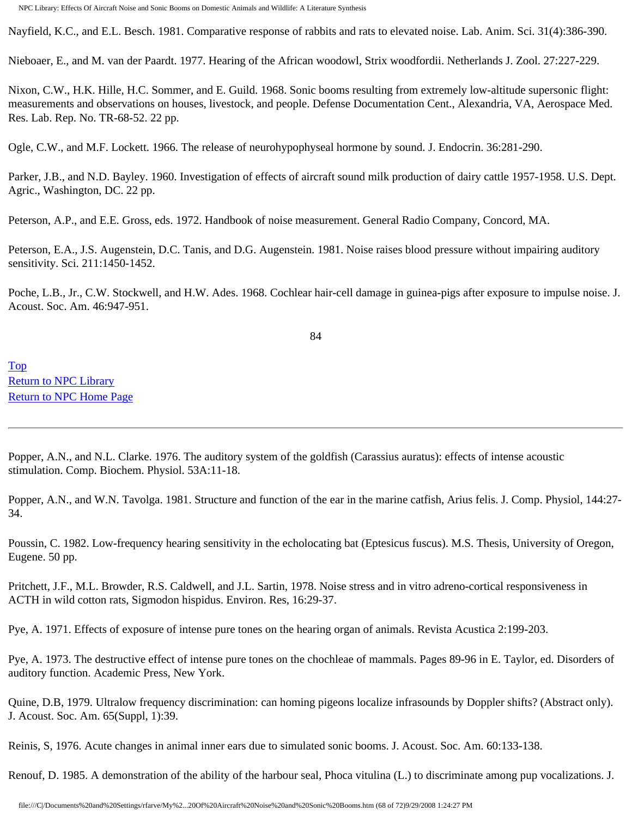Nayfield, K.C., and E.L. Besch. 1981. Comparative response of rabbits and rats to elevated noise. Lab. Anim. Sci. 31(4):386-390.

Nieboaer, E., and M. van der Paardt. 1977. Hearing of the African woodowl, Strix woodfordii. Netherlands J. Zool. 27:227-229.

Nixon, C.W., H.K. Hille, H.C. Sommer, and E. Guild. 1968. Sonic booms resulting from extremely low-altitude supersonic flight: measurements and observations on houses, livestock, and people. Defense Documentation Cent., Alexandria, VA, Aerospace Med. Res. Lab. Rep. No. TR-68-52. 22 pp.

Ogle, C.W., and M.F. Lockett. 1966. The release of neurohypophyseal hormone by sound. J. Endocrin. 36:281-290.

Parker, J.B., and N.D. Bayley. 1960. Investigation of effects of aircraft sound milk production of dairy cattle 1957-1958. U.S. Dept. Agric., Washington, DC. 22 pp.

Peterson, A.P., and E.E. Gross, eds. 1972. Handbook of noise measurement. General Radio Company, Concord, MA.

Peterson, E.A., J.S. Augenstein, D.C. Tanis, and D.G. Augenstein. 1981. Noise raises blood pressure without impairing auditory sensitivity. Sci. 211:1450-1452.

Poche, L.B., Jr., C.W. Stockwell, and H.W. Ades. 1968. Cochlear hair-cell damage in guinea-pigs after exposure to impulse noise. J. Acoust. Soc. Am. 46:947-951.

84

[Top](http://www.nonoise.org/library/animals/litsyn.htm#top)  [Return to NPC Library](http://www.nonoise.org/library.htm)  [Return to NPC Home Page](http://www.nonoise.org/index.htm) 

Popper, A.N., and N.L. Clarke. 1976. The auditory system of the goldfish (Carassius auratus): effects of intense acoustic stimulation. Comp. Biochem. Physiol. 53A:11-18.

Popper, A.N., and W.N. Tavolga. 1981. Structure and function of the ear in the marine catfish, Arius felis. J. Comp. Physiol, 144:27- 34.

Poussin, C. 1982. Low-frequency hearing sensitivity in the echolocating bat (Eptesicus fuscus). M.S. Thesis, University of Oregon, Eugene. 50 pp.

Pritchett, J.F., M.L. Browder, R.S. Caldwell, and J.L. Sartin, 1978. Noise stress and in vitro adreno-cortical responsiveness in ACTH in wild cotton rats, Sigmodon hispidus. Environ. Res, 16:29-37.

Pye, A. 1971. Effects of exposure of intense pure tones on the hearing organ of animals. Revista Acustica 2:199-203.

Pye, A. 1973. The destructive effect of intense pure tones on the chochleae of mammals. Pages 89-96 in E. Taylor, ed. Disorders of auditory function. Academic Press, New York.

Quine, D.B, 1979. Ultralow frequency discrimination: can homing pigeons localize infrasounds by Doppler shifts? (Abstract only). J. Acoust. Soc. Am. 65(Suppl, 1):39.

Reinis, S, 1976. Acute changes in animal inner ears due to simulated sonic booms. J. Acoust. Soc. Am. 60:133-138.

Renouf, D. 1985. A demonstration of the ability of the harbour seal, Phoca vitulina (L.) to discriminate among pup vocalizations. J.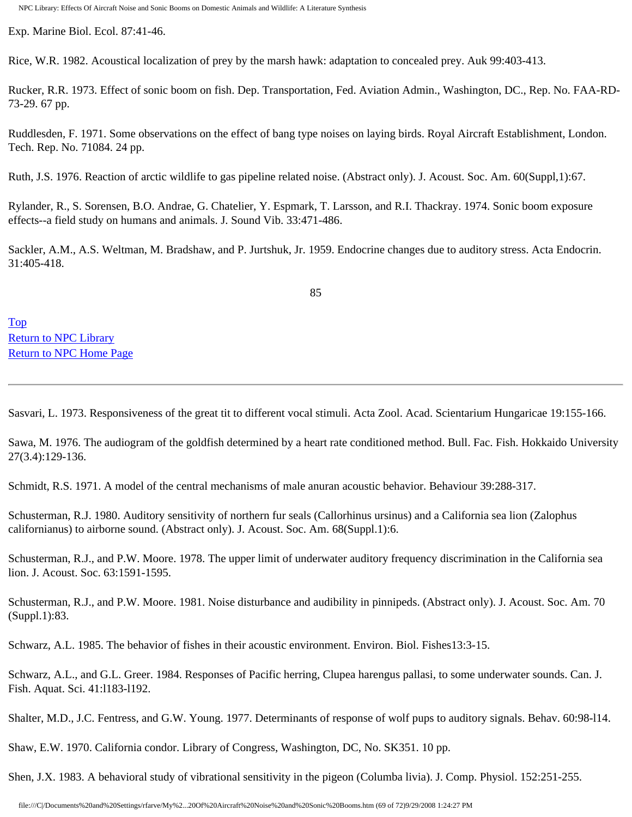Exp. Marine Biol. Ecol. 87:41-46.

Rice, W.R. 1982. Acoustical localization of prey by the marsh hawk: adaptation to concealed prey. Auk 99:403-413.

Rucker, R.R. 1973. Effect of sonic boom on fish. Dep. Transportation, Fed. Aviation Admin., Washington, DC., Rep. No. FAA-RD-73-29. 67 pp.

Ruddlesden, F. 1971. Some observations on the effect of bang type noises on laying birds. Royal Aircraft Establishment, London. Tech. Rep. No. 71084. 24 pp.

Ruth, J.S. 1976. Reaction of arctic wildlife to gas pipeline related noise. (Abstract only). J. Acoust. Soc. Am. 60(Suppl,1):67.

Rylander, R., S. Sorensen, B.O. Andrae, G. Chatelier, Y. Espmark, T. Larsson, and R.I. Thackray. 1974. Sonic boom exposure effects--a field study on humans and animals. J. Sound Vib. 33:471-486.

Sackler, A.M., A.S. Weltman, M. Bradshaw, and P. Jurtshuk, Jr. 1959. Endocrine changes due to auditory stress. Acta Endocrin. 31:405-418.

85

[Top](http://www.nonoise.org/library/animals/litsyn.htm#top)  [Return to NPC Library](http://www.nonoise.org/library.htm)  [Return to NPC Home Page](http://www.nonoise.org/index.htm) 

Sasvari, L. 1973. Responsiveness of the great tit to different vocal stimuli. Acta Zool. Acad. Scientarium Hungaricae 19:155-166.

Sawa, M. 1976. The audiogram of the goldfish determined by a heart rate conditioned method. Bull. Fac. Fish. Hokkaido University 27(3.4):129-136.

Schmidt, R.S. 1971. A model of the central mechanisms of male anuran acoustic behavior. Behaviour 39:288-317.

Schusterman, R.J. 1980. Auditory sensitivity of northern fur seals (Callorhinus ursinus) and a California sea lion (Zalophus californianus) to airborne sound. (Abstract only). J. Acoust. Soc. Am. 68(Suppl.1):6.

Schusterman, R.J., and P.W. Moore. 1978. The upper limit of underwater auditory frequency discrimination in the California sea lion. J. Acoust. Soc. 63:1591-1595.

Schusterman, R.J., and P.W. Moore. 1981. Noise disturbance and audibility in pinnipeds. (Abstract only). J. Acoust. Soc. Am. 70 (Suppl.1):83.

Schwarz, A.L. 1985. The behavior of fishes in their acoustic environment. Environ. Biol. Fishes13:3-15.

Schwarz, A.L., and G.L. Greer. 1984. Responses of Pacific herring, Clupea harengus pallasi, to some underwater sounds. Can. J. Fish. Aquat. Sci. 41:l183-l192.

Shalter, M.D., J.C. Fentress, and G.W. Young. 1977. Determinants of response of wolf pups to auditory signals. Behav. 60:98-l14.

Shaw, E.W. 1970. California condor. Library of Congress, Washington, DC, No. SK351. 10 pp.

Shen, J.X. 1983. A behavioral study of vibrational sensitivity in the pigeon (Columba livia). J. Comp. Physiol. 152:251-255.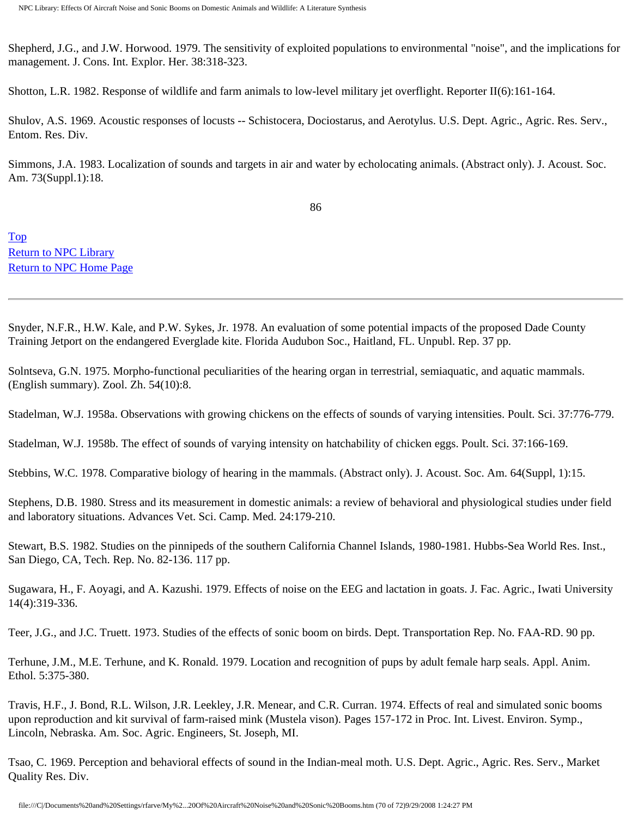Shepherd, J.G., and J.W. Horwood. 1979. The sensitivity of exploited populations to environmental "noise", and the implications for management. J. Cons. Int. Explor. Her. 38:318-323.

Shotton, L.R. 1982. Response of wildlife and farm animals to low-level military jet overflight. Reporter II(6):161-164.

Shulov, A.S. 1969. Acoustic responses of locusts -- Schistocera, Dociostarus, and Aerotylus. U.S. Dept. Agric., Agric. Res. Serv., Entom. Res. Div.

Simmons, J.A. 1983. Localization of sounds and targets in air and water by echolocating animals. (Abstract only). J. Acoust. Soc. Am. 73(Suppl.1):18.

86

[Top](http://www.nonoise.org/library/animals/litsyn.htm#top)  [Return to NPC Library](http://www.nonoise.org/library.htm)  [Return to NPC Home Page](http://www.nonoise.org/index.htm) 

Snyder, N.F.R., H.W. Kale, and P.W. Sykes, Jr. 1978. An evaluation of some potential impacts of the proposed Dade County Training Jetport on the endangered Everglade kite. Florida Audubon Soc., Haitland, FL. Unpubl. Rep. 37 pp.

Solntseva, G.N. 1975. Morpho-functional peculiarities of the hearing organ in terrestrial, semiaquatic, and aquatic mammals. (English summary). Zool. Zh. 54(10):8.

Stadelman, W.J. 1958a. Observations with growing chickens on the effects of sounds of varying intensities. Poult. Sci. 37:776-779.

Stadelman, W.J. 1958b. The effect of sounds of varying intensity on hatchability of chicken eggs. Poult. Sci. 37:166-169.

Stebbins, W.C. 1978. Comparative biology of hearing in the mammals. (Abstract only). J. Acoust. Soc. Am. 64(Suppl, 1):15.

Stephens, D.B. 1980. Stress and its measurement in domestic animals: a review of behavioral and physiological studies under field and laboratory situations. Advances Vet. Sci. Camp. Med. 24:179-210.

Stewart, B.S. 1982. Studies on the pinnipeds of the southern California Channel Islands, 1980-1981. Hubbs-Sea World Res. Inst., San Diego, CA, Tech. Rep. No. 82-136. 117 pp.

Sugawara, H., F. Aoyagi, and A. Kazushi. 1979. Effects of noise on the EEG and lactation in goats. J. Fac. Agric., Iwati University 14(4):319-336.

Teer, J.G., and J.C. Truett. 1973. Studies of the effects of sonic boom on birds. Dept. Transportation Rep. No. FAA-RD. 90 pp.

Terhune, J.M., M.E. Terhune, and K. Ronald. 1979. Location and recognition of pups by adult female harp seals. Appl. Anim. Ethol. 5:375-380.

Travis, H.F., J. Bond, R.L. Wilson, J.R. Leekley, J.R. Menear, and C.R. Curran. 1974. Effects of real and simulated sonic booms upon reproduction and kit survival of farm-raised mink (Mustela vison). Pages 157-172 in Proc. Int. Livest. Environ. Symp., Lincoln, Nebraska. Am. Soc. Agric. Engineers, St. Joseph, MI.

Tsao, C. 1969. Perception and behavioral effects of sound in the Indian-meal moth. U.S. Dept. Agric., Agric. Res. Serv., Market Quality Res. Div.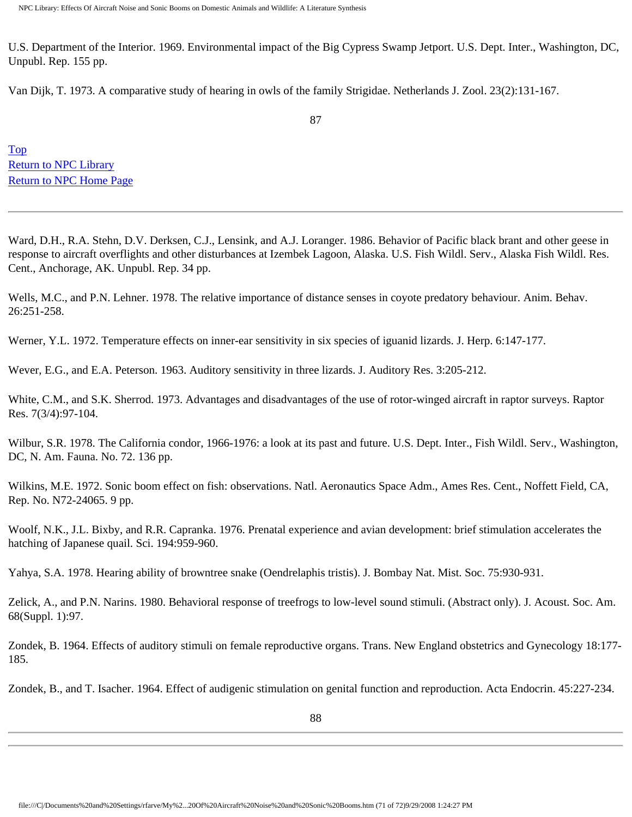U.S. Department of the Interior. 1969. Environmental impact of the Big Cypress Swamp Jetport. U.S. Dept. Inter., Washington, DC, Unpubl. Rep. 155 pp.

Van Dijk, T. 1973. A comparative study of hearing in owls of the family Strigidae. Netherlands J. Zool. 23(2):131-167.

[Top](http://www.nonoise.org/library/animals/litsyn.htm#top)  [Return to NPC Library](http://www.nonoise.org/library.htm)  [Return to NPC Home Page](http://www.nonoise.org/index.htm) 

Ward, D.H., R.A. Stehn, D.V. Derksen, C.J., Lensink, and A.J. Loranger. 1986. Behavior of Pacific black brant and other geese in response to aircraft overflights and other disturbances at Izembek Lagoon, Alaska. U.S. Fish Wildl. Serv., Alaska Fish Wildl. Res. Cent., Anchorage, AK. Unpubl. Rep. 34 pp.

Wells, M.C., and P.N. Lehner. 1978. The relative importance of distance senses in coyote predatory behaviour. Anim. Behav. 26:251-258.

Werner, Y.L. 1972. Temperature effects on inner-ear sensitivity in six species of iguanid lizards. J. Herp. 6:147-177.

Wever, E.G., and E.A. Peterson. 1963. Auditory sensitivity in three lizards. J. Auditory Res. 3:205-212.

White, C.M., and S.K. Sherrod. 1973. Advantages and disadvantages of the use of rotor-winged aircraft in raptor surveys. Raptor Res. 7(3/4):97-104.

Wilbur, S.R. 1978. The California condor, 1966-1976: a look at its past and future. U.S. Dept. Inter., Fish Wildl. Serv., Washington, DC, N. Am. Fauna. No. 72. 136 pp.

Wilkins, M.E. 1972. Sonic boom effect on fish: observations. Natl. Aeronautics Space Adm., Ames Res. Cent., Noffett Field, CA, Rep. No. N72-24065. 9 pp.

Woolf, N.K., J.L. Bixby, and R.R. Capranka. 1976. Prenatal experience and avian development: brief stimulation accelerates the hatching of Japanese quail. Sci. 194:959-960.

Yahya, S.A. 1978. Hearing ability of browntree snake (Oendrelaphis tristis). J. Bombay Nat. Mist. Soc. 75:930-931.

Zelick, A., and P.N. Narins. 1980. Behavioral response of treefrogs to low-level sound stimuli. (Abstract only). J. Acoust. Soc. Am. 68(Suppl. 1):97.

Zondek, B. 1964. Effects of auditory stimuli on female reproductive organs. Trans. New England obstetrics and Gynecology 18:177- 185.

Zondek, B., and T. Isacher. 1964. Effect of audigenic stimulation on genital function and reproduction. Acta Endocrin. 45:227-234.

88